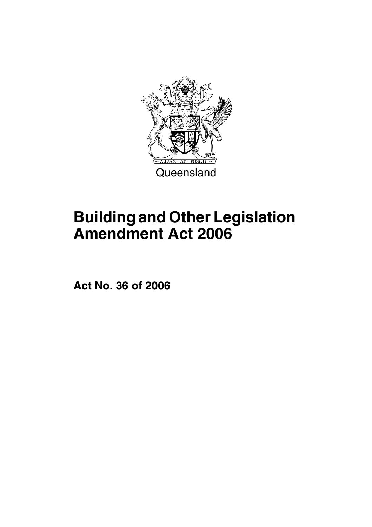

# **Building and Other Legislation Amendment Act 2006**

**Act No. 36 of 2006**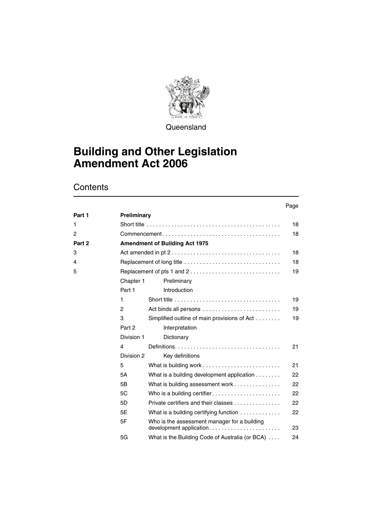

**Queensland** 

### **Building and Other Legislation Amendment Act 2006**

### **Contents**

|        |             |                                                                         | Page |
|--------|-------------|-------------------------------------------------------------------------|------|
| Part 1 | Preliminary |                                                                         |      |
| 1      |             |                                                                         | 18   |
| 2      |             |                                                                         | 18   |
| Part 2 |             | <b>Amendment of Building Act 1975</b>                                   |      |
| 3      |             |                                                                         | 18   |
| 4      |             | Replacement of long title                                               | 18   |
| 5      |             | Replacement of pts 1 and 2                                              | 19   |
|        | Chapter 1   | Preliminary                                                             |      |
|        | Part 1      | Introduction                                                            |      |
|        | 1           |                                                                         | 19   |
|        | 2           | Act binds all persons                                                   | 19   |
|        | 3           | Simplified outline of main provisions of Act                            | 19   |
|        | Part 2      | Interpretation                                                          |      |
|        | Division 1  | Dictionary                                                              |      |
|        | 4           |                                                                         | 21   |
|        | Division 2  | Key definitions                                                         |      |
|        | 5           |                                                                         | 21   |
|        | 5A          | What is a building development application                              | 22   |
|        | 5B          | What is building assessment work                                        | 22   |
|        | 5C          | Who is a building certifier                                             | 22   |
|        | 5D          | Private certifiers and their classes                                    | 22   |
|        | 5F          | What is a building certifying function                                  | 22   |
|        | 5F          | Who is the assessment manager for a building<br>development application | 23   |
|        | 5G          | What is the Building Code of Australia (or BCA)                         | 24   |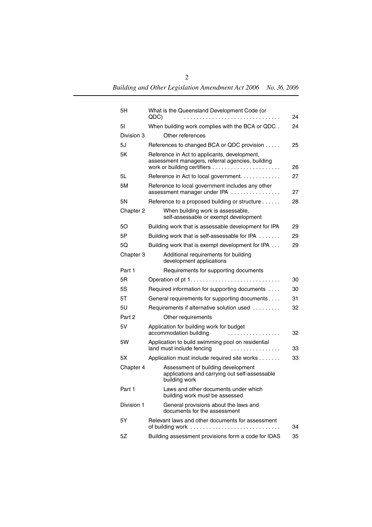| 5H         | What is the Queensland Development Code (or                                                          |    |
|------------|------------------------------------------------------------------------------------------------------|----|
|            | QDC)<br>.                                                                                            |    |
| 51         | When building work complies with the BCA or QDC.                                                     | 24 |
| Division 3 | Other references                                                                                     |    |
| 5J         | References to changed BCA or QDC provision                                                           | 25 |
| 5K         | Reference in Act to applicants, development,<br>assessment managers, referral agencies, building     | 26 |
| 5L         | Reference in Act to local government.                                                                | 27 |
| 5M         | Reference to local government includes any other<br>assessment manager under IPA                     | 27 |
| 5Ν         | Reference to a proposed building or structure                                                        | 28 |
| Chapter 2  | When building work is assessable,<br>self-assessable or exempt development                           |    |
| 50         | Building work that is assessable development for IPA                                                 | 29 |
| 5Р         | Building work that is self-assessable for IPA                                                        | 29 |
| 5Ο         | Building work that is exempt development for IPA                                                     | 29 |
| Chapter 3  | Additional requirements for building<br>development applications                                     |    |
| Part 1     | Requirements for supporting documents                                                                |    |
| 5R         |                                                                                                      | 30 |
| 5S         | Required information for supporting documents                                                        | 30 |
| 5T         | General requirements for supporting documents                                                        | 31 |
| 5U         | Requirements if alternative solution used                                                            | 32 |
| Part 2     | Other requirements                                                                                   |    |
| 5V         | Application for building work for budget<br>accommodation building                                   | 32 |
| 5W         | Application to build swimming pool on residential<br>land must include fencing                       | 33 |
| 5Х         | Application must include required site works                                                         | 33 |
| Chapter 4  | Assessment of building development<br>applications and carrying out self-assessable<br>building work |    |
| Part 1     | Laws and other documents under which<br>building work must be assessed                               |    |
| Division 1 | General provisions about the laws and<br>documents for the assessment                                |    |
| 5Y         | Relevant laws and other documents for assessment                                                     | 34 |
| 5Ζ         | Building assessment provisions form a code for IDAS                                                  | 35 |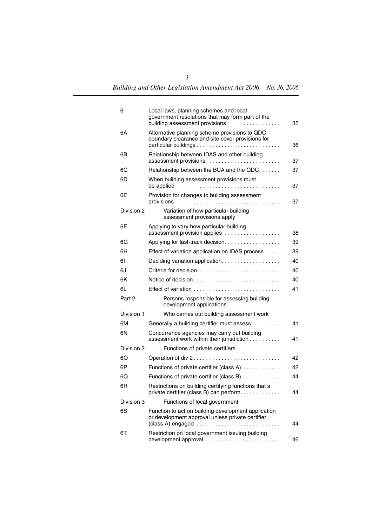| 6          | Local laws, planning schemes and local<br>government resolutions that may form part of the<br>building assessment provisions<br>.                                                 | 35 |
|------------|-----------------------------------------------------------------------------------------------------------------------------------------------------------------------------------|----|
| 6A         | Alternative planning scheme provisions to QDC<br>boundary clearance and site cover provisions for                                                                                 | 36 |
| 6В         | Relationship between IDAS and other building                                                                                                                                      | 37 |
| 60         | Relationship between the BCA and the QDC                                                                                                                                          | 37 |
| 6D         | When building assessment provisions must<br>be applied                                                                                                                            | 37 |
| 6Е         | Provision for changes to building assessment<br>provisions                                                                                                                        | 37 |
| Division 2 | Variation of how particular building<br>assessment provisions apply                                                                                                               |    |
| 6F         | Applying to vary how particular building<br>assessment provision applies                                                                                                          | 38 |
| 6G         | Applying for fast-track decision.                                                                                                                                                 | 39 |
| 6H         | Effect of variation application on IDAS process                                                                                                                                   | 39 |
| 61         | Deciding variation application.                                                                                                                                                   | 40 |
| 6J         | Criteria for decision                                                                                                                                                             | 40 |
| 6K         | Notice of decision                                                                                                                                                                | 40 |
| 6L         | Effect of variation $\ldots \ldots \ldots \ldots \ldots \ldots \ldots \ldots \ldots$                                                                                              | 41 |
| Part 2     | Persons responsible for assessing building<br>development applications                                                                                                            |    |
| Division 1 | Who carries out building assessment work                                                                                                                                          |    |
| 6М         | Generally a building certifier must assess                                                                                                                                        | 41 |
| 6Ν         | Concurrence agencies may carry out building<br>assessment work within their jurisdiction                                                                                          | 41 |
| Division 2 | Functions of private certifiers                                                                                                                                                   |    |
| 60         |                                                                                                                                                                                   | 42 |
| 6P         | Functions of private certifier (class A)                                                                                                                                          | 42 |
| 6Q         | Functions of private certifier (class B)                                                                                                                                          | 44 |
| 6R         | Restrictions on building certifying functions that a<br>private certifier (class B) can perform                                                                                   | 44 |
| Division 3 | Functions of local government                                                                                                                                                     |    |
| 6S         | Function to act on building development application<br>or development approval unless private certifier<br>$(class A)$ engaged $\ldots \ldots \ldots \ldots \ldots \ldots \ldots$ | 44 |
| 6T         | Restriction on local government issuing building<br>development approval                                                                                                          | 46 |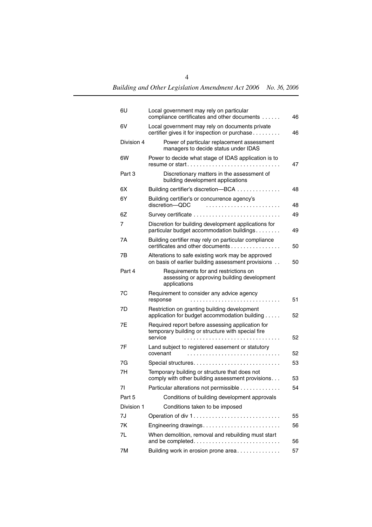| 6U         | Local government may rely on particular<br>compliance certificates and other documents                  | 46 |
|------------|---------------------------------------------------------------------------------------------------------|----|
| 6V         | Local government may rely on documents private<br>certifier gives it for inspection or purchase         | 46 |
| Division 4 | Power of particular replacement assessment<br>managers to decide status under IDAS                      |    |
| 6W         | Power to decide what stage of IDAS application is to<br>resume or start                                 | 47 |
| Part 3     | Discretionary matters in the assessment of<br>building development applications                         |    |
| 6X         | Building certifier's discretion-BCA                                                                     | 48 |
| 6Y         | Building certifier's or concurrence agency's<br>discretion-QDC                                          | 48 |
| 6Z         | Survey certificate                                                                                      | 49 |
| 7          | Discretion for building development applications for<br>particular budget accommodation buildings       | 49 |
| 7Α         | Building certifier may rely on particular compliance<br>certificates and other documents                | 50 |
| 7B         | Alterations to safe existing work may be approved<br>on basis of earlier building assessment provisions | 50 |
| Part 4     | Requirements for and restrictions on<br>assessing or approving building development<br>applications     |    |
| 7C         | Requirement to consider any advice agency<br>response                                                   | 51 |
| 7D         | Restriction on granting building development<br>application for budget accommodation building           | 52 |
| 7Ε         | Required report before assessing application for<br>temporary building or structure with special fire   |    |
|            | service                                                                                                 | 52 |
| 7F         | Land subject to registered easement or statutory<br>covenant                                            | 52 |
| 7G         |                                                                                                         | 53 |
| 7H         | Temporary building or structure that does not<br>comply with other building assessment provisions       | 53 |
| 71         | Particular alterations not permissible                                                                  | 54 |
| Part 5     | Conditions of building development approvals                                                            |    |
| Division 1 | Conditions taken to be imposed                                                                          |    |
| 7J         | Operation of div 1                                                                                      | 55 |
| 7K         | Engineering drawings                                                                                    | 56 |
| 7L         | When demolition, removal and rebuilding must start<br>and be completed                                  | 56 |
| 7M         | Building work in erosion prone area                                                                     | 57 |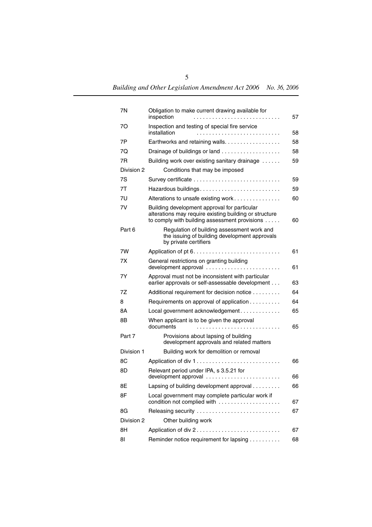| 7N         | Obligation to make current drawing available for<br>inspection                                                                                          | 57 |
|------------|---------------------------------------------------------------------------------------------------------------------------------------------------------|----|
| 70         | Inspection and testing of special fire service<br>installation                                                                                          | 58 |
| 7Р         | Earthworks and retaining walls.                                                                                                                         | 58 |
| 70         | Drainage of buildings or land                                                                                                                           | 58 |
| 7R         | Building work over existing sanitary drainage                                                                                                           | 59 |
| Division 2 | Conditions that may be imposed                                                                                                                          |    |
| 7S         |                                                                                                                                                         | 59 |
| 7T         |                                                                                                                                                         | 59 |
| 7U         | Alterations to unsafe existing work                                                                                                                     | 60 |
| 7V         | Building development approval for particular<br>alterations may require existing building or structure<br>to comply with building assessment provisions | 60 |
| Part 6     | Regulation of building assessment work and<br>the issuing of building development approvals<br>by private certifiers                                    |    |
| 7W         |                                                                                                                                                         | 61 |
| 7X         | General restrictions on granting building                                                                                                               | 61 |
| 7Υ         | Approval must not be inconsistent with particular<br>earlier approvals or self-assessable development                                                   | 63 |
| 7Ζ         | Additional requirement for decision notice                                                                                                              | 64 |
| 8          | Requirements on approval of application                                                                                                                 | 64 |
| 8Α         | Local government acknowledgement                                                                                                                        | 65 |
| 8Β         | When applicant is to be given the approval<br>documents                                                                                                 | 65 |
| Part 7     | Provisions about lapsing of building<br>development approvals and related matters                                                                       |    |
| Division 1 | Building work for demolition or removal                                                                                                                 |    |
| 8С         | Application of div 1                                                                                                                                    | 66 |
| 8D         | Relevant period under IPA, s 3.5.21 for                                                                                                                 | 66 |
| 8F         | Lapsing of building development approval                                                                                                                | 66 |
| 8F         | Local government may complete particular work if<br>condition not complied with                                                                         | 67 |
| 8G         | Releasing security                                                                                                                                      | 67 |
| Division 2 | Other building work                                                                                                                                     |    |
| 8Η         |                                                                                                                                                         | 67 |
| 81         | Reminder notice requirement for lapsing                                                                                                                 | 68 |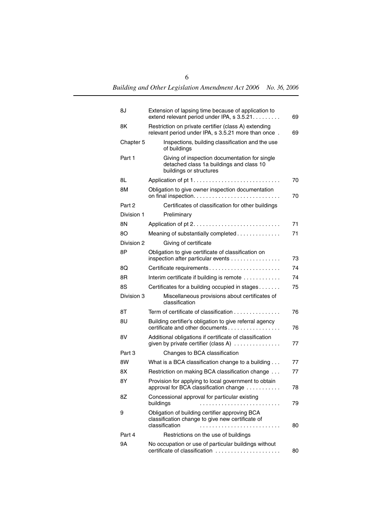| 8J         | Extension of lapsing time because of application to<br>extend relevant period under IPA, s 3.5.21.                                   | 69 |
|------------|--------------------------------------------------------------------------------------------------------------------------------------|----|
| 8K         | Restriction on private certifier (class A) extending<br>relevant period under IPA, s 3.5.21 more than once.                          | 69 |
| Chapter 5  | Inspections, building classification and the use<br>of buildings                                                                     |    |
| Part 1     | Giving of inspection documentation for single<br>detached class 1a buildings and class 10<br>buildings or structures                 |    |
| 8L         |                                                                                                                                      | 70 |
| 8M         | Obligation to give owner inspection documentation                                                                                    | 70 |
| Part 2     | Certificates of classification for other buildings                                                                                   |    |
| Division 1 | Preliminary                                                                                                                          |    |
| 8Ν         |                                                                                                                                      | 71 |
| 80         | Meaning of substantially completed                                                                                                   | 71 |
| Division 2 | Giving of certificate                                                                                                                |    |
| 8Ρ         | Obligation to give certificate of classification on<br>inspection after particular events                                            | 73 |
| 8Q         | Certificate requirements                                                                                                             | 74 |
| 8R         | Interim certificate if building is remote                                                                                            | 74 |
| 8S         | Certificates for a building occupied in stages                                                                                       | 75 |
| Division 3 | Miscellaneous provisions about certificates of<br>classification                                                                     |    |
| 8Τ         | Term of certificate of classification $\ldots \ldots \ldots \ldots$                                                                  | 76 |
| 8U         | Building certifier's obligation to give referral agency<br>certificate and other documents $\ldots$ , $\ldots$ , $\ldots$ , $\ldots$ | 76 |
| 8V         | Additional obligations if certificate of classification<br>given by private certifier (class A) $\ldots$                             | 77 |
| Part 3     | Changes to BCA classification                                                                                                        |    |
| 8W         | What is a BCA classification change to a building                                                                                    | 77 |
| 8Χ         | Restriction on making BCA classification change                                                                                      | 77 |
| 8Y         | Provision for applying to local government to obtain<br>approval for BCA classification change                                       | 78 |
| 8Ζ         | Concessional approval for particular existing<br>buildings<br>.                                                                      | 79 |
| 9          | Obligation of building certifier approving BCA<br>classification change to give new certificate of<br>classification                 | 80 |
| Part 4     | Restrictions on the use of buildings                                                                                                 |    |
| 9Α         | No occupation or use of particular buildings without<br>certificate of classification                                                | 80 |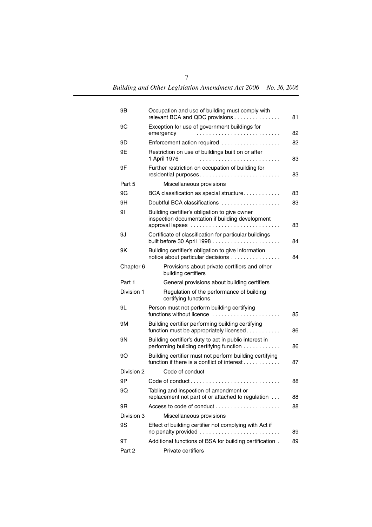| 9Β         | Occupation and use of building must comply with<br>relevant BCA and QDC provisions                     | 81 |
|------------|--------------------------------------------------------------------------------------------------------|----|
| 9C         | Exception for use of government buildings for<br>emergency                                             | 82 |
| 9D         | Enforcement action required                                                                            | 82 |
| 9Ε         | Restriction on use of buildings built on or after<br>1 April 1976                                      | 83 |
| 9F         | Further restriction on occupation of building for                                                      | 83 |
| Part 5     | Miscellaneous provisions                                                                               |    |
| 9G         | BCA classification as special structure                                                                | 83 |
| 9Η         | Doubtful BCA classifications                                                                           | 83 |
| 91         | Building certifier's obligation to give owner<br>inspection documentation if building development      | 83 |
| 9J         | Certificate of classification for particular buildings                                                 | 84 |
| 9Κ         | Building certifier's obligation to give information<br>notice about particular decisions               | 84 |
| Chapter 6  | Provisions about private certifiers and other<br>building certifiers                                   |    |
| Part 1     | General provisions about building certifiers                                                           |    |
| Division 1 | Regulation of the performance of building<br>certifying functions                                      |    |
| 9L         | Person must not perform building certifying<br>functions without licence                               | 85 |
| 9Μ         | Building certifier performing building certifying<br>function must be appropriately licensed           | 86 |
| 9Ν         | Building certifier's duty to act in public interest in<br>performing building certifying function      | 86 |
| 90         | Building certifier must not perform building certifying<br>function if there is a conflict of interest | 87 |
| Division 2 | Code of conduct                                                                                        |    |
| 9Ρ         |                                                                                                        | 88 |
| 9Q         | Tabling and inspection of amendment or<br>replacement not part of or attached to regulation            | 88 |
| 9R         | Access to code of conduct                                                                              | 88 |
| Division 3 | Miscellaneous provisions                                                                               |    |
| 9S         | Effect of building certifier not complying with Act if<br>no penalty provided                          | 89 |
| 9Τ         | Additional functions of BSA for building certification.                                                | 89 |
| Part 2     | Private certifiers                                                                                     |    |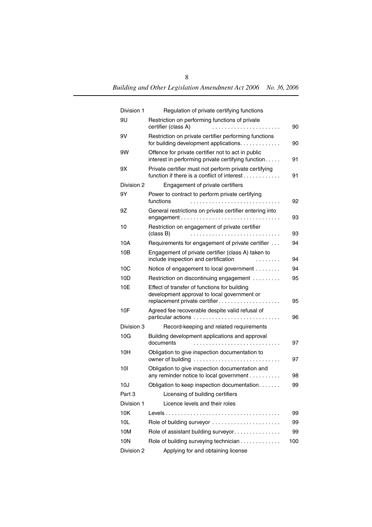| Division 1 | Regulation of private certifying functions                                                                                   |     |
|------------|------------------------------------------------------------------------------------------------------------------------------|-----|
| 9U         | Restriction on performing functions of private<br>certifier (class A)<br>.                                                   | 90  |
| 9V         | Restriction on private certifier performing functions<br>for building development applications.                              | 90  |
| 9W         | Offence for private certifier not to act in public<br>interest in performing private certifying function.                    | 91  |
| 9Χ         | Private certifier must not perform private certifying<br>function if there is a conflict of interest $\dots \dots \dots$     | 91  |
| Division 2 | Engagement of private certifiers                                                                                             |     |
| 9Y         | Power to contract to perform private certifying<br>functions                                                                 | 92  |
| 9Ζ         | General restrictions on private certifier entering into<br>engagement                                                        | 93  |
| 10         | Restriction on engagement of private certifier<br>(class B)                                                                  | 93  |
| 10A        | Requirements for engagement of private certifier                                                                             | 94  |
| 10B        | Engagement of private certifier (class A) taken to<br>include inspection and certification<br>.                              | 94  |
| 10C        | Notice of engagement to local government                                                                                     | 94  |
| 10D        | Restriction on discontinuing engagement                                                                                      | 95  |
| 10E        | Effect of transfer of functions for building<br>development approval to local government or<br>replacement private certifier | 95  |
| 10F        | Agreed fee recoverable despite valid refusal of                                                                              | 96  |
| Division 3 | Record-keeping and related requirements                                                                                      |     |
| 10G        | Building development applications and approval<br>documents                                                                  | 97  |
| 10H        | Obligation to give inspection documentation to                                                                               | 97  |
| 101        | Obligation to give inspection documentation and<br>any reminder notice to local government                                   | 98  |
| 10J        | Obligation to keep inspection documentation.                                                                                 | 99  |
| Part 3     | Licensing of building certifiers                                                                                             |     |
| Division 1 | Licence levels and their roles                                                                                               |     |
| 10K        |                                                                                                                              | 99  |
| 10L        | Role of building surveyor                                                                                                    | 99  |
| 10M        | Role of assistant building surveyor                                                                                          | 99  |
| 10N        | Role of building surveying technician                                                                                        | 100 |
| Division 2 | Applying for and obtaining license                                                                                           |     |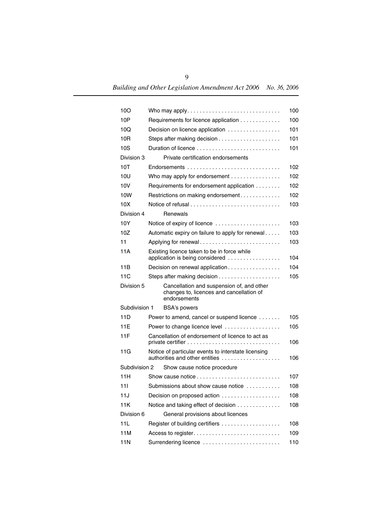| 100           |                                                                                                       | 100 |  |
|---------------|-------------------------------------------------------------------------------------------------------|-----|--|
| 10P           | Requirements for licence application                                                                  |     |  |
| 10Q           | Decision on licence application                                                                       |     |  |
| 10R           |                                                                                                       | 101 |  |
| 10S           |                                                                                                       | 101 |  |
| Division 3    | Private certification endorsements                                                                    |     |  |
| 10T           | Endorsements                                                                                          | 102 |  |
| 10U           | Who may apply for endorsement                                                                         | 102 |  |
| 10V           | Requirements for endorsement application                                                              | 102 |  |
| 10W           | Restrictions on making endorsement                                                                    | 102 |  |
| 10X           |                                                                                                       | 103 |  |
| Division 4    | Renewals                                                                                              |     |  |
| 10Y           | Notice of expiry of licence                                                                           | 103 |  |
| 10Z           | Automatic expiry on failure to apply for renewal                                                      | 103 |  |
| 11            | Applying for renewal                                                                                  | 103 |  |
| 11A           | Existing licence taken to be in force while<br>application is being considered                        | 104 |  |
| 11B           | Decision on renewal application                                                                       | 104 |  |
| 11C           |                                                                                                       | 105 |  |
| Division 5    | Cancellation and suspension of, and other<br>changes to, licences and cancellation of<br>endorsements |     |  |
| Subdivision 1 | <b>BSA's powers</b>                                                                                   |     |  |
| 11D           | Power to amend, cancel or suspend licence                                                             | 105 |  |
| 11E           | Power to change licence level                                                                         | 105 |  |
| 11F           | Cancellation of endorsement of licence to act as                                                      | 106 |  |
| 11G           | Notice of particular events to interstate licensing<br>authorities and other entities                 | 106 |  |
| Subdivision 2 | Show cause notice procedure                                                                           |     |  |
| 11H           |                                                                                                       | 107 |  |
| 111           | Submissions about show cause notice.                                                                  | 108 |  |
| 11J           | Decision on proposed action                                                                           | 108 |  |
| 11K           | Notice and taking effect of decision                                                                  | 108 |  |
| Division 6    | General provisions about licences                                                                     |     |  |
| 11L           |                                                                                                       | 108 |  |
| 11M           |                                                                                                       | 109 |  |
| <b>11N</b>    | Surrendering licence                                                                                  | 110 |  |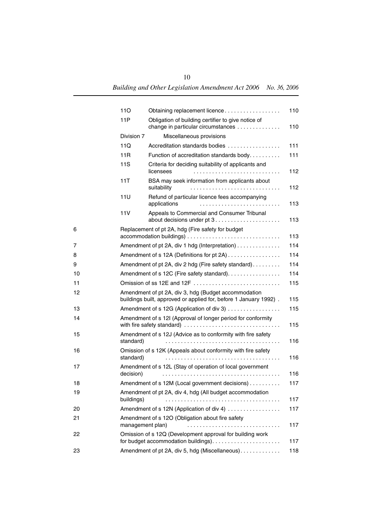|    | 110              | Obtaining replacement licence                                                                                             | 110 |
|----|------------------|---------------------------------------------------------------------------------------------------------------------------|-----|
|    | 11P              | Obligation of building certifier to give notice of                                                                        |     |
|    |                  | change in particular circumstances                                                                                        | 110 |
|    | Division 7       | Miscellaneous provisions                                                                                                  |     |
|    | 11Q              | Accreditation standards bodies                                                                                            | 111 |
|    | 11R              | Function of accreditation standards body.                                                                                 | 111 |
|    | 11S              | Criteria for deciding suitability of applicants and<br>licensees                                                          | 112 |
|    | 11T              | BSA may seek information from applicants about<br>suitability                                                             | 112 |
|    | 11U              | Refund of particular licence fees accompanying<br>applications                                                            | 113 |
|    | 11V              | Appeals to Commercial and Consumer Tribunal                                                                               | 113 |
| 6  |                  | Replacement of pt 2A, hdg (Fire safety for budget                                                                         | 113 |
| 7  |                  | Amendment of pt 2A, div 1 hdg (Interpretation)                                                                            | 114 |
| 8  |                  | Amendment of s 12A (Definitions for pt 2A)                                                                                | 114 |
| 9  |                  | Amendment of pt 2A, div 2 hdg (Fire safety standard).                                                                     | 114 |
| 10 |                  | Amendment of s 12C (Fire safety standard).                                                                                | 114 |
| 11 |                  | Omission of ss 12E and 12F                                                                                                | 115 |
| 12 |                  | Amendment of pt 2A, div 3, hdg (Budget accommodation<br>buildings built, approved or applied for, before 1 January 1992). | 115 |
| 13 |                  | Amendment of s 12G (Application of div 3)                                                                                 | 115 |
| 14 |                  | Amendment of s 12I (Approval of longer period for conformity<br>with fire safety standard)                                | 115 |
| 15 | standard)        | Amendment of s 12J (Advice as to conformity with fire safety                                                              | 116 |
| 16 | standard)        | Omission of s 12K (Appeals about conformity with fire safety                                                              | 116 |
| 17 | decision)        | Amendment of s 12L (Stay of operation of local government                                                                 | 116 |
| 18 |                  | Amendment of s 12M (Local government decisions)                                                                           | 117 |
| 19 | buildings)       | Amendment of pt 2A, div 4, hdg (All budget accommodation                                                                  | 117 |
| 20 |                  | Amendment of s 12N (Application of div 4)                                                                                 | 117 |
| 21 | management plan) | Amendment of s 12O (Obligation about fire safety                                                                          | 117 |
| 22 |                  | Omission of s 12Q (Development approval for building work                                                                 | 117 |
| 23 |                  | Amendment of pt 2A, div 5, hdg (Miscellaneous).                                                                           | 118 |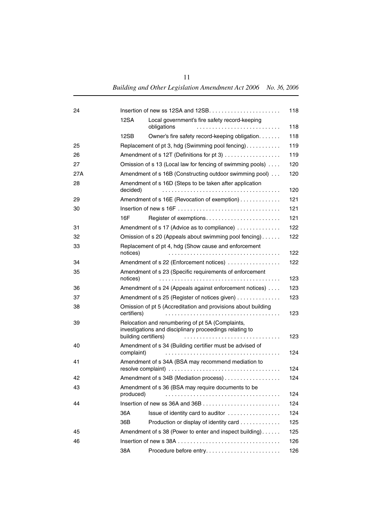| 24  |             |                                                                                                                                     | 118 |  |
|-----|-------------|-------------------------------------------------------------------------------------------------------------------------------------|-----|--|
|     | 12SA        | Local government's fire safety record-keeping<br>obligations                                                                        | 118 |  |
|     | 12SB        | Owner's fire safety record-keeping obligation.                                                                                      | 118 |  |
| 25  |             | Replacement of pt 3, hdg (Swimming pool fencing)                                                                                    | 119 |  |
| 26  |             | Amendment of s 12T (Definitions for pt 3)                                                                                           | 119 |  |
| 27  |             | Omission of s 13 (Local law for fencing of swimming pools)                                                                          | 120 |  |
| 27A |             | Amendment of s 16B (Constructing outdoor swimming pool)                                                                             | 120 |  |
| 28  | decided)    | Amendment of s 16D (Steps to be taken after application<br>120                                                                      |     |  |
| 29  |             | Amendment of s 16E (Revocation of exemption)                                                                                        | 121 |  |
| 30  |             |                                                                                                                                     | 121 |  |
|     | 16F         | Register of exemptions                                                                                                              | 121 |  |
| 31  |             | Amendment of s 17 (Advice as to compliance)                                                                                         | 122 |  |
| 32  |             | Omission of s 20 (Appeals about swimming pool fencing)                                                                              | 122 |  |
| 33  | notices)    | Replacement of pt 4, hdg (Show cause and enforcement                                                                                | 122 |  |
| 34  |             | Amendment of s 22 (Enforcement notices)                                                                                             | 122 |  |
| 35  | notices)    | Amendment of s 23 (Specific requirements of enforcement                                                                             | 123 |  |
| 36  |             | Amendment of s 24 (Appeals against enforcement notices)                                                                             | 123 |  |
| 37  |             | Amendment of s 25 (Register of notices given)                                                                                       | 123 |  |
| 38  | certifiers) | Omission of pt 5 (Accreditation and provisions about building                                                                       | 123 |  |
| 39  |             | Relocation and renumbering of pt 5A (Complaints,<br>investigations and disciplinary proceedings relating to<br>building certifiers) | 123 |  |
| 40  |             | Amendment of s 34 (Building certifier must be advised of                                                                            |     |  |
|     | complaint)  |                                                                                                                                     | 124 |  |
| 41  |             | Amendment of s 34A (BSA may recommend mediation to                                                                                  | 124 |  |
| 42  |             | Amendment of s 34B (Mediation process)                                                                                              | 124 |  |
| 43  | produced)   | Amendment of s 36 (BSA may require documents to be                                                                                  | 124 |  |
| 44  |             |                                                                                                                                     | 124 |  |
|     | 36A         | Issue of identity card to auditor                                                                                                   | 124 |  |
|     | 36B         | Production or display of identity card                                                                                              | 125 |  |
| 45  |             | Amendment of s 38 (Power to enter and inspect building)                                                                             | 125 |  |
| 46  |             |                                                                                                                                     | 126 |  |
|     | 38A         |                                                                                                                                     | 126 |  |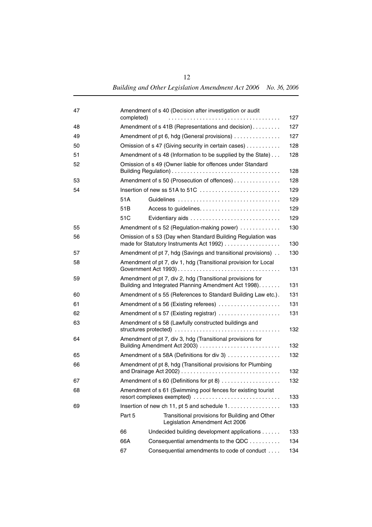| 47 | completed) | Amendment of s 40 (Decision after investigation or audit                                                           | 127 |  |
|----|------------|--------------------------------------------------------------------------------------------------------------------|-----|--|
| 48 |            | Amendment of s 41B (Representations and decision)                                                                  |     |  |
| 49 |            | Amendment of pt 6, hdg (General provisions)                                                                        |     |  |
| 50 |            | Omission of s 47 (Giving security in certain cases)                                                                |     |  |
| 51 |            | Amendment of s 48 (Information to be supplied by the State)                                                        | 128 |  |
| 52 |            | Omission of s 49 (Owner liable for offences under Standard                                                         | 128 |  |
| 53 |            | Amendment of s 50 (Prosecution of offences)                                                                        | 128 |  |
| 54 |            |                                                                                                                    | 129 |  |
|    | 51A        |                                                                                                                    | 129 |  |
|    | 51B        |                                                                                                                    | 129 |  |
|    | 51C        |                                                                                                                    | 129 |  |
| 55 |            | Amendment of s 52 (Regulation-making power)                                                                        | 130 |  |
| 56 |            | Omission of s 53 (Day when Standard Building Regulation was<br>made for Statutory Instruments Act 1992)            | 130 |  |
| 57 |            | Amendment of pt 7, hdg (Savings and transitional provisions)                                                       | 130 |  |
| 58 |            | Amendment of pt 7, div 1, hdg (Transitional provision for Local                                                    | 131 |  |
| 59 |            | Amendment of pt 7, div 2, hdg (Transitional provisions for<br>Building and Integrated Planning Amendment Act 1998) | 131 |  |
| 60 |            | Amendment of s 55 (References to Standard Building Law etc.).                                                      | 131 |  |
| 61 |            | Amendment of s 56 (Existing referees)                                                                              | 131 |  |
| 62 |            | Amendment of s 57 (Existing registrar)                                                                             | 131 |  |
| 63 |            | Amendment of s 58 (Lawfully constructed buildings and                                                              | 132 |  |
| 64 |            | Amendment of pt 7, div 3, hdg (Transitional provisions for<br>Building Amendment Act 2003)                         | 132 |  |
| 65 |            | Amendment of s 58A (Definitions for div 3)                                                                         | 132 |  |
| 66 |            | Amendment of pt 8, hdg (Transitional provisions for Plumbing                                                       | 132 |  |
| 67 |            | Amendment of s 60 (Definitions for pt 8)                                                                           | 132 |  |
| 68 |            | Amendment of s 61 (Swimming pool fences for existing tourist<br>resort complexes exempted)                         | 133 |  |
| 69 |            | Insertion of new ch 11, pt 5 and schedule 1.                                                                       | 133 |  |
|    | Part 5     | Transitional provisions for Building and Other<br>Legislation Amendment Act 2006                                   |     |  |
|    | 66         | Undecided building development applications                                                                        | 133 |  |
|    | 66A        | Consequential amendments to the QDC                                                                                | 134 |  |
|    | 67         | Consequential amendments to code of conduct                                                                        | 134 |  |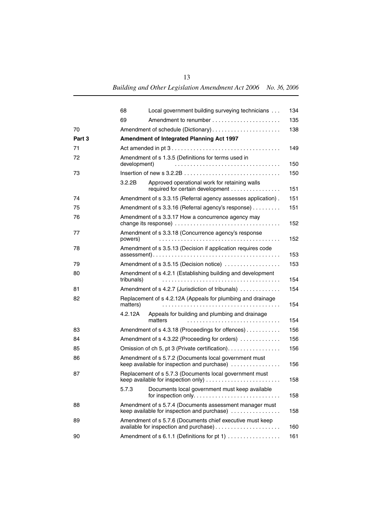|        | 68         | Local government building surveying technicians                                                        | 134 |  |
|--------|------------|--------------------------------------------------------------------------------------------------------|-----|--|
|        | 69         |                                                                                                        | 135 |  |
| 70     |            | 138                                                                                                    |     |  |
| Part 3 |            | Amendment of Integrated Planning Act 1997                                                              |     |  |
| 71     |            | 149                                                                                                    |     |  |
| 72     |            | Amendment of s 1.3.5 (Definitions for terms used in<br>development)<br>150                             |     |  |
| 73     |            |                                                                                                        | 150 |  |
|        | 3.2.2B     | Approved operational work for retaining walls<br>required for certain development                      | 151 |  |
| 74     |            | Amendment of s 3.3.15 (Referral agency assesses application).<br>151                                   |     |  |
| 75     |            | Amendment of s 3.3.16 (Referral agency's response)<br>151                                              |     |  |
| 76     |            | Amendment of s 3.3.17 How a concurrence agency may<br>152                                              |     |  |
| 77     | powers)    | Amendment of s 3.3.18 (Concurrence agency's response                                                   | 152 |  |
| 78     |            | Amendment of s 3.5.13 (Decision if application requires code<br>153                                    |     |  |
| 79     |            | Amendment of s 3.5.15 (Decision notice)                                                                | 153 |  |
| 80     | tribunals) | Amendment of s 4.2.1 (Establishing building and development                                            | 154 |  |
| 81     |            | Amendment of s 4.2.7 (Jurisdiction of tribunals)<br>154                                                |     |  |
| 82     | matters)   | Replacement of s 4.2.12A (Appeals for plumbing and drainage                                            | 154 |  |
|        | 4.2.12A    | Appeals for building and plumbing and drainage<br>matters                                              | 154 |  |
| 83     |            | Amendment of s 4.3.18 (Proceedings for offences)                                                       | 156 |  |
| 84     |            | Amendment of s 4.3.22 (Proceeding for orders)<br>156                                                   |     |  |
| 85     |            | Omission of ch 5, pt 3 (Private certification).                                                        | 156 |  |
| 86     |            | Amendment of s 5.7.2 (Documents local government must<br>keep available for inspection and purchase)   | 156 |  |
| 87     |            | Replacement of s 5.7.3 (Documents local government must                                                | 158 |  |
|        | 5.7.3      | Documents local government must keep available                                                         | 158 |  |
| 88     |            | Amendment of s 5.7.4 (Documents assessment manager must<br>keep available for inspection and purchase) | 158 |  |
| 89     |            | Amendment of s 5.7.6 (Documents chief executive must keep                                              | 160 |  |
| 90     |            | Amendment of s 6.1.1 (Definitions for pt 1)                                                            | 161 |  |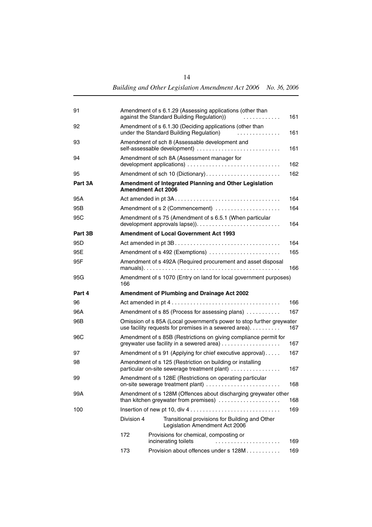| 91      |            | Amendment of s 6.1.29 (Assessing applications (other than<br>against the Standard Building Regulation))<br>.                           | 161 |  |
|---------|------------|----------------------------------------------------------------------------------------------------------------------------------------|-----|--|
| 92      |            | Amendment of s 6.1.30 (Deciding applications (other than<br>under the Standard Building Regulation)<br>.                               | 161 |  |
| 93      |            | Amendment of sch 8 (Assessable development and<br>self-assessable development)                                                         | 161 |  |
| 94      |            | Amendment of sch 8A (Assessment manager for                                                                                            | 162 |  |
| 95      |            |                                                                                                                                        | 162 |  |
| Part 3A |            | Amendment of Integrated Planning and Other Legislation<br><b>Amendment Act 2006</b>                                                    |     |  |
| 95A     |            |                                                                                                                                        | 164 |  |
| 95B     |            |                                                                                                                                        | 164 |  |
| 95C     |            | Amendment of s 75 (Amendment of s 6.5.1 (When particular                                                                               | 164 |  |
| Part 3B |            | <b>Amendment of Local Government Act 1993</b>                                                                                          |     |  |
| 95D     |            |                                                                                                                                        | 164 |  |
| 95E     |            | Amendment of s 492 (Exemptions)                                                                                                        | 165 |  |
| 95F     |            | Amendment of s 492A (Required procurement and asset disposal                                                                           | 166 |  |
| 95G     | 166        | Amendment of s 1070 (Entry on land for local government purposes)                                                                      |     |  |
| Part 4  |            | <b>Amendment of Plumbing and Drainage Act 2002</b>                                                                                     |     |  |
| 96      |            |                                                                                                                                        | 166 |  |
| 96A     |            | Amendment of s 85 (Process for assessing plans)                                                                                        | 167 |  |
| 96B     |            | Omission of s 85A (Local government's power to stop further greywater<br>use facility requests for premises in a sewered area).<br>167 |     |  |
| 96C     |            | Amendment of s 85B (Restrictions on giving compliance permit for                                                                       | 167 |  |
| 97      |            | Amendment of s 91 (Applying for chief executive approval)                                                                              | 167 |  |
| 98      |            | Amendment of s 125 (Restriction on building or installing<br>particular on-site sewerage treatment plant)<br>167                       |     |  |
| 99      |            | Amendment of s 128E (Restrictions on operating particular<br>168<br>on-site sewerage treatment plant)                                  |     |  |
| 99A     |            | Amendment of s 128M (Offences about discharging greywater other<br>than kitchen greywater from premises)<br>168                        |     |  |
| 100     |            | Insertion of new pt 10, div $4 \ldots \ldots \ldots \ldots \ldots \ldots \ldots \ldots \ldots$                                         | 169 |  |
|         | Division 4 | Transitional provisions for Building and Other<br>Legislation Amendment Act 2006                                                       |     |  |
|         | 172        | Provisions for chemical, composting or<br>incinerating toilets                                                                         | 169 |  |
|         | 173        | Provision about offences under s 128M                                                                                                  | 169 |  |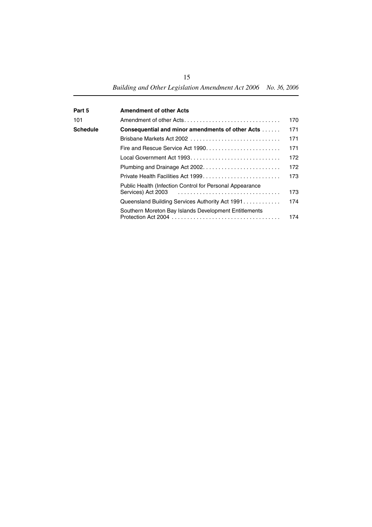| Part 5   | <b>Amendment of other Acts</b>                                                 |     |
|----------|--------------------------------------------------------------------------------|-----|
| 101      | Amendment of other Acts                                                        | 170 |
| Schedule | <b>Consequential and minor amendments of other Acts </b>                       | 171 |
|          | Brisbane Markets Act 2002                                                      | 171 |
|          | Fire and Rescue Service Act 1990                                               | 171 |
|          |                                                                                | 172 |
|          |                                                                                | 172 |
|          | Private Health Facilities Act 1999                                             | 173 |
|          | Public Health (Infection Control for Personal Appearance<br>Services) Act 2003 | 173 |
|          | Queensland Building Services Authority Act 1991                                | 174 |
|          | Southern Moreton Bay Islands Development Entitlements                          | 174 |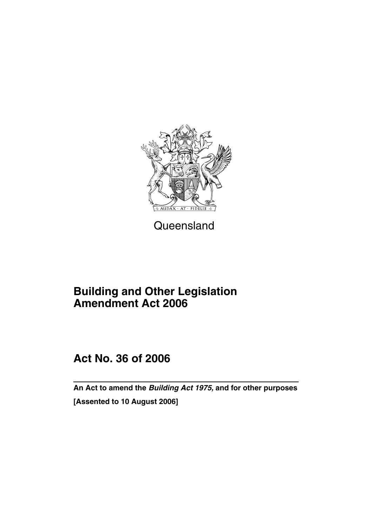

Queensland

### **Building and Other Legislation Amendment Act 2006**

### **Act No. 36 of 2006**

**An Act to amend the** *Building Act 1975,* **and for other purposes [Assented to 10 August 2006]**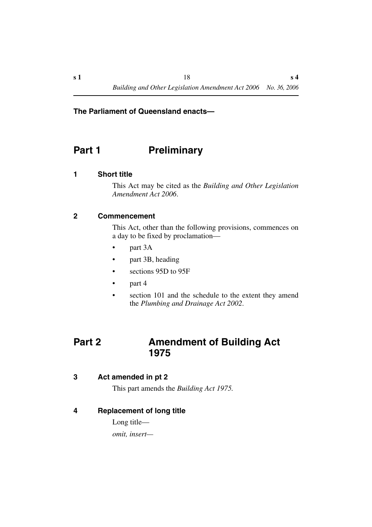#### **The Parliament of Queensland enacts—**

### <span id="page-19-0"></span>**Part 1** Preliminary

#### <span id="page-19-1"></span>**1 Short title**

This Act may be cited as the *Building and Other Legislation Amendment Act 2006*.

#### <span id="page-19-2"></span>**2 Commencement**

This Act, other than the following provisions, commences on a day to be fixed by proclamation—

- part 3A
- part 3B, heading
- sections 95D to 95F
- part 4
- section 101 and the schedule to the extent they amend the *Plumbing and Drainage Act 2002*.

### <span id="page-19-3"></span>**Part 2 Amendment of Building Act 1975**

#### <span id="page-19-4"></span>**3 Act amended in pt 2**

This part amends the *Building Act 1975.*

#### <span id="page-19-5"></span>**4 Replacement of long title**

Long title *omit, insert—*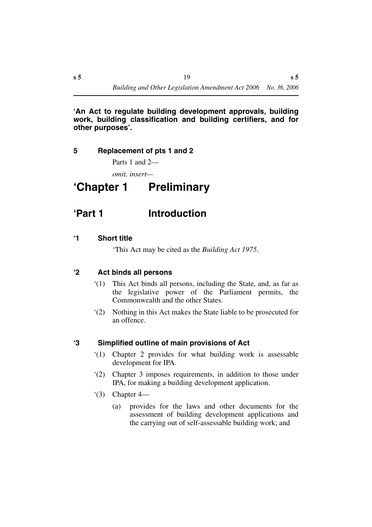#### **'An Act to regulate building development approvals, building work, building classification and building certifiers, and for other purposes'.**

#### <span id="page-20-0"></span>**5 Replacement of pts 1 and 2**

Parts 1 and 2—

*omit, insert—*

## <span id="page-20-1"></span>**'Chapter 1 Preliminary**

### <span id="page-20-2"></span>**'Part 1 Introduction**

#### <span id="page-20-3"></span>**'1 Short title**

'This Act may be cited as the *Building Act 1975*.

#### <span id="page-20-4"></span>**'2 Act binds all persons**

- '(1) This Act binds all persons, including the State, and, as far as the legislative power of the Parliament permits, the Commonwealth and the other States.
- '(2) Nothing in this Act makes the State liable to be prosecuted for an offence.

#### <span id="page-20-5"></span>**'3 Simplified outline of main provisions of Act**

- '(1) Chapter 2 provides for what building work is assessable development for IPA.
- '(2) Chapter 3 imposes requirements, in addition to those under IPA, for making a building development application.
- $(3)$  Chapter 4—
	- (a) provides for the laws and other documents for the assessment of building development applications and the carrying out of self-assessable building work; and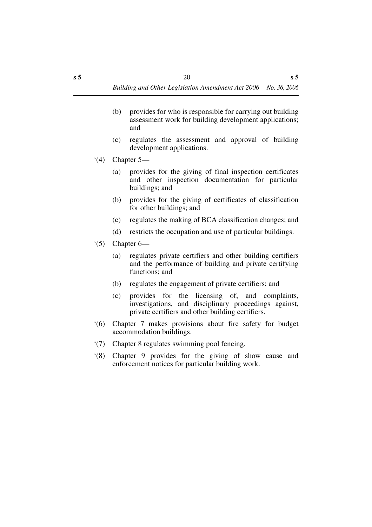- (b) provides for who is responsible for carrying out building assessment work for building development applications; and
- (c) regulates the assessment and approval of building development applications.
- $(4)$  Chapter 5—
	- (a) provides for the giving of final inspection certificates and other inspection documentation for particular buildings; and
	- (b) provides for the giving of certificates of classification for other buildings; and
	- (c) regulates the making of BCA classification changes; and
	- (d) restricts the occupation and use of particular buildings.
- $(5)$  Chapter 6—
	- (a) regulates private certifiers and other building certifiers and the performance of building and private certifying functions; and
	- (b) regulates the engagement of private certifiers; and
	- (c) provides for the licensing of, and complaints, investigations, and disciplinary proceedings against, private certifiers and other building certifiers.
- '(6) Chapter 7 makes provisions about fire safety for budget accommodation buildings.
- '(7) Chapter 8 regulates swimming pool fencing.
- '(8) Chapter 9 provides for the giving of show cause and enforcement notices for particular building work.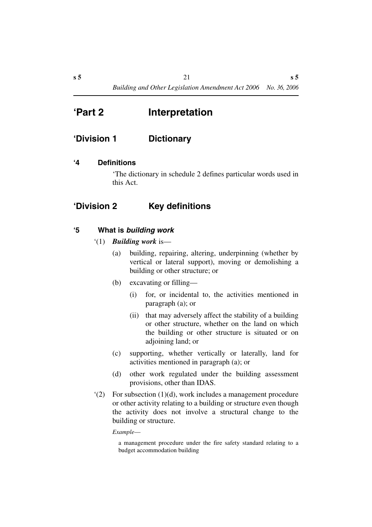### <span id="page-22-0"></span>**'Part 2 Interpretation**

### <span id="page-22-1"></span>**'Division 1 Dictionary**

#### <span id="page-22-2"></span>**'4 Definitions**

'The dictionary in schedule 2 defines particular words used in this Act.

#### <span id="page-22-3"></span>**'Division 2 Key definitions**

#### <span id="page-22-4"></span>**'5 What is** *building work*

- '(1) *Building work* is—
	- (a) building, repairing, altering, underpinning (whether by vertical or lateral support), moving or demolishing a building or other structure; or
	- (b) excavating or filling—
		- (i) for, or incidental to, the activities mentioned in paragraph (a); or
		- (ii) that may adversely affect the stability of a building or other structure, whether on the land on which the building or other structure is situated or on adjoining land; or
	- (c) supporting, whether vertically or laterally, land for activities mentioned in paragraph (a); or
	- (d) other work regulated under the building assessment provisions, other than IDAS.
- '(2) For subsection (1)(d), work includes a management procedure or other activity relating to a building or structure even though the activity does not involve a structural change to the building or structure.

*Example*—

a management procedure under the fire safety standard relating to a budget accommodation building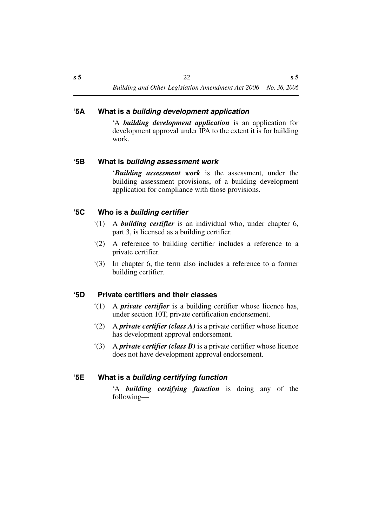#### <span id="page-23-0"></span>**'5A What is a** *building development application*

'A *building development application* is an application for development approval under IPA to the extent it is for building work.

#### <span id="page-23-1"></span>**'5B What is** *building assessment work*

'*Building assessment work* is the assessment, under the building assessment provisions, of a building development application for compliance with those provisions.

#### <span id="page-23-2"></span>**'5C Who is a** *building certifier*

- '(1) A *building certifier* is an individual who, under chapter 6, part 3, is licensed as a building certifier.
- '(2) A reference to building certifier includes a reference to a private certifier.
- '(3) In chapter 6, the term also includes a reference to a former building certifier.

#### <span id="page-23-3"></span>**'5D Private certifiers and their classes**

- '(1) A *private certifier* is a building certifier whose licence has, under section 10T, private certification endorsement.
- '(2) A *private certifier (class A)* is a private certifier whose licence has development approval endorsement.
- '(3) A *private certifier (class B)* is a private certifier whose licence does not have development approval endorsement.

#### <span id="page-23-4"></span>**'5E What is a** *building certifying function*

'A *building certifying function* is doing any of the following—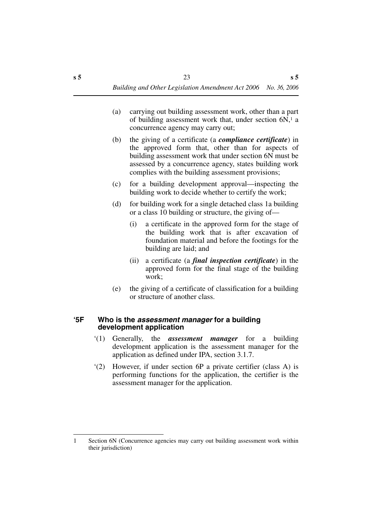- (a) carrying out building assessment work, other than a part of building assessment work that, under section  $6N<sub>1</sub>$  a concurrence agency may carry out;
- (b) the giving of a certificate (a *compliance certificate*) in the approved form that, other than for aspects of building assessment work that under section 6N must be assessed by a concurrence agency, states building work complies with the building assessment provisions;
- (c) for a building development approval—inspecting the building work to decide whether to certify the work;
- (d) for building work for a single detached class 1a building or a class 10 building or structure, the giving of—
	- (i) a certificate in the approved form for the stage of the building work that is after excavation of foundation material and before the footings for the building are laid; and
	- (ii) a certificate (a *final inspection certificate*) in the approved form for the final stage of the building work;
- (e) the giving of a certificate of classification for a building or structure of another class.

#### <span id="page-24-0"></span>**'5F Who is the** *assessment manager* **for a building development application**

- '(1) Generally, the *assessment manager* for a building development application is the assessment manager for the application as defined under IPA, section 3.1.7.
- '(2) However, if under section 6P a private certifier (class A) is performing functions for the application, the certifier is the assessment manager for the application.

<sup>1</sup> Section 6N (Concurrence agencies may carry out building assessment work within their jurisdiction)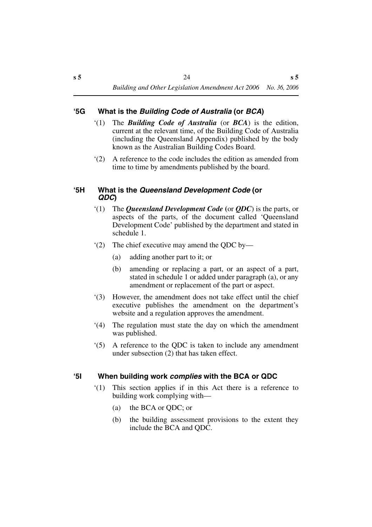#### <span id="page-25-0"></span>**'5G What is the** *Building Code of Australia* **(or** *BCA***)**

- '(1) The *Building Code of Australia* (or *BCA*) is the edition, current at the relevant time, of the Building Code of Australia (including the Queensland Appendix) published by the body known as the Australian Building Codes Board.
- '(2) A reference to the code includes the edition as amended from time to time by amendments published by the board.

#### <span id="page-25-1"></span>**'5H What is the** *Queensland Development Code* **(or**  *QDC***)**

- '(1) The *Queensland Development Code* **(**or *QDC*) is the parts, or aspects of the parts, of the document called 'Queensland Development Code' published by the department and stated in schedule 1.
- '(2) The chief executive may amend the QDC by—
	- (a) adding another part to it; or
	- (b) amending or replacing a part, or an aspect of a part, stated in schedule 1 or added under paragraph (a), or any amendment or replacement of the part or aspect.
- '(3) However, the amendment does not take effect until the chief executive publishes the amendment on the department's website and a regulation approves the amendment.
- '(4) The regulation must state the day on which the amendment was published.
- '(5) A reference to the QDC is taken to include any amendment under subsection (2) that has taken effect.

#### <span id="page-25-2"></span>**'5I When building work** *complies* **with the BCA or QDC**

- '(1) This section applies if in this Act there is a reference to building work complying with—
	- (a) the BCA or QDC; or
	- (b) the building assessment provisions to the extent they include the BCA and QDC.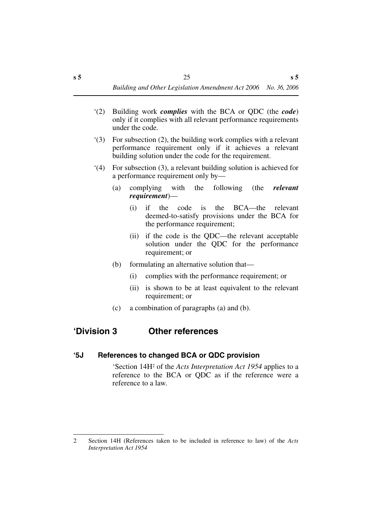- '(2) Building work *complies* with the BCA or QDC (the *code*) only if it complies with all relevant performance requirements under the code.
- '(3) For subsection (2), the building work complies with a relevant performance requirement only if it achieves a relevant building solution under the code for the requirement.
- '(4) For subsection (3), a relevant building solution is achieved for a performance requirement only by—
	- (a) complying with the following (the *relevant requirement*)—
		- (i) if the code is the BCA—the relevant deemed-to-satisfy provisions under the BCA for the performance requirement;
		- (ii) if the code is the QDC—the relevant acceptable solution under the QDC for the performance requirement; or
	- (b) formulating an alternative solution that—
		- (i) complies with the performance requirement; or
		- (ii) is shown to be at least equivalent to the relevant requirement; or
	- (c) a combination of paragraphs (a) and (b).

### <span id="page-26-0"></span>**'Division 3 Other references**

#### <span id="page-26-1"></span>**'5J References to changed BCA or QDC provision**

'Section 14H2 of the *Acts Interpretation Act 1954* applies to a reference to the BCA or QDC as if the reference were a reference to a law.

<sup>2</sup> Section 14H (References taken to be included in reference to law) of the *Acts Interpretation Act 1954*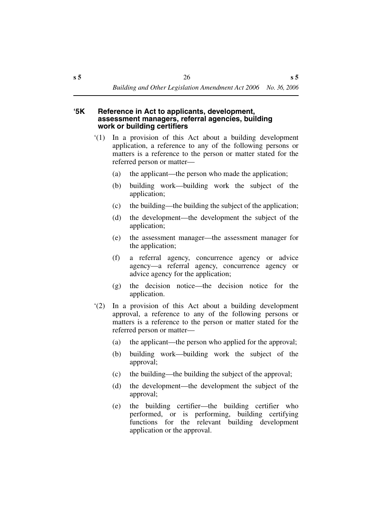#### <span id="page-27-0"></span>**'5K Reference in Act to applicants, development, assessment managers, referral agencies, building work or building certifiers**

- '(1) In a provision of this Act about a building development application, a reference to any of the following persons or matters is a reference to the person or matter stated for the referred person or matter—
	- (a) the applicant—the person who made the application;
	- (b) building work—building work the subject of the application;
	- (c) the building—the building the subject of the application;
	- (d) the development—the development the subject of the application;
	- (e) the assessment manager—the assessment manager for the application;
	- (f) a referral agency, concurrence agency or advice agency—a referral agency, concurrence agency or advice agency for the application;
	- (g) the decision notice—the decision notice for the application.
- '(2) In a provision of this Act about a building development approval, a reference to any of the following persons or matters is a reference to the person or matter stated for the referred person or matter—
	- (a) the applicant—the person who applied for the approval;
	- (b) building work—building work the subject of the approval;
	- (c) the building—the building the subject of the approval;
	- (d) the development—the development the subject of the approval;
	- (e) the building certifier—the building certifier who performed, or is performing, building certifying functions for the relevant building development application or the approval.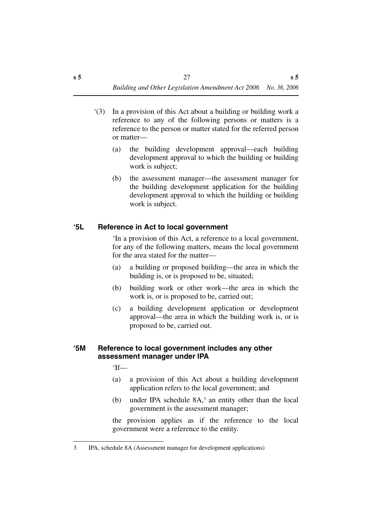- '(3) In a provision of this Act about a building or building work a reference to any of the following persons or matters is a reference to the person or matter stated for the referred person or matter—
	- (a) the building development approval—each building development approval to which the building or building work is subject;
	- (b) the assessment manager—the assessment manager for the building development application for the building development approval to which the building or building work is subject.

#### <span id="page-28-0"></span>**'5L Reference in Act to local government**

'In a provision of this Act, a reference to a local government, for any of the following matters, means the local government for the area stated for the matter—

- (a) a building or proposed building—the area in which the building is, or is proposed to be, situated;
- (b) building work or other work—the area in which the work is, or is proposed to be, carried out;
- (c) a building development application or development approval—the area in which the building work is, or is proposed to be, carried out.

#### <span id="page-28-1"></span>**'5M Reference to local government includes any other assessment manager under IPA**

'If—

- (a) a provision of this Act about a building development application refers to the local government; and
- (b) under IPA schedule 8A,3 an entity other than the local government is the assessment manager;

the provision applies as if the reference to the local government were a reference to the entity.

<sup>3</sup> IPA, schedule 8A (Assessment manager for development applications)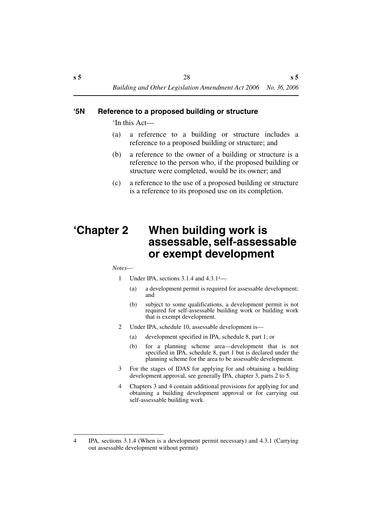#### <span id="page-29-0"></span>**'5N Reference to a proposed building or structure**

'In this Act—

- (a) a reference to a building or structure includes a reference to a proposed building or structure; and
- (b) a reference to the owner of a building or structure is a reference to the person who, if the proposed building or structure were completed, would be its owner; and
- (c) a reference to the use of a proposed building or structure is a reference to its proposed use on its completion.

### <span id="page-29-1"></span>**'Chapter 2 When building work is assessable, self-assessable or exempt development**

#### *Notes*—

- 1 Under IPA, sections 3.1.4 and 4.3.14—
	- (a) a development permit is required for assessable development; and
	- (b) subject to some qualifications, a development permit is not required for self-assessable building work or building work that is exempt development.
- 2 Under IPA, schedule 10, assessable development is—
	- (a) development specified in IPA, schedule 8, part 1; or
	- (b) for a planning scheme area—development that is not specified in IPA, schedule 8, part 1 but is declared under the planning scheme for the area to be assessable development.
- 3 For the stages of IDAS for applying for and obtaining a building development approval, see generally IPA, chapter 3, parts 2 to 5.
- 4 Chapters 3 and 4 contain additional provisions for applying for and obtaining a building development approval or for carrying out self-assessable building work.

<sup>4</sup> IPA, sections 3.1.4 (When is a development permit necessary) and 4.3.1 (Carrying out assessable development without permit)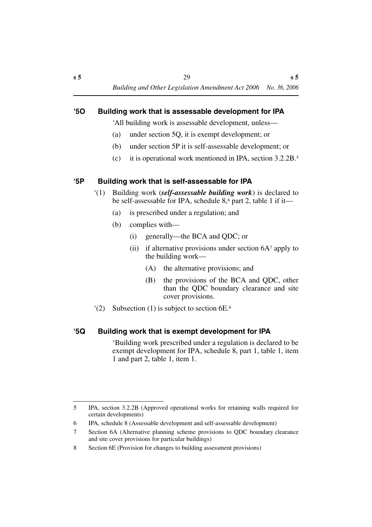#### <span id="page-30-0"></span>**'5O Building work that is assessable development for IPA**

'All building work is assessable development, unless—

- (a) under section 5Q, it is exempt development; or
- (b) under section 5P it is self-assessable development; or
- (c) it is operational work mentioned in IPA, section 3.2.2B.5

#### <span id="page-30-1"></span>**'5P Building work that is self-assessable for IPA**

- '(1) Building work (*self-assessable building work*) is declared to be self-assessable for IPA, schedule 8,<sup>6</sup> part 2, table 1 if it—
	- (a) is prescribed under a regulation; and
	- (b) complies with—
		- (i) generally—the BCA and QDC; or
		- (ii) if alternative provisions under section  $6A^7$  apply to the building work—
			- (A) the alternative provisions; and
			- (B) the provisions of the BCA and QDC, other than the QDC boundary clearance and site cover provisions.
- '(2) Subsection (1) is subject to section 6E.8

#### <span id="page-30-2"></span>**'5Q Building work that is exempt development for IPA**

'Building work prescribed under a regulation is declared to be exempt development for IPA, schedule 8, part 1, table 1, item 1 and part 2, table 1, item 1.

<sup>5</sup> IPA, section 3.2.2B (Approved operational works for retaining walls required for certain developments)

<sup>6</sup> IPA, schedule 8 (Assessable development and self-assessable development)

<sup>7</sup> Section 6A (Alternative planning scheme provisions to QDC boundary clearance and site cover provisions for particular buildings)

<sup>8</sup> Section 6E (Provision for changes to building assessment provisions)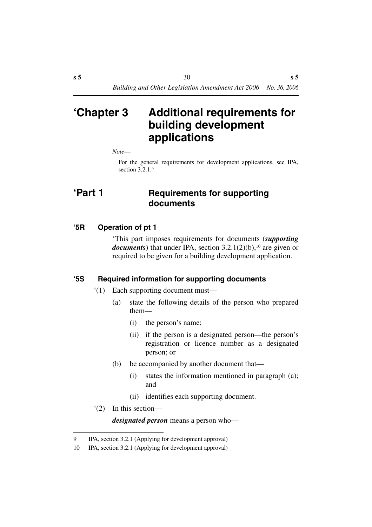### <span id="page-31-0"></span>**'Chapter 3 Additional requirements for building development applications**

*Note*—

For the general requirements for development applications, see IPA, section 3.2.1.9

### <span id="page-31-1"></span>**'Part 1 Requirements for supporting documents**

#### <span id="page-31-2"></span>**'5R Operation of pt 1**

'This part imposes requirements for documents (*supporting documents*) that under IPA, section 3.2.1(2)(b),<sup>10</sup> are given or required to be given for a building development application.

#### <span id="page-31-3"></span>**'5S Required information for supporting documents**

- '(1) Each supporting document must—
	- (a) state the following details of the person who prepared them—
		- (i) the person's name;
		- (ii) if the person is a designated person—the person's registration or licence number as a designated person; or
	- (b) be accompanied by another document that—
		- (i) states the information mentioned in paragraph (a); and
		- (ii) identifies each supporting document.
- '(2) In this section—

*designated person* means a person who—

<sup>9</sup> IPA, section 3.2.1 (Applying for development approval)

<sup>10</sup> IPA, section 3.2.1 (Applying for development approval)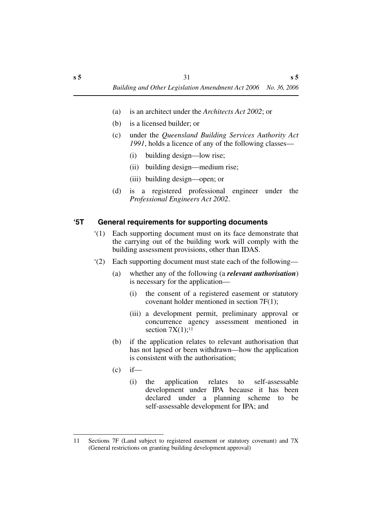- (a) is an architect under the *Architects Act 2002*; or
- (b) is a licensed builder; or
- (c) under the *Queensland Building Services Authority Act 1991*, holds a licence of any of the following classes—
	- (i) building design—low rise;
	- (ii) building design—medium rise;
	- (iii) building design—open; or
- (d) is a registered professional engineer under the *Professional Engineers Act 2002*.

#### <span id="page-32-0"></span>**'5T General requirements for supporting documents**

- '(1) Each supporting document must on its face demonstrate that the carrying out of the building work will comply with the building assessment provisions, other than IDAS.
- '(2) Each supporting document must state each of the following—
	- (a) whether any of the following (a *relevant authorisation*) is necessary for the application—
		- (i) the consent of a registered easement or statutory covenant holder mentioned in section 7F(1);
		- (iii) a development permit, preliminary approval or concurrence agency assessment mentioned in section  $7X(1)$ ;<sup>11</sup>
	- (b) if the application relates to relevant authorisation that has not lapsed or been withdrawn—how the application is consistent with the authorisation;
	- $(c)$  if—
		- (i) the application relates to self-assessable development under IPA because it has been declared under a planning scheme to be self-assessable development for IPA; and

<sup>11</sup> Sections 7F (Land subject to registered easement or statutory covenant) and 7X (General restrictions on granting building development approval)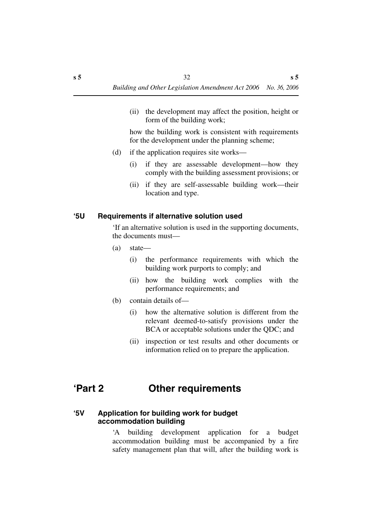(ii) the development may affect the position, height or form of the building work;

how the building work is consistent with requirements for the development under the planning scheme;

- (d) if the application requires site works—
	- (i) if they are assessable development—how they comply with the building assessment provisions; or
	- (ii) if they are self-assessable building work—their location and type.

#### <span id="page-33-0"></span>**'5U Requirements if alternative solution used**

'If an alternative solution is used in the supporting documents, the documents must—

- (a) state—
	- (i) the performance requirements with which the building work purports to comply; and
	- (ii) how the building work complies with the performance requirements; and
- (b) contain details of—
	- (i) how the alternative solution is different from the relevant deemed-to-satisfy provisions under the BCA or acceptable solutions under the QDC; and
	- (ii) inspection or test results and other documents or information relied on to prepare the application.

### <span id="page-33-1"></span>**'Part 2 Other requirements**

#### <span id="page-33-2"></span>**'5V Application for building work for budget accommodation building**

'A building development application for a budget accommodation building must be accompanied by a fire safety management plan that will, after the building work is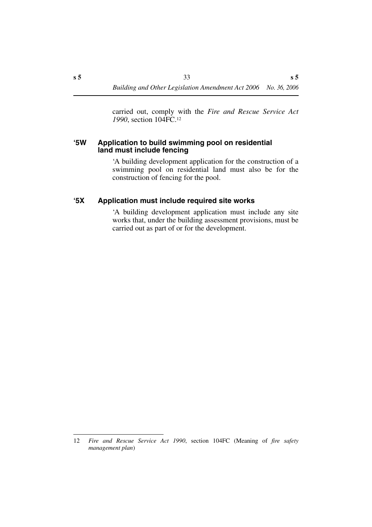carried out, comply with the *Fire and Rescue Service Act 1990*, section 104FC.12

#### <span id="page-34-0"></span>**'5W Application to build swimming pool on residential land must include fencing**

'A building development application for the construction of a swimming pool on residential land must also be for the construction of fencing for the pool.

#### <span id="page-34-1"></span>**'5X Application must include required site works**

'A building development application must include any site works that, under the building assessment provisions, must be carried out as part of or for the development.

<sup>12</sup> *Fire and Rescue Service Act 1990*, section 104FC (Meaning of *fire safety management plan*)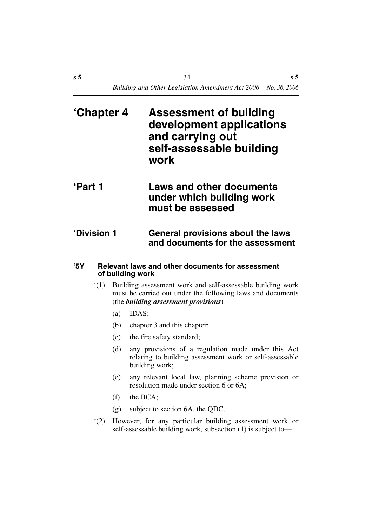<span id="page-35-1"></span><span id="page-35-0"></span>

| 'Chapter 4    | <b>Assessment of building</b><br>development applications<br>and carrying out<br>self-assessable building<br>work |
|---------------|-------------------------------------------------------------------------------------------------------------------|
| <b>Part 1</b> | <b>Laws and other documents</b><br>under which building work<br>must be assessed                                  |
| 'Division 1   | <b>General provisions about the laws</b><br>and documents for the assessment                                      |

#### <span id="page-35-3"></span><span id="page-35-2"></span>**'5Y Relevant laws and other documents for assessment of building work**

- '(1) Building assessment work and self-assessable building work must be carried out under the following laws and documents (the *building assessment provisions*)—
	- (a) IDAS;
	- (b) chapter 3 and this chapter;
	- (c) the fire safety standard;
	- (d) any provisions of a regulation made under this Act relating to building assessment work or self-assessable building work;
	- (e) any relevant local law, planning scheme provision or resolution made under section 6 or 6A;
	- (f) the BCA;
	- (g) subject to section 6A, the QDC.
- '(2) However, for any particular building assessment work or self-assessable building work, subsection (1) is subject to—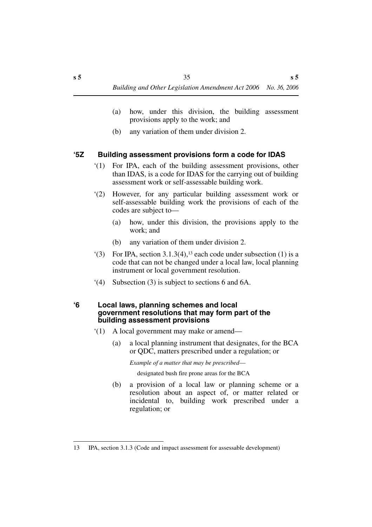- (a) how, under this division, the building assessment provisions apply to the work; and
- (b) any variation of them under division 2.

# **'5Z Building assessment provisions form a code for IDAS**

- '(1) For IPA, each of the building assessment provisions, other than IDAS, is a code for IDAS for the carrying out of building assessment work or self-assessable building work.
- '(2) However, for any particular building assessment work or self-assessable building work the provisions of each of the codes are subject to—
	- (a) how, under this division, the provisions apply to the work; and
	- (b) any variation of them under division 2.
- $(3)$  For IPA, section 3.1.3(4),<sup>13</sup> each code under subsection (1) is a code that can not be changed under a local law, local planning instrument or local government resolution.
- '(4) Subsection (3) is subject to sections 6 and 6A.

#### **'6 Local laws, planning schemes and local government resolutions that may form part of the building assessment provisions**

- '(1) A local government may make or amend—
	- (a) a local planning instrument that designates, for the BCA or QDC, matters prescribed under a regulation; or

*Example of a matter that may be prescribed*—

designated bush fire prone areas for the BCA

(b) a provision of a local law or planning scheme or a resolution about an aspect of, or matter related or incidental to, building work prescribed under a regulation; or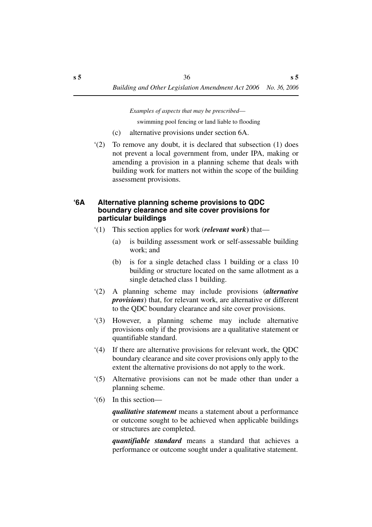*Examples of aspects that may be prescribed*—

swimming pool fencing or land liable to flooding

- (c) alternative provisions under section 6A.
- '(2) To remove any doubt, it is declared that subsection (1) does not prevent a local government from, under IPA, making or amending a provision in a planning scheme that deals with building work for matters not within the scope of the building assessment provisions.

### **'6A Alternative planning scheme provisions to QDC boundary clearance and site cover provisions for particular buildings**

- '(1) This section applies for work (*relevant work***)** that—
	- (a) is building assessment work or self-assessable building work; and
	- (b) is for a single detached class 1 building or a class 10 building or structure located on the same allotment as a single detached class 1 building.
- '(2) A planning scheme may include provisions (*alternative provisions*) that, for relevant work, are alternative or different to the QDC boundary clearance and site cover provisions.
- '(3) However, a planning scheme may include alternative provisions only if the provisions are a qualitative statement or quantifiable standard.
- '(4) If there are alternative provisions for relevant work, the QDC boundary clearance and site cover provisions only apply to the extent the alternative provisions do not apply to the work.
- '(5) Alternative provisions can not be made other than under a planning scheme.
- '(6) In this section—

*qualitative statement* means a statement about a performance or outcome sought to be achieved when applicable buildings or structures are completed.

*quantifiable standard* means a standard that achieves a performance or outcome sought under a qualitative statement.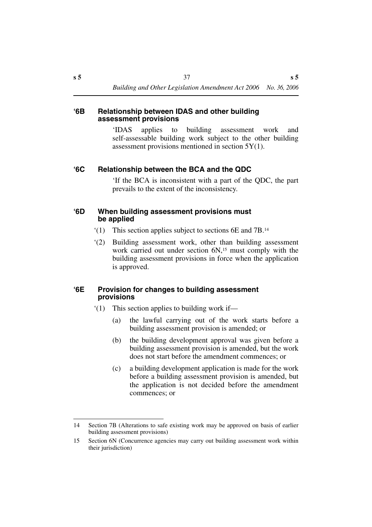#### **'6B Relationship between IDAS and other building assessment provisions**

'IDAS applies to building assessment work and self-assessable building work subject to the other building assessment provisions mentioned in section  $5Y(1)$ .

### **'6C Relationship between the BCA and the QDC**

'If the BCA is inconsistent with a part of the QDC, the part prevails to the extent of the inconsistency.

### **'6D When building assessment provisions must be applied**

- '(1) This section applies subject to sections 6E and 7B.14
- '(2) Building assessment work, other than building assessment work carried out under section 6N,<sup>15</sup> must comply with the building assessment provisions in force when the application is approved.

### **'6E Provision for changes to building assessment provisions**

- '(1) This section applies to building work if—
	- (a) the lawful carrying out of the work starts before a building assessment provision is amended; or
	- (b) the building development approval was given before a building assessment provision is amended, but the work does not start before the amendment commences; or
	- (c) a building development application is made for the work before a building assessment provision is amended, but the application is not decided before the amendment commences; or

<sup>14</sup> Section 7B (Alterations to safe existing work may be approved on basis of earlier building assessment provisions)

<sup>15</sup> Section 6N (Concurrence agencies may carry out building assessment work within their jurisdiction)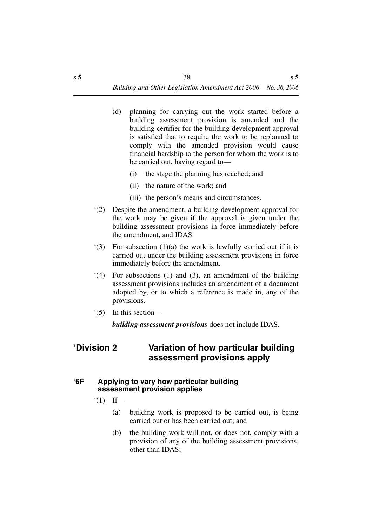- (d) planning for carrying out the work started before a building assessment provision is amended and the building certifier for the building development approval is satisfied that to require the work to be replanned to comply with the amended provision would cause financial hardship to the person for whom the work is to be carried out, having regard to—
	- (i) the stage the planning has reached; and
	- (ii) the nature of the work; and
	- (iii) the person's means and circumstances.
- '(2) Despite the amendment, a building development approval for the work may be given if the approval is given under the building assessment provisions in force immediately before the amendment, and IDAS.
- '(3) For subsection (1)(a) the work is lawfully carried out if it is carried out under the building assessment provisions in force immediately before the amendment.
- '(4) For subsections (1) and (3), an amendment of the building assessment provisions includes an amendment of a document adopted by, or to which a reference is made in, any of the provisions.
- '(5) In this section—

*building assessment provisions* does not include IDAS.

# **'Division 2 Variation of how particular building assessment provisions apply**

## **'6F Applying to vary how particular building assessment provision applies**

- $'(1)$  If—
	- (a) building work is proposed to be carried out, is being carried out or has been carried out; and
	- (b) the building work will not, or does not, comply with a provision of any of the building assessment provisions, other than IDAS;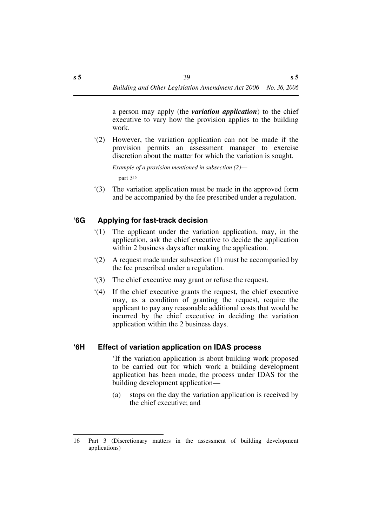a person may apply (the *variation application*) to the chief executive to vary how the provision applies to the building work.

'(2) However, the variation application can not be made if the provision permits an assessment manager to exercise discretion about the matter for which the variation is sought.

*Example of a provision mentioned in subsection (2)* part 316

'(3) The variation application must be made in the approved form and be accompanied by the fee prescribed under a regulation.

# **'6G Applying for fast-track decision**

- '(1) The applicant under the variation application, may, in the application, ask the chief executive to decide the application within 2 business days after making the application.
- '(2) A request made under subsection (1) must be accompanied by the fee prescribed under a regulation.
- '(3) The chief executive may grant or refuse the request.
- '(4) If the chief executive grants the request, the chief executive may, as a condition of granting the request, require the applicant to pay any reasonable additional costs that would be incurred by the chief executive in deciding the variation application within the 2 business days.

## **'6H Effect of variation application on IDAS process**

'If the variation application is about building work proposed to be carried out for which work a building development application has been made, the process under IDAS for the building development application—

(a) stops on the day the variation application is received by the chief executive; and

<sup>16</sup> Part 3 (Discretionary matters in the assessment of building development applications)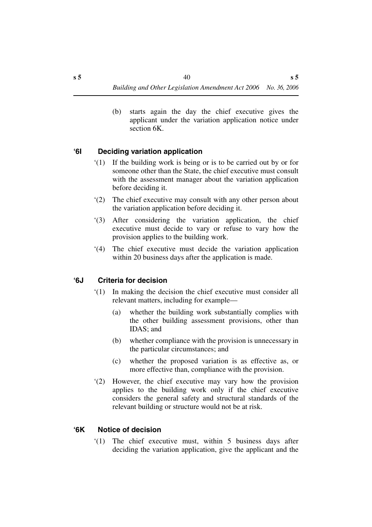(b) starts again the day the chief executive gives the applicant under the variation application notice under section 6K.

# **'6I Deciding variation application**

- '(1) If the building work is being or is to be carried out by or for someone other than the State, the chief executive must consult with the assessment manager about the variation application before deciding it.
- '(2) The chief executive may consult with any other person about the variation application before deciding it.
- '(3) After considering the variation application, the chief executive must decide to vary or refuse to vary how the provision applies to the building work.
- '(4) The chief executive must decide the variation application within 20 business days after the application is made.

# **'6J Criteria for decision**

- '(1) In making the decision the chief executive must consider all relevant matters, including for example—
	- (a) whether the building work substantially complies with the other building assessment provisions, other than IDAS; and
	- (b) whether compliance with the provision is unnecessary in the particular circumstances; and
	- (c) whether the proposed variation is as effective as, or more effective than, compliance with the provision.
- '(2) However, the chief executive may vary how the provision applies to the building work only if the chief executive considers the general safety and structural standards of the relevant building or structure would not be at risk.

## **'6K Notice of decision**

'(1) The chief executive must, within 5 business days after deciding the variation application, give the applicant and the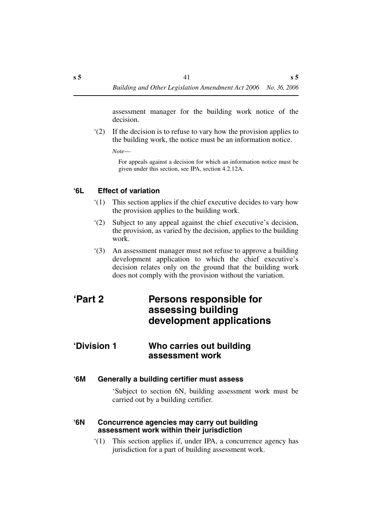assessment manager for the building work notice of the decision.

'(2) If the decision is to refuse to vary how the provision applies to the building work, the notice must be an information notice.

*Note*—

For appeals against a decision for which an information notice must be given under this section, see IPA, section 4.2.12A.

### **'6L Effect of variation**

- '(1) This section applies if the chief executive decides to vary how the provision applies to the building work.
- '(2) Subject to any appeal against the chief executive's decision, the provision, as varied by the decision, applies to the building work.
- '(3) An assessment manager must not refuse to approve a building development application to which the chief executive's decision relates only on the ground that the building work does not comply with the provision without the variation.

# **'Part 2 Persons responsible for assessing building development applications**

# **'Division 1 Who carries out building assessment work**

#### **'6M Generally a building certifier must assess**

'Subject to section 6N, building assessment work must be carried out by a building certifier.

#### **'6N Concurrence agencies may carry out building assessment work within their jurisdiction**

'(1) This section applies if, under IPA, a concurrence agency has jurisdiction for a part of building assessment work.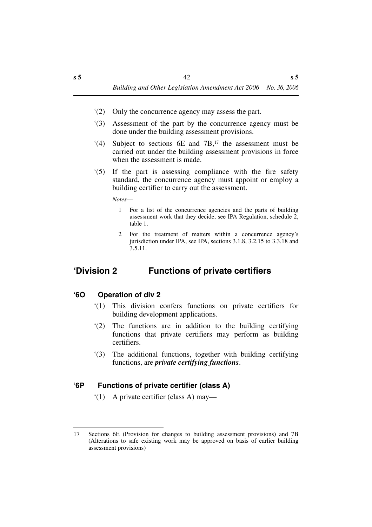- '(2) Only the concurrence agency may assess the part.
- '(3) Assessment of the part by the concurrence agency must be done under the building assessment provisions.
- '(4) Subject to sections  $6E$  and  $7B$ ,<sup>17</sup> the assessment must be carried out under the building assessment provisions in force when the assessment is made.
- '(5) If the part is assessing compliance with the fire safety standard, the concurrence agency must appoint or employ a building certifier to carry out the assessment.

*Notes*—

- 1 For a list of the concurrence agencies and the parts of building assessment work that they decide, see IPA Regulation, schedule 2, table 1.
- 2 For the treatment of matters within a concurrence agency's jurisdiction under IPA, see IPA, sections 3.1.8, 3.2.15 to 3.3.18 and 3.5.11.

# **'Division 2 Functions of private certifiers**

### **'6O Operation of div 2**

- '(1) This division confers functions on private certifiers for building development applications.
- '(2) The functions are in addition to the building certifying functions that private certifiers may perform as building certifiers.
- '(3) The additional functions, together with building certifying functions, are *private certifying functions*.

## **'6P Functions of private certifier (class A)**

'(1) A private certifier (class A) may—

<sup>17</sup> Sections 6E (Provision for changes to building assessment provisions) and 7B (Alterations to safe existing work may be approved on basis of earlier building assessment provisions)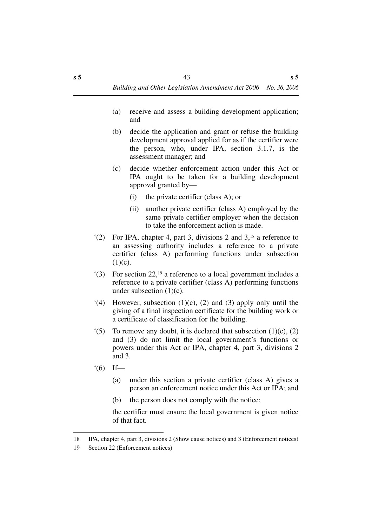- (a) receive and assess a building development application; and
- (b) decide the application and grant or refuse the building development approval applied for as if the certifier were the person, who, under IPA, section 3.1.7, is the assessment manager; and
- (c) decide whether enforcement action under this Act or IPA ought to be taken for a building development approval granted by—
	- (i) the private certifier (class A); or
	- (ii) another private certifier (class A) employed by the same private certifier employer when the decision to take the enforcement action is made.
- '(2) For IPA, chapter 4, part 3, divisions 2 and 3,18 a reference to an assessing authority includes a reference to a private certifier (class A) performing functions under subsection  $(1)(c)$ .
- '(3) For section 22,19 a reference to a local government includes a reference to a private certifier (class A) performing functions under subsection  $(1)(c)$ .
- $(4)$  However, subsection  $(1)(c)$ ,  $(2)$  and  $(3)$  apply only until the giving of a final inspection certificate for the building work or a certificate of classification for the building.
- $(5)$  To remove any doubt, it is declared that subsection  $(1)(c)$ ,  $(2)$ and (3) do not limit the local government's functions or powers under this Act or IPA, chapter 4, part 3, divisions 2 and 3.
- $'(6)$  If—
	- (a) under this section a private certifier (class A) gives a person an enforcement notice under this Act or IPA; and
	- (b) the person does not comply with the notice;

the certifier must ensure the local government is given notice of that fact.

<sup>18</sup> IPA, chapter 4, part 3, divisions 2 (Show cause notices) and 3 (Enforcement notices)

<sup>19</sup> Section 22 (Enforcement notices)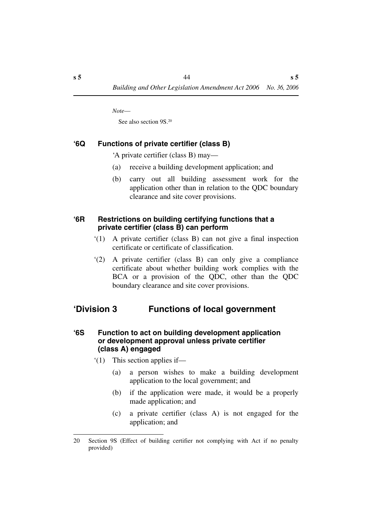*Note*—

See also section 9S.20

## **'6Q Functions of private certifier (class B)**

'A private certifier (class B) may—

- (a) receive a building development application; and
- (b) carry out all building assessment work for the application other than in relation to the QDC boundary clearance and site cover provisions.

### **'6R Restrictions on building certifying functions that a private certifier (class B) can perform**

- '(1) A private certifier (class B) can not give a final inspection certificate or certificate of classification.
- '(2) A private certifier (class B) can only give a compliance certificate about whether building work complies with the BCA or a provision of the QDC, other than the QDC boundary clearance and site cover provisions.

# **'Division 3 Functions of local government**

### **'6S Function to act on building development application or development approval unless private certifier (class A) engaged**

- '(1) This section applies if—
	- (a) a person wishes to make a building development application to the local government; and
	- (b) if the application were made, it would be a properly made application; and
	- (c) a private certifier (class A) is not engaged for the application; and

<sup>20</sup> Section 9S (Effect of building certifier not complying with Act if no penalty provided)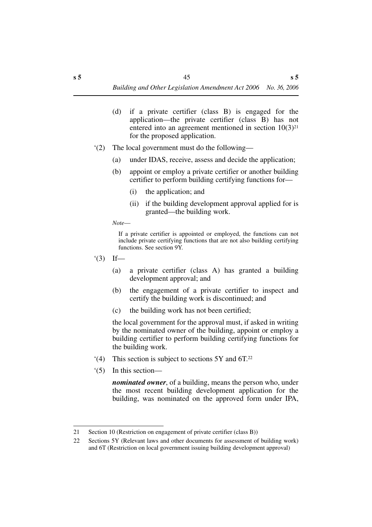- (d) if a private certifier (class B) is engaged for the application—the private certifier (class B) has not entered into an agreement mentioned in section  $10(3)^{21}$ for the proposed application.
- '(2) The local government must do the following—
	- (a) under IDAS, receive, assess and decide the application;
	- (b) appoint or employ a private certifier or another building certifier to perform building certifying functions for—
		- (i) the application; and
		- (ii) if the building development approval applied for is granted—the building work.

*Note*—

If a private certifier is appointed or employed, the functions can not include private certifying functions that are not also building certifying functions. See section 9Y.

- $'(3)$  If—
	- (a) a private certifier (class A) has granted a building development approval; and
	- (b) the engagement of a private certifier to inspect and certify the building work is discontinued; and
	- (c) the building work has not been certified;

the local government for the approval must, if asked in writing by the nominated owner of the building, appoint or employ a building certifier to perform building certifying functions for the building work.

- '(4) This section is subject to sections 5Y and 6T.22
- '(5) In this section—

*nominated owner*, of a building, means the person who, under the most recent building development application for the building, was nominated on the approved form under IPA,

<sup>21</sup> Section 10 (Restriction on engagement of private certifier (class B))

<sup>22</sup> Sections 5Y (Relevant laws and other documents for assessment of building work) and 6T (Restriction on local government issuing building development approval)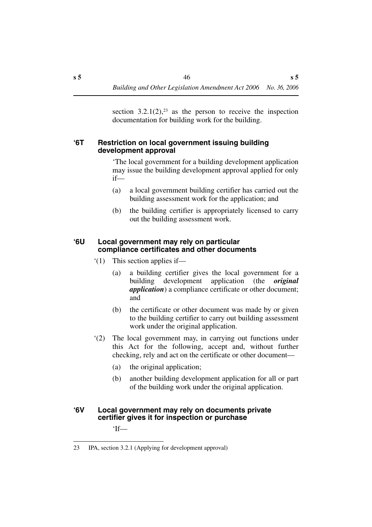section  $3.2.1(2)$ ,  $23$  as the person to receive the inspection documentation for building work for the building.

### **'6T Restriction on local government issuing building development approval**

'The local government for a building development application may issue the building development approval applied for only if—

- (a) a local government building certifier has carried out the building assessment work for the application; and
- (b) the building certifier is appropriately licensed to carry out the building assessment work.

### **'6U Local government may rely on particular compliance certificates and other documents**

- '(1) This section applies if—
	- (a) a building certifier gives the local government for a building development application (the *original application*) a compliance certificate or other document; and
	- (b) the certificate or other document was made by or given to the building certifier to carry out building assessment work under the original application.
- '(2) The local government may, in carrying out functions under this Act for the following, accept and, without further checking, rely and act on the certificate or other document—
	- (a) the original application;
	- (b) another building development application for all or part of the building work under the original application.

## **'6V Local government may rely on documents private certifier gives it for inspection or purchase**

'If—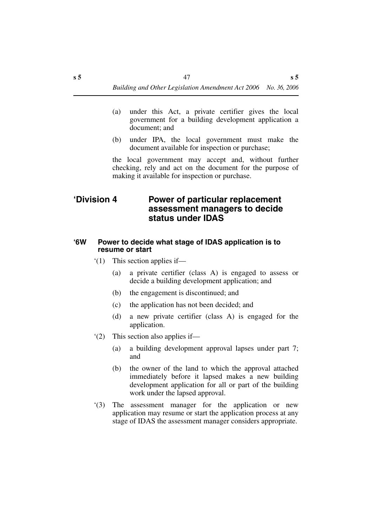- (a) under this Act, a private certifier gives the local government for a building development application a document; and
- (b) under IPA, the local government must make the document available for inspection or purchase;

the local government may accept and, without further checking, rely and act on the document for the purpose of making it available for inspection or purchase.

# **'Division 4 Power of particular replacement assessment managers to decide status under IDAS**

#### **'6W Power to decide what stage of IDAS application is to resume or start**

- '(1) This section applies if—
	- (a) a private certifier (class A) is engaged to assess or decide a building development application; and
	- (b) the engagement is discontinued; and
	- (c) the application has not been decided; and
	- (d) a new private certifier (class A) is engaged for the application.
- '(2) This section also applies if—
	- (a) a building development approval lapses under part 7; and
	- (b) the owner of the land to which the approval attached immediately before it lapsed makes a new building development application for all or part of the building work under the lapsed approval.
- '(3) The assessment manager for the application or new application may resume or start the application process at any stage of IDAS the assessment manager considers appropriate.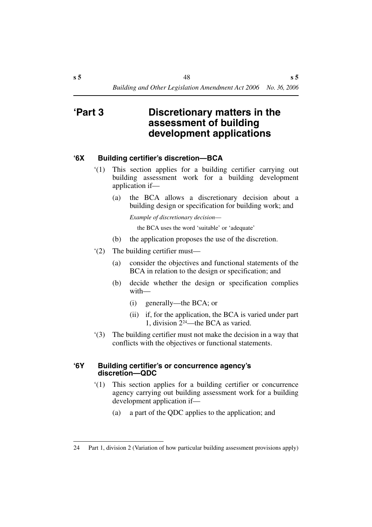# **'Part 3 Discretionary matters in the assessment of building development applications**

### **'6X Building certifier's discretion—BCA**

- '(1) This section applies for a building certifier carrying out building assessment work for a building development application if—
	- (a) the BCA allows a discretionary decision about a building design or specification for building work; and

*Example of discretionary decision*—

the BCA uses the word 'suitable' or 'adequate'

- (b) the application proposes the use of the discretion.
- '(2) The building certifier must—
	- (a) consider the objectives and functional statements of the BCA in relation to the design or specification; and
	- (b) decide whether the design or specification complies with—
		- (i) generally—the BCA; or
		- (ii) if, for the application, the BCA is varied under part 1, division 224—the BCA as varied.
- '(3) The building certifier must not make the decision in a way that conflicts with the objectives or functional statements.

#### **'6Y Building certifier's or concurrence agency's discretion—QDC**

- '(1) This section applies for a building certifier or concurrence agency carrying out building assessment work for a building development application if—
	- (a) a part of the QDC applies to the application; and

<sup>24</sup> Part 1, division 2 (Variation of how particular building assessment provisions apply)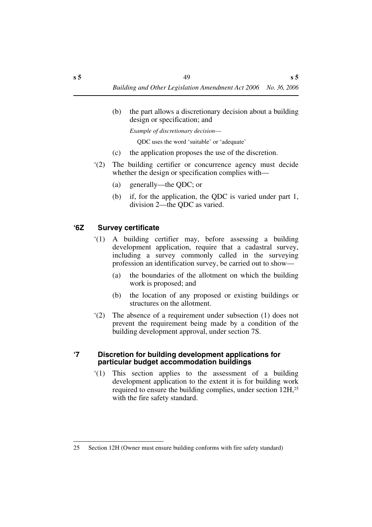(b) the part allows a discretionary decision about a building design or specification; and

*Example of discretionary decision*—

QDC uses the word 'suitable' or 'adequate'

- (c) the application proposes the use of the discretion.
- '(2) The building certifier or concurrence agency must decide whether the design or specification complies with—
	- (a) generally—the QDC; or
	- (b) if, for the application, the QDC is varied under part 1, division 2—the QDC as varied.

# **'6Z Survey certificate**

- '(1) A building certifier may, before assessing a building development application, require that a cadastral survey, including a survey commonly called in the surveying profession an identification survey, be carried out to show—
	- (a) the boundaries of the allotment on which the building work is proposed; and
	- (b) the location of any proposed or existing buildings or structures on the allotment.
- '(2) The absence of a requirement under subsection (1) does not prevent the requirement being made by a condition of the building development approval, under section 7S.

### **'7 Discretion for building development applications for particular budget accommodation buildings**

'(1) This section applies to the assessment of a building development application to the extent it is for building work required to ensure the building complies, under section 12H,25 with the fire safety standard.

<sup>25</sup> Section 12H (Owner must ensure building conforms with fire safety standard)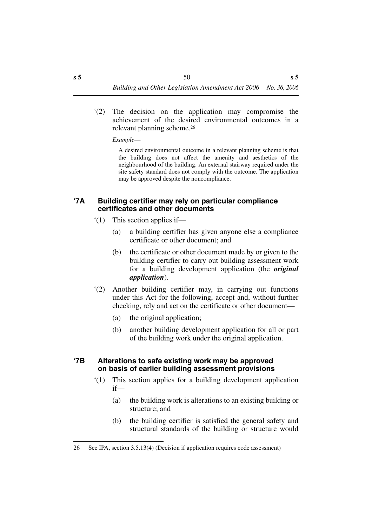'(2) The decision on the application may compromise the achievement of the desired environmental outcomes in a relevant planning scheme.26

*Example*—

A desired environmental outcome in a relevant planning scheme is that the building does not affect the amenity and aesthetics of the neighbourhood of the building. An external stairway required under the site safety standard does not comply with the outcome. The application may be approved despite the noncompliance.

### **'7A Building certifier may rely on particular compliance certificates and other documents**

- '(1) This section applies if—
	- (a) a building certifier has given anyone else a compliance certificate or other document; and
	- (b) the certificate or other document made by or given to the building certifier to carry out building assessment work for a building development application (the *original application*).
- '(2) Another building certifier may, in carrying out functions under this Act for the following, accept and, without further checking, rely and act on the certificate or other document—
	- (a) the original application;
	- (b) another building development application for all or part of the building work under the original application.

### **'7B Alterations to safe existing work may be approved on basis of earlier building assessment provisions**

- '(1) This section applies for a building development application if—
	- (a) the building work is alterations to an existing building or structure; and
	- (b) the building certifier is satisfied the general safety and structural standards of the building or structure would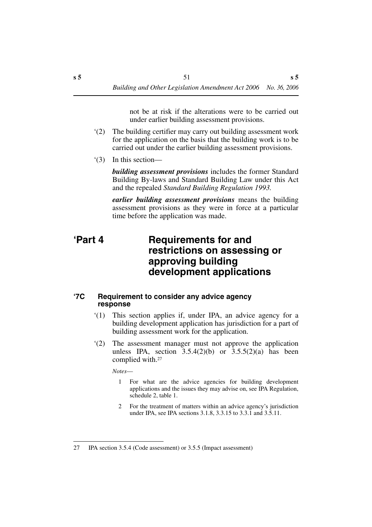not be at risk if the alterations were to be carried out under earlier building assessment provisions.

- '(2) The building certifier may carry out building assessment work for the application on the basis that the building work is to be carried out under the earlier building assessment provisions.
- '(3) In this section—

*building assessment provisions* includes the former Standard Building By-laws and Standard Building Law under this Act and the repealed *Standard Building Regulation 1993.*

*earlier building assessment provisions* means the building assessment provisions as they were in force at a particular time before the application was made.

# **'Part 4 Requirements for and restrictions on assessing or approving building development applications**

## **'7C Requirement to consider any advice agency response**

- '(1) This section applies if, under IPA, an advice agency for a building development application has jurisdiction for a part of building assessment work for the application.
- '(2) The assessment manager must not approve the application unless IPA, section  $3.5.4(2)(b)$  or  $3.5.5(2)(a)$  has been complied with.27

*Notes*—

- 1 For what are the advice agencies for building development applications and the issues they may advise on, see IPA Regulation, schedule 2, table 1.
- 2 For the treatment of matters within an advice agency's jurisdiction under IPA, see IPA sections 3.1.8, 3.3.15 to 3.3.1 and 3.5.11.

<sup>27</sup> IPA section 3.5.4 (Code assessment) or 3.5.5 (Impact assessment)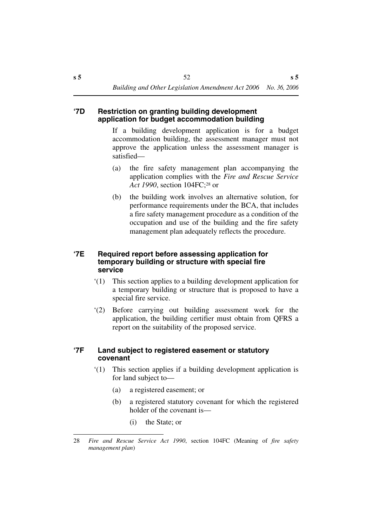### **'7D Restriction on granting building development application for budget accommodation building**

If a building development application is for a budget accommodation building, the assessment manager must not approve the application unless the assessment manager is satisfied—

- (a) the fire safety management plan accompanying the application complies with the *Fire and Rescue Service* Act 1990, section 104FC;<sup>28</sup> or
- (b) the building work involves an alternative solution, for performance requirements under the BCA, that includes a fire safety management procedure as a condition of the occupation and use of the building and the fire safety management plan adequately reflects the procedure.

### **'7E Required report before assessing application for temporary building or structure with special fire service**

- '(1) This section applies to a building development application for a temporary building or structure that is proposed to have a special fire service.
- '(2) Before carrying out building assessment work for the application, the building certifier must obtain from QFRS a report on the suitability of the proposed service.

### **'7F Land subject to registered easement or statutory covenant**

- '(1) This section applies if a building development application is for land subject to—
	- (a) a registered easement; or
	- (b) a registered statutory covenant for which the registered holder of the covenant is—
		- (i) the State; or

<sup>28</sup> *Fire and Rescue Service Act 1990*, section 104FC (Meaning of *fire safety management plan*)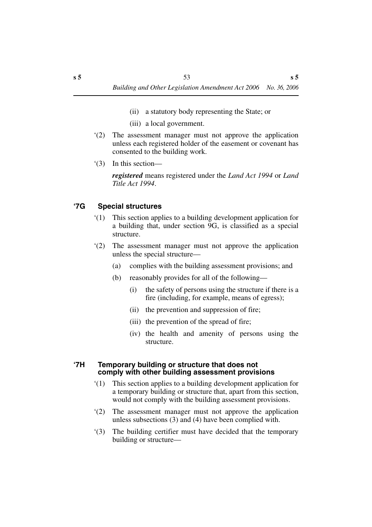- (ii) a statutory body representing the State; or
- (iii) a local government.
- '(2) The assessment manager must not approve the application unless each registered holder of the easement or covenant has consented to the building work.
- '(3) In this section—

*registered* means registered under the *Land Act 1994* or *Land Title Act 1994*.

## **'7G Special structures**

- '(1) This section applies to a building development application for a building that, under section 9G, is classified as a special structure.
- '(2) The assessment manager must not approve the application unless the special structure—
	- (a) complies with the building assessment provisions; and
	- (b) reasonably provides for all of the following—
		- (i) the safety of persons using the structure if there is a fire (including, for example, means of egress);
		- (ii) the prevention and suppression of fire;
		- (iii) the prevention of the spread of fire;
		- (iv) the health and amenity of persons using the structure.

### **'7H Temporary building or structure that does not comply with other building assessment provisions**

- '(1) This section applies to a building development application for a temporary building or structure that, apart from this section, would not comply with the building assessment provisions.
- '(2) The assessment manager must not approve the application unless subsections (3) and (4) have been complied with.
- '(3) The building certifier must have decided that the temporary building or structure—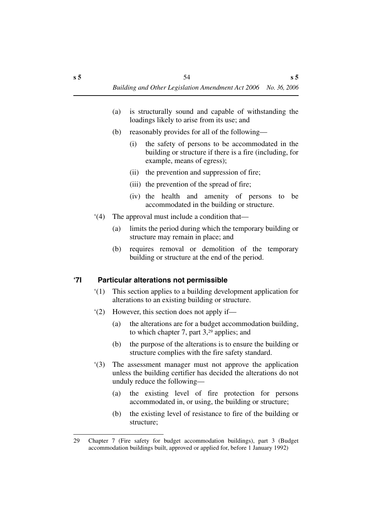- (a) is structurally sound and capable of withstanding the loadings likely to arise from its use; and
- (b) reasonably provides for all of the following—
	- (i) the safety of persons to be accommodated in the building or structure if there is a fire (including, for example, means of egress);
	- (ii) the prevention and suppression of fire;
	- (iii) the prevention of the spread of fire;
	- (iv) the health and amenity of persons to be accommodated in the building or structure.
- '(4) The approval must include a condition that—
	- (a) limits the period during which the temporary building or structure may remain in place; and
	- (b) requires removal or demolition of the temporary building or structure at the end of the period.

# **'7I Particular alterations not permissible**

- '(1) This section applies to a building development application for alterations to an existing building or structure.
- '(2) However, this section does not apply if—
	- (a) the alterations are for a budget accommodation building, to which chapter 7, part 3,29 applies; and
	- (b) the purpose of the alterations is to ensure the building or structure complies with the fire safety standard.
- '(3) The assessment manager must not approve the application unless the building certifier has decided the alterations do not unduly reduce the following—
	- (a) the existing level of fire protection for persons accommodated in, or using, the building or structure;
	- (b) the existing level of resistance to fire of the building or structure;

<sup>29</sup> Chapter 7 (Fire safety for budget accommodation buildings), part 3 (Budget accommodation buildings built, approved or applied for, before 1 January 1992)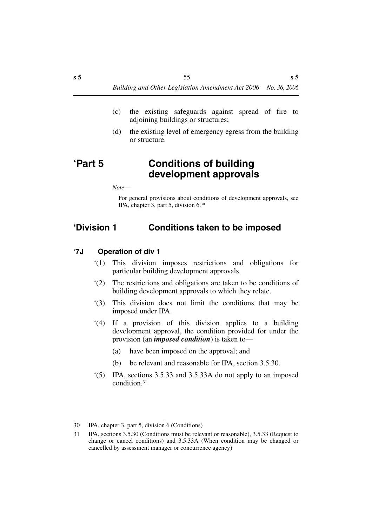- (c) the existing safeguards against spread of fire to adjoining buildings or structures;
- (d) the existing level of emergency egress from the building or structure.

# **'Part 5 Conditions of building development approvals**

*Note*—

For general provisions about conditions of development approvals, see IPA, chapter 3, part 5, division 6.30

# **'Division 1 Conditions taken to be imposed**

- **'7J Operation of div 1**
	- '(1) This division imposes restrictions and obligations for particular building development approvals.
	- '(2) The restrictions and obligations are taken to be conditions of building development approvals to which they relate.
	- '(3) This division does not limit the conditions that may be imposed under IPA.
	- '(4) If a provision of this division applies to a building development approval, the condition provided for under the provision (an *imposed condition*) is taken to—
		- (a) have been imposed on the approval; and
		- (b) be relevant and reasonable for IPA, section 3.5.30.
	- '(5) IPA, sections 3.5.33 and 3.5.33A do not apply to an imposed condition.31

<sup>30</sup> IPA, chapter 3, part 5, division 6 (Conditions)

<sup>31</sup> IPA, sections 3.5.30 (Conditions must be relevant or reasonable), 3.5.33 (Request to change or cancel conditions) and 3.5.33A (When condition may be changed or cancelled by assessment manager or concurrence agency)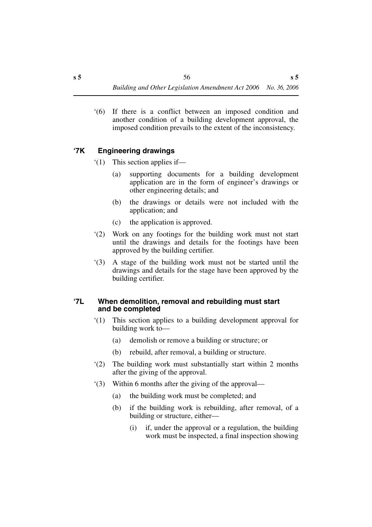'(6) If there is a conflict between an imposed condition and another condition of a building development approval, the imposed condition prevails to the extent of the inconsistency.

# **'7K Engineering drawings**

- '(1) This section applies if—
	- (a) supporting documents for a building development application are in the form of engineer's drawings or other engineering details; and
	- (b) the drawings or details were not included with the application; and
	- (c) the application is approved.
- '(2) Work on any footings for the building work must not start until the drawings and details for the footings have been approved by the building certifier.
- '(3) A stage of the building work must not be started until the drawings and details for the stage have been approved by the building certifier.

### **'7L When demolition, removal and rebuilding must start and be completed**

- '(1) This section applies to a building development approval for building work to—
	- (a) demolish or remove a building or structure; or
	- (b) rebuild, after removal, a building or structure.
- '(2) The building work must substantially start within 2 months after the giving of the approval.
- '(3) Within 6 months after the giving of the approval—
	- (a) the building work must be completed; and
	- (b) if the building work is rebuilding, after removal, of a building or structure, either—
		- (i) if, under the approval or a regulation, the building work must be inspected, a final inspection showing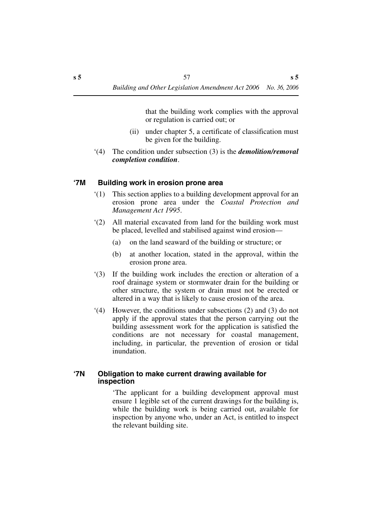that the building work complies with the approval or regulation is carried out; or

- (ii) under chapter 5, a certificate of classification must be given for the building.
- '(4) The condition under subsection (3) is the *demolition/removal completion condition*.

## **'7M Building work in erosion prone area**

- '(1) This section applies to a building development approval for an erosion prone area under the *Coastal Protection and Management Act 1995*.
- '(2) All material excavated from land for the building work must be placed, levelled and stabilised against wind erosion—
	- (a) on the land seaward of the building or structure; or
	- (b) at another location, stated in the approval, within the erosion prone area.
- '(3) If the building work includes the erection or alteration of a roof drainage system or stormwater drain for the building or other structure, the system or drain must not be erected or altered in a way that is likely to cause erosion of the area.
- '(4) However, the conditions under subsections (2) and (3) do not apply if the approval states that the person carrying out the building assessment work for the application is satisfied the conditions are not necessary for coastal management, including, in particular, the prevention of erosion or tidal inundation.

### **'7N Obligation to make current drawing available for inspection**

'The applicant for a building development approval must ensure 1 legible set of the current drawings for the building is, while the building work is being carried out, available for inspection by anyone who, under an Act, is entitled to inspect the relevant building site.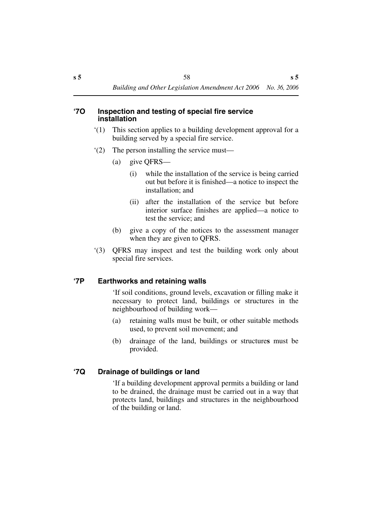#### **'7O Inspection and testing of special fire service installation**

- '(1) This section applies to a building development approval for a building served by a special fire service.
- '(2) The person installing the service must—
	- (a) give QFRS—
		- (i) while the installation of the service is being carried out but before it is finished—a notice to inspect the installation; and
		- (ii) after the installation of the service but before interior surface finishes are applied—a notice to test the service; and
	- (b) give a copy of the notices to the assessment manager when they are given to QFRS.
- '(3) QFRS may inspect and test the building work only about special fire services.

# **'7P Earthworks and retaining walls**

'If soil conditions, ground levels, excavation or filling make it necessary to protect land, buildings or structures in the neighbourhood of building work—

- (a) retaining walls must be built, or other suitable methods used, to prevent soil movement; and
- (b) drainage of the land, buildings or structure**s** must be provided.

# **'7Q Drainage of buildings or land**

'If a building development approval permits a building or land to be drained, the drainage must be carried out in a way that protects land, buildings and structures in the neighbourhood of the building or land.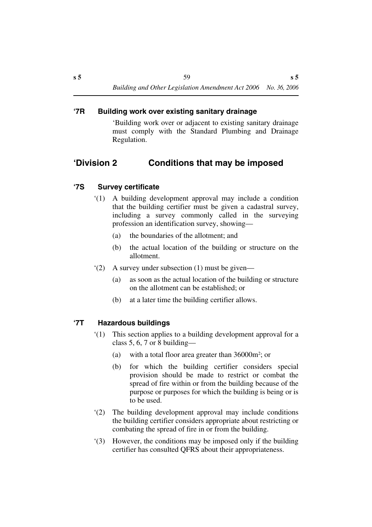## **'7R Building work over existing sanitary drainage**

'Building work over or adjacent to existing sanitary drainage must comply with the Standard Plumbing and Drainage Regulation.

# **'Division 2 Conditions that may be imposed**

# **'7S Survey certificate**

- '(1) A building development approval may include a condition that the building certifier must be given a cadastral survey, including a survey commonly called in the surveying profession an identification survey, showing—
	- (a) the boundaries of the allotment; and
	- (b) the actual location of the building or structure on the allotment.
- '(2) A survey under subsection (1) must be given—
	- (a) as soon as the actual location of the building or structure on the allotment can be established; or
	- (b) at a later time the building certifier allows.

# **'7T Hazardous buildings**

- '(1) This section applies to a building development approval for a class 5, 6, 7 or 8 building—
	- (a) with a total floor area greater than 36000m2; or
	- (b) for which the building certifier considers special provision should be made to restrict or combat the spread of fire within or from the building because of the purpose or purposes for which the building is being or is to be used.
- '(2) The building development approval may include conditions the building certifier considers appropriate about restricting or combating the spread of fire in or from the building.
- '(3) However, the conditions may be imposed only if the building certifier has consulted QFRS about their appropriateness.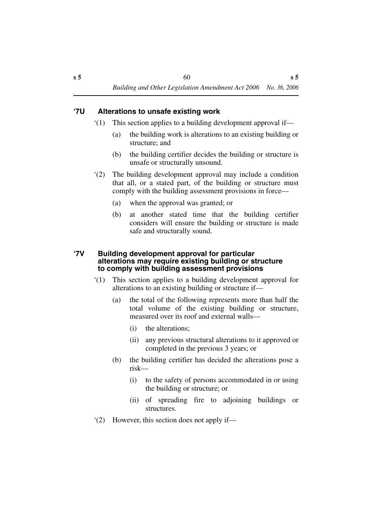# **'7U Alterations to unsafe existing work**

- '(1) This section applies to a building development approval if—
	- (a) the building work is alterations to an existing building or structure; and
	- (b) the building certifier decides the building or structure is unsafe or structurally unsound.
- '(2) The building development approval may include a condition that all, or a stated part, of the building or structure must comply with the building assessment provisions in force—
	- (a) when the approval was granted; or
	- (b) at another stated time that the building certifier considers will ensure the building or structure is made safe and structurally sound.

### **'7V Building development approval for particular alterations may require existing building or structure to comply with building assessment provisions**

- '(1) This section applies to a building development approval for alterations to an existing building or structure if—
	- (a) the total of the following represents more than half the total volume of the existing building or structure, measured over its roof and external walls—
		- (i) the alterations;
		- (ii) any previous structural alterations to it approved or completed in the previous 3 years; or
	- (b) the building certifier has decided the alterations pose a risk—
		- (i) to the safety of persons accommodated in or using the building or structure; or
		- (ii) of spreading fire to adjoining buildings or structures.
- '(2) However, this section does not apply if—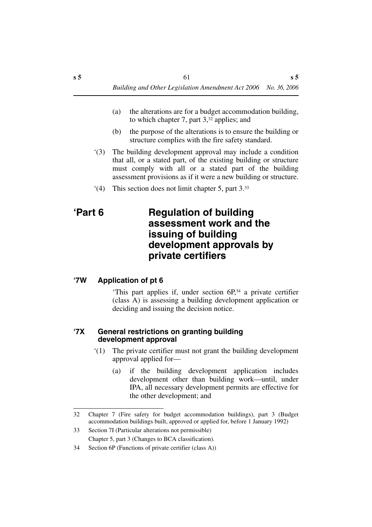- (a) the alterations are for a budget accommodation building, to which chapter 7, part 3,32 applies; and
- (b) the purpose of the alterations is to ensure the building or structure complies with the fire safety standard.
- '(3) The building development approval may include a condition that all, or a stated part, of the existing building or structure must comply with all or a stated part of the building assessment provisions as if it were a new building or structure.
- '(4) This section does not limit chapter 5, part 3.33

# **'Part 6 Regulation of building assessment work and the issuing of building development approvals by private certifiers**

# **'7W Application of pt 6**

'This part applies if, under section 6P,34 a private certifier (class A) is assessing a building development application or deciding and issuing the decision notice.

## **'7X General restrictions on granting building development approval**

- '(1) The private certifier must not grant the building development approval applied for—
	- (a) if the building development application includes development other than building work—until, under IPA, all necessary development permits are effective for the other development; and

<sup>32</sup> Chapter 7 (Fire safety for budget accommodation buildings), part 3 (Budget accommodation buildings built, approved or applied for, before 1 January 1992)

<sup>33</sup> Section 7I (Particular alterations not permissible) Chapter 5, part 3 (Changes to BCA classification).

<sup>34</sup> Section 6P (Functions of private certifier (class A))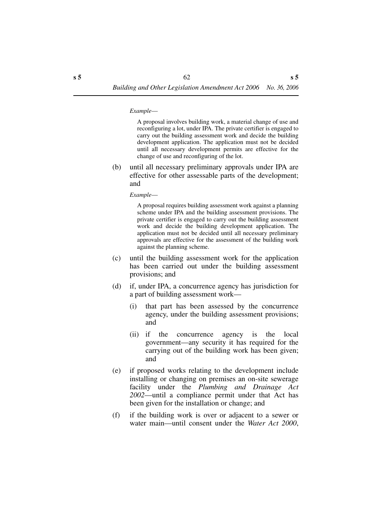*Example*—

A proposal involves building work, a material change of use and reconfiguring a lot, under IPA. The private certifier is engaged to carry out the building assessment work and decide the building development application. The application must not be decided until all necessary development permits are effective for the change of use and reconfiguring of the lot.

(b) until all necessary preliminary approvals under IPA are effective for other assessable parts of the development; and

*Example*—

A proposal requires building assessment work against a planning scheme under IPA and the building assessment provisions. The private certifier is engaged to carry out the building assessment work and decide the building development application. The application must not be decided until all necessary preliminary approvals are effective for the assessment of the building work against the planning scheme.

- (c) until the building assessment work for the application has been carried out under the building assessment provisions; and
- (d) if, under IPA, a concurrence agency has jurisdiction for a part of building assessment work—
	- (i) that part has been assessed by the concurrence agency, under the building assessment provisions; and
	- (ii) if the concurrence agency is the local government—any security it has required for the carrying out of the building work has been given; and
- (e) if proposed works relating to the development include installing or changing on premises an on-site sewerage facility under the *Plumbing and Drainage Act 2002*—until a compliance permit under that Act has been given for the installation or change; and
- (f) if the building work is over or adjacent to a sewer or water main—until consent under the *Water Act 2000*,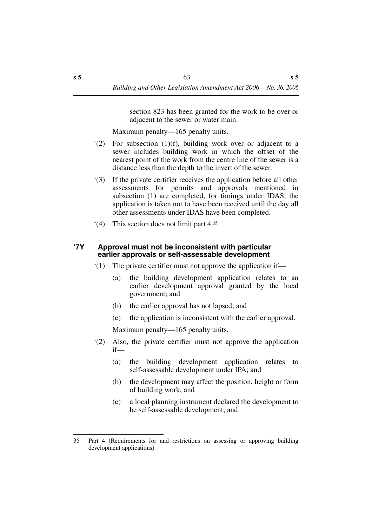section 823 has been granted for the work to be over or adjacent to the sewer or water main.

Maximum penalty—165 penalty units.

- '(2) For subsection (1)(f), building work over or adjacent to a sewer includes building work in which the offset of the nearest point of the work from the centre line of the sewer is a distance less than the depth to the invert of the sewer.
- '(3) If the private certifier receives the application before all other assessments for permits and approvals mentioned in subsection (1) are completed, for timings under IDAS, the application is taken not to have been received until the day all other assessments under IDAS have been completed.
- '(4) This section does not limit part 4.35

### **'7Y Approval must not be inconsistent with particular earlier approvals or self-assessable development**

- '(1) The private certifier must not approve the application if—
	- (a) the building development application relates to an earlier development approval granted by the local government; and
	- (b) the earlier approval has not lapsed; and
	- (c) the application is inconsistent with the earlier approval.

Maximum penalty—165 penalty units.

- '(2) Also, the private certifier must not approve the application if—
	- (a) the building development application relates to self-assessable development under IPA; and
	- (b) the development may affect the position, height or form of building work; and
	- (c) a local planning instrument declared the development to be self-assessable development; and

<sup>35</sup> Part 4 (Requirements for and restrictions on assessing or approving building development applications)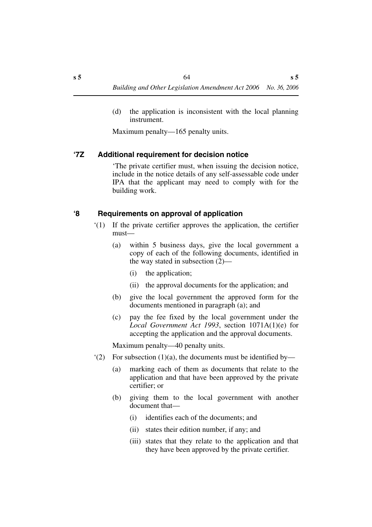(d) the application is inconsistent with the local planning instrument.

Maximum penalty—165 penalty units.

# **'7Z Additional requirement for decision notice**

'The private certifier must, when issuing the decision notice, include in the notice details of any self-assessable code under IPA that the applicant may need to comply with for the building work.

## **'8 Requirements on approval of application**

- '(1) If the private certifier approves the application, the certifier must—
	- (a) within 5 business days, give the local government a copy of each of the following documents, identified in the way stated in subsection (2)—
		- (i) the application;
		- (ii) the approval documents for the application; and
	- (b) give the local government the approved form for the documents mentioned in paragraph (a); and
	- (c) pay the fee fixed by the local government under the *Local Government Act 1993*, section 1071A(1)(e) for accepting the application and the approval documents.

Maximum penalty—40 penalty units.

- $(2)$  For subsection  $(1)(a)$ , the documents must be identified by—
	- (a) marking each of them as documents that relate to the application and that have been approved by the private certifier; or
	- (b) giving them to the local government with another document that—
		- (i) identifies each of the documents; and
		- (ii) states their edition number, if any; and
		- (iii) states that they relate to the application and that they have been approved by the private certifier.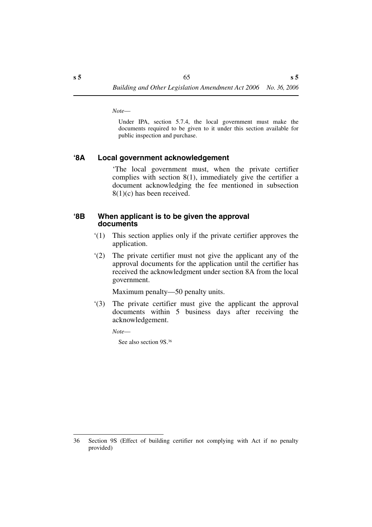*Note*—

Under IPA, section 5.7.4, the local government must make the documents required to be given to it under this section available for public inspection and purchase.

### **'8A Local government acknowledgement**

'The local government must, when the private certifier complies with section 8(1), immediately give the certifier a document acknowledging the fee mentioned in subsection 8(1)(c) has been received.

### **'8B When applicant is to be given the approval documents**

- '(1) This section applies only if the private certifier approves the application.
- '(2) The private certifier must not give the applicant any of the approval documents for the application until the certifier has received the acknowledgment under section 8A from the local government.

Maximum penalty—50 penalty units.

'(3) The private certifier must give the applicant the approval documents within 5 business days after receiving the acknowledgement.

*Note*—

See also section 9S.36

<sup>36</sup> Section 9S (Effect of building certifier not complying with Act if no penalty provided)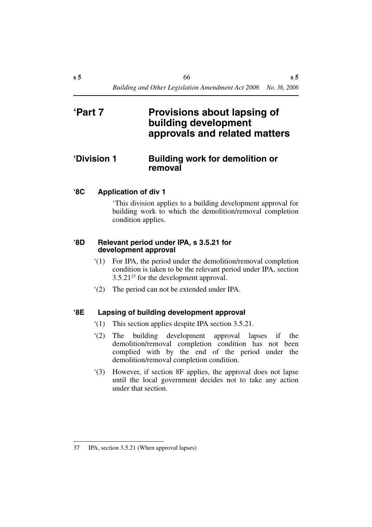# **'Part 7 Provisions about lapsing of building development approvals and related matters**

# **'Division 1 Building work for demolition or removal**

# **'8C Application of div 1**

'This division applies to a building development approval for building work to which the demolition/removal completion condition applies.

### **'8D Relevant period under IPA, s 3.5.21 for development approval**

- '(1) For IPA, the period under the demolition/removal completion condition is taken to be the relevant period under IPA, section 3.5.2137 for the development approval.
- '(2) The period can not be extended under IPA.

## **'8E Lapsing of building development approval**

- '(1) This section applies despite IPA section 3.5.21.
- '(2) The building development approval lapses if the demolition/removal completion condition has not been complied with by the end of the period under the demolition/removal completion condition.
- '(3) However, if section 8F applies, the approval does not lapse until the local government decides not to take any action under that section.

<sup>37</sup> IPA, section 3.5.21 (When approval lapses)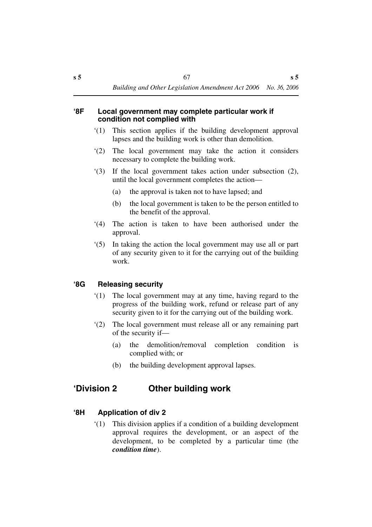### **'8F Local government may complete particular work if condition not complied with**

- '(1) This section applies if the building development approval lapses and the building work is other than demolition.
- '(2) The local government may take the action it considers necessary to complete the building work.
- '(3) If the local government takes action under subsection (2), until the local government completes the action—
	- (a) the approval is taken not to have lapsed; and
	- (b) the local government is taken to be the person entitled to the benefit of the approval.
- '(4) The action is taken to have been authorised under the approval.
- '(5) In taking the action the local government may use all or part of any security given to it for the carrying out of the building work.

# **'8G Releasing security**

- '(1) The local government may at any time, having regard to the progress of the building work, refund or release part of any security given to it for the carrying out of the building work.
- '(2) The local government must release all or any remaining part of the security if—
	- (a) the demolition/removal completion condition is complied with; or
	- (b) the building development approval lapses.

# **'Division 2 Other building work**

# **'8H Application of div 2**

'(1) This division applies if a condition of a building development approval requires the development, or an aspect of the development, to be completed by a particular time (the *condition time*).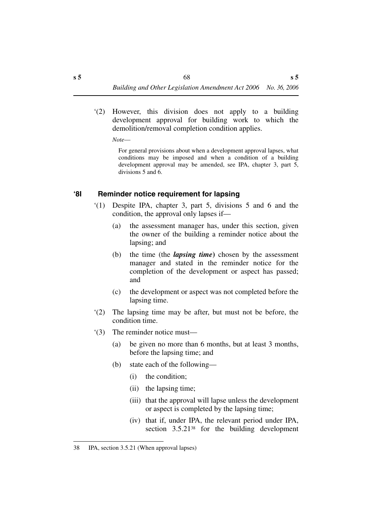'(2) However, this division does not apply to a building development approval for building work to which the demolition/removal completion condition applies.

*Note*—

For general provisions about when a development approval lapses, what conditions may be imposed and when a condition of a building development approval may be amended, see IPA, chapter 3, part 5, divisions 5 and 6.

# **'8I Reminder notice requirement for lapsing**

- '(1) Despite IPA, chapter 3, part 5, divisions 5 and 6 and the condition, the approval only lapses if—
	- (a) the assessment manager has, under this section, given the owner of the building a reminder notice about the lapsing; and
	- (b) the time (the *lapsing time***)** chosen by the assessment manager and stated in the reminder notice for the completion of the development or aspect has passed; and
	- (c) the development or aspect was not completed before the lapsing time.
- '(2) The lapsing time may be after, but must not be before, the condition time.
- '(3) The reminder notice must—
	- (a) be given no more than 6 months, but at least 3 months, before the lapsing time; and
	- (b) state each of the following—
		- (i) the condition;
		- (ii) the lapsing time;
		- (iii) that the approval will lapse unless the development or aspect is completed by the lapsing time;
		- (iv) that if, under IPA, the relevant period under IPA, section 3.5.21<sup>38</sup> for the building development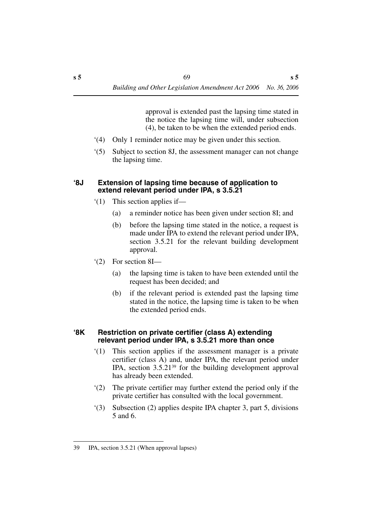approval is extended past the lapsing time stated in the notice the lapsing time will, under subsection (4), be taken to be when the extended period ends.

- '(4) Only 1 reminder notice may be given under this section.
- '(5) Subject to section 8J, the assessment manager can not change the lapsing time.

### **'8J Extension of lapsing time because of application to extend relevant period under IPA, s 3.5.21**

- '(1) This section applies if—
	- (a) a reminder notice has been given under section 8I; and
	- (b) before the lapsing time stated in the notice, a request is made under IPA to extend the relevant period under IPA, section 3.5.21 for the relevant building development approval.
- '(2) For section 8I—
	- (a) the lapsing time is taken to have been extended until the request has been decided; and
	- (b) if the relevant period is extended past the lapsing time stated in the notice, the lapsing time is taken to be when the extended period ends.

### **'8K Restriction on private certifier (class A) extending relevant period under IPA, s 3.5.21 more than once**

- '(1) This section applies if the assessment manager is a private certifier (class A) and, under IPA, the relevant period under IPA, section 3.5.2139 for the building development approval has already been extended.
- '(2) The private certifier may further extend the period only if the private certifier has consulted with the local government.
- '(3) Subsection (2) applies despite IPA chapter 3, part 5, divisions 5 and 6.

<sup>39</sup> IPA, section 3.5.21 (When approval lapses)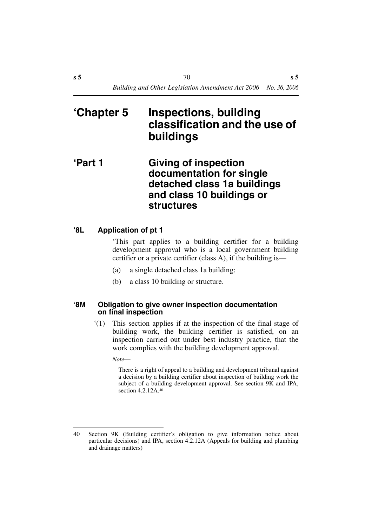# **'Chapter 5 Inspections, building classification and the use of buildings**

# **'Part 1 Giving of inspection documentation for single detached class 1a buildings and class 10 buildings or structures**

# **'8L Application of pt 1**

'This part applies to a building certifier for a building development approval who is a local government building certifier or a private certifier (class A), if the building is—

- (a) a single detached class 1a building;
- (b) a class 10 building or structure.

### **'8M Obligation to give owner inspection documentation on final inspection**

'(1) This section applies if at the inspection of the final stage of building work, the building certifier is satisfied, on an inspection carried out under best industry practice, that the work complies with the building development approval.

*Note*—

There is a right of appeal to a building and development tribunal against a decision by a building certifier about inspection of building work the subject of a building development approval. See section 9K and IPA, section 4.2.12A.<sup>40</sup>

<sup>40</sup> Section 9K (Building certifier's obligation to give information notice about particular decisions) and IPA, section 4.2.12A (Appeals for building and plumbing and drainage matters)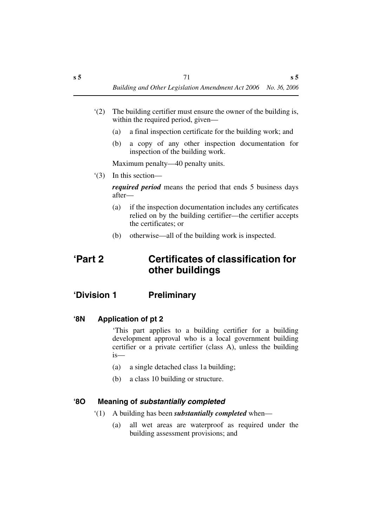- '(2) The building certifier must ensure the owner of the building is, within the required period, given—
	- (a) a final inspection certificate for the building work; and
	- (b) a copy of any other inspection documentation for inspection of the building work.

Maximum penalty—40 penalty units.

'(3) In this section—

*required period* means the period that ends 5 business days after—

- (a) if the inspection documentation includes any certificates relied on by the building certifier—the certifier accepts the certificates; or
- (b) otherwise—all of the building work is inspected.

## **'Part 2 Certificates of classification for other buildings**

## **'Division 1 Preliminary**

**'8N Application of pt 2**

'This part applies to a building certifier for a building development approval who is a local government building certifier or a private certifier (class A), unless the building is—

- (a) a single detached class 1a building;
- (b) a class 10 building or structure.

#### **'8O Meaning of** *substantially completed*

- '(1) A building has been *substantially completed* when—
	- (a) all wet areas are waterproof as required under the building assessment provisions; and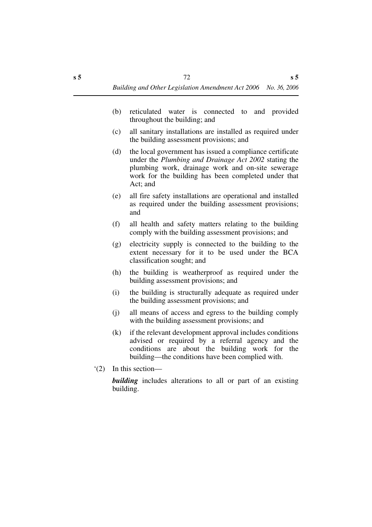- (b) reticulated water is connected to and provided throughout the building; and
- (c) all sanitary installations are installed as required under the building assessment provisions; and
- (d) the local government has issued a compliance certificate under the *Plumbing and Drainage Act 2002* stating the plumbing work, drainage work and on-site sewerage work for the building has been completed under that Act; and
- (e) all fire safety installations are operational and installed as required under the building assessment provisions; and
- (f) all health and safety matters relating to the building comply with the building assessment provisions; and
- (g) electricity supply is connected to the building to the extent necessary for it to be used under the BCA classification sought; and
- (h) the building is weatherproof as required under the building assessment provisions; and
- (i) the building is structurally adequate as required under the building assessment provisions; and
- (j) all means of access and egress to the building comply with the building assessment provisions; and
- (k) if the relevant development approval includes conditions advised or required by a referral agency and the conditions are about the building work for the building—the conditions have been complied with.
- '(2) In this section—

*building* includes alterations to all or part of an existing building.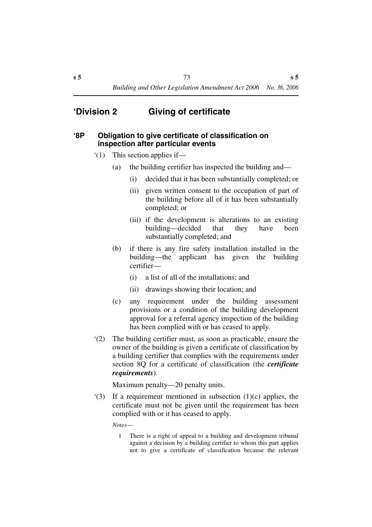## **'Division 2 Giving of certificate**

#### **'8P Obligation to give certificate of classification on inspection after particular events**

- '(1) This section applies if—
	- (a) the building certifier has inspected the building and—
		- (i) decided that it has been substantially completed; or
		- (ii) given written consent to the occupation of part of the building before all of it has been substantially completed; or
		- (iii) if the development is alterations to an existing building—decided that they have been substantially completed; and
	- (b) if there is any fire safety installation installed in the building—the applicant has given the building certifier—
		- (i) a list of all of the installations; and
		- (ii) drawings showing their location; and
	- (c) any requirement under the building assessment provisions or a condition of the building development approval for a referral agency inspection of the building has been complied with or has ceased to apply.
- '(2) The building certifier must, as soon as practicable, ensure the owner of the building is given a certificate of classification by a building certifier that complies with the requirements under section 8Q for a certificate of classification (the *certificate requirements*).

Maximum penalty—20 penalty units.

'(3) If a requirement mentioned in subsection (1)(c) applies, the certificate must not be given until the requirement has been complied with or it has ceased to apply.

*Notes*—

1 There is a right of appeal to a building and development tribunal against a decision by a building certifier to whom this part applies not to give a certificate of classification because the relevant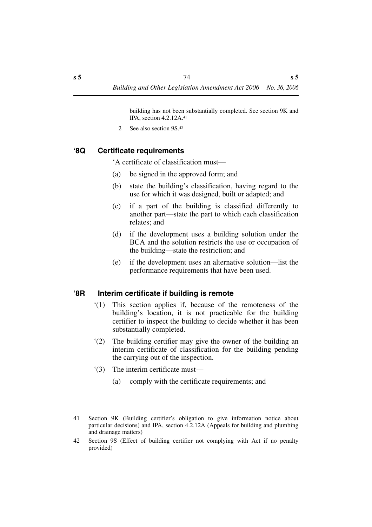building has not been substantially completed. See section 9K and IPA, section 4.2.12A.41

2 See also section 9S.42

## **'8Q Certificate requirements**

'A certificate of classification must—

- (a) be signed in the approved form; and
- (b) state the building's classification, having regard to the use for which it was designed, built or adapted; and
- (c) if a part of the building is classified differently to another part—state the part to which each classification relates; and
- (d) if the development uses a building solution under the BCA and the solution restricts the use or occupation of the building—state the restriction; and
- (e) if the development uses an alternative solution—list the performance requirements that have been used.

## **'8R Interim certificate if building is remote**

- '(1) This section applies if, because of the remoteness of the building's location, it is not practicable for the building certifier to inspect the building to decide whether it has been substantially completed.
- '(2) The building certifier may give the owner of the building an interim certificate of classification for the building pending the carrying out of the inspection.
- '(3) The interim certificate must—
	- (a) comply with the certificate requirements; and

<sup>41</sup> Section 9K (Building certifier's obligation to give information notice about particular decisions) and IPA, section 4.2.12A (Appeals for building and plumbing and drainage matters)

<sup>42</sup> Section 9S (Effect of building certifier not complying with Act if no penalty provided)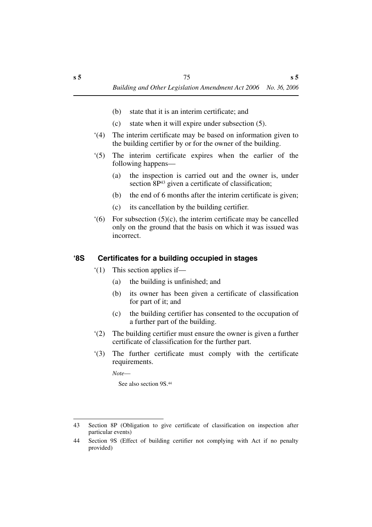- (b) state that it is an interim certificate; and
- (c) state when it will expire under subsection (5).
- '(4) The interim certificate may be based on information given to the building certifier by or for the owner of the building.
- '(5) The interim certificate expires when the earlier of the following happens—
	- (a) the inspection is carried out and the owner is, under section 8P<sup>43</sup> given a certificate of classification;
	- (b) the end of 6 months after the interim certificate is given;
	- (c) its cancellation by the building certifier.
- $(6)$  For subsection  $(5)(c)$ , the interim certificate may be cancelled only on the ground that the basis on which it was issued was incorrect.

## **'8S Certificates for a building occupied in stages**

- '(1) This section applies if—
	- (a) the building is unfinished; and
	- (b) its owner has been given a certificate of classification for part of it; and
	- (c) the building certifier has consented to the occupation of a further part of the building.
- '(2) The building certifier must ensure the owner is given a further certificate of classification for the further part.
- '(3) The further certificate must comply with the certificate requirements.

*Note*—

See also section 9S.44

<sup>43</sup> Section 8P (Obligation to give certificate of classification on inspection after particular events)

<sup>44</sup> Section 9S (Effect of building certifier not complying with Act if no penalty provided)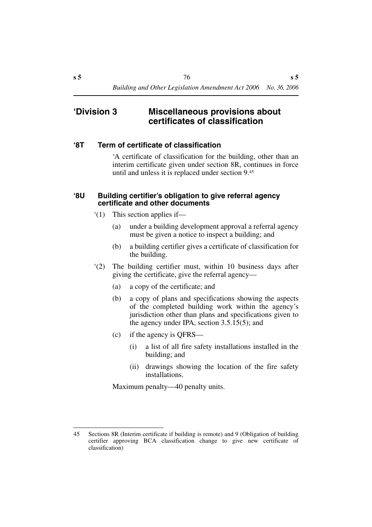## **'Division 3 Miscellaneous provisions about certificates of classification**

#### **'8T Term of certificate of classification**

'A certificate of classification for the building, other than an interim certificate given under section 8R, continues in force until and unless it is replaced under section 9.45

#### **'8U Building certifier's obligation to give referral agency certificate and other documents**

- '(1) This section applies if—
	- (a) under a building development approval a referral agency must be given a notice to inspect a building; and
	- (b) a building certifier gives a certificate of classification for the building.
- '(2) The building certifier must, within 10 business days after giving the certificate, give the referral agency—
	- (a) a copy of the certificate; and
	- (b) a copy of plans and specifications showing the aspects of the completed building work within the agency's jurisdiction other than plans and specifications given to the agency under IPA, section 3.5.15(5); and
	- (c) if the agency is QFRS—
		- (i) a list of all fire safety installations installed in the building; and
		- (ii) drawings showing the location of the fire safety installations.

Maximum penalty—40 penalty units.

<sup>45</sup> Sections 8R (Interim certificate if building is remote) and 9 (Obligation of building certifier approving BCA classification change to give new certificate of classification)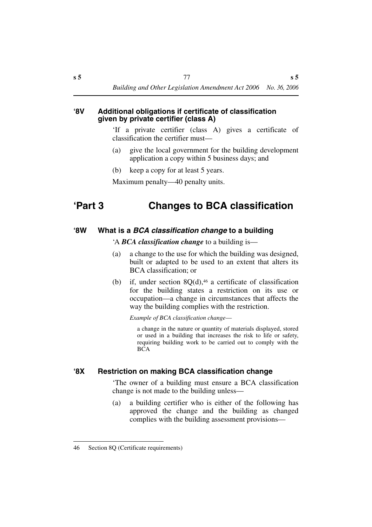#### **'8V Additional obligations if certificate of classification given by private certifier (class A)**

'If a private certifier (class A) gives a certificate of classification the certifier must—

- (a) give the local government for the building development application a copy within 5 business days; and
- (b) keep a copy for at least 5 years.

Maximum penalty—40 penalty units.

# **'Part 3 Changes to BCA classification**

## **'8W What is a** *BCA classification change* **to a building**

'A *BCA classification change* to a building is—

- (a) a change to the use for which the building was designed, built or adapted to be used to an extent that alters its BCA classification; or
- (b) if, under section  $8Q(d)$ ,<sup>46</sup> a certificate of classification for the building states a restriction on its use or occupation—a change in circumstances that affects the way the building complies with the restriction.

*Example of BCA classification change*—

a change in the nature or quantity of materials displayed, stored or used in a building that increases the risk to life or safety, requiring building work to be carried out to comply with the BCA

## **'8X Restriction on making BCA classification change**

'The owner of a building must ensure a BCA classification change is not made to the building unless—

(a) a building certifier who is either of the following has approved the change and the building as changed complies with the building assessment provisions—

<sup>46</sup> Section 8Q (Certificate requirements)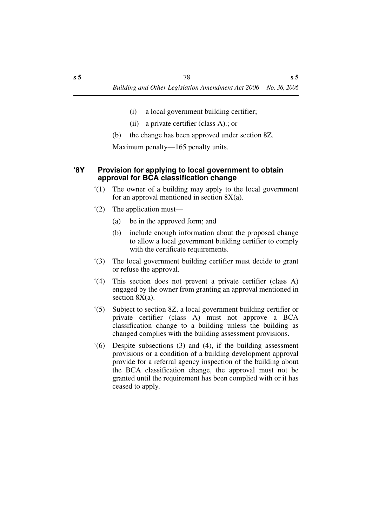- (i) a local government building certifier;
- (ii) a private certifier (class A).; or
- (b) the change has been approved under section 8Z.

Maximum penalty—165 penalty units.

### **'8Y Provision for applying to local government to obtain approval for BCA classification change**

- '(1) The owner of a building may apply to the local government for an approval mentioned in section  $8X(a)$ .
- '(2) The application must—
	- (a) be in the approved form; and
	- (b) include enough information about the proposed change to allow a local government building certifier to comply with the certificate requirements.
- '(3) The local government building certifier must decide to grant or refuse the approval.
- '(4) This section does not prevent a private certifier (class A) engaged by the owner from granting an approval mentioned in section 8X(a).
- '(5) Subject to section 8Z, a local government building certifier or private certifier (class A) must not approve a BCA classification change to a building unless the building as changed complies with the building assessment provisions.
- '(6) Despite subsections (3) and (4), if the building assessment provisions or a condition of a building development approval provide for a referral agency inspection of the building about the BCA classification change, the approval must not be granted until the requirement has been complied with or it has ceased to apply.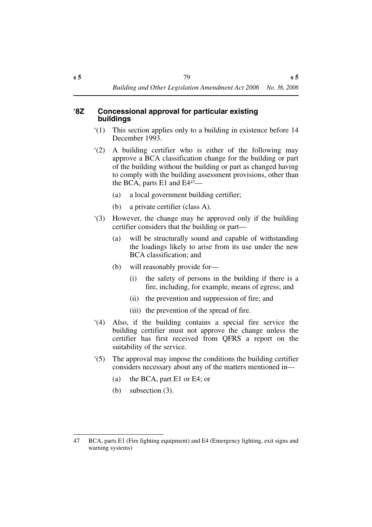#### **'8Z Concessional approval for particular existing buildings**

- '(1) This section applies only to a building in existence before 14 December 1993.
- '(2) A building certifier who is either of the following may approve a BCA classification change for the building or part of the building without the building or part as changed having to comply with the building assessment provisions, other than the BCA, parts E1 and E447—
	- (a) a local government building certifier;
	- (b) a private certifier (class A).
- '(3) However, the change may be approved only if the building certifier considers that the building or part—
	- (a) will be structurally sound and capable of withstanding the loadings likely to arise from its use under the new BCA classification; and
	- (b) will reasonably provide for—
		- (i) the safety of persons in the building if there is a fire, including, for example, means of egress; and
		- (ii) the prevention and suppression of fire; and
		- (iii) the prevention of the spread of fire.
- '(4) Also, if the building contains a special fire service the building certifier must not approve the change unless the certifier has first received from QFRS a report on the suitability of the service.
- '(5) The approval may impose the conditions the building certifier considers necessary about any of the matters mentioned in—
	- (a) the BCA, part E1 or E4; or
	- (b) subsection (3).

<sup>47</sup> BCA, parts E1 (Fire fighting equipment) and E4 (Emergency lighting, exit signs and warning systems)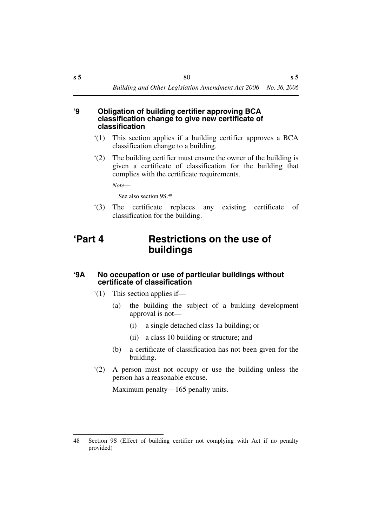#### **'9 Obligation of building certifier approving BCA classification change to give new certificate of classification**

- '(1) This section applies if a building certifier approves a BCA classification change to a building.
- '(2) The building certifier must ensure the owner of the building is given a certificate of classification for the building that complies with the certificate requirements.

*Note*—

See also section 9S.48

'(3) The certificate replaces any existing certificate of classification for the building.

## **'Part 4 Restrictions on the use of buildings**

### **'9A No occupation or use of particular buildings without certificate of classification**

- '(1) This section applies if—
	- (a) the building the subject of a building development approval is not—
		- (i) a single detached class 1a building; or
		- (ii) a class 10 building or structure; and
	- (b) a certificate of classification has not been given for the building.
- '(2) A person must not occupy or use the building unless the person has a reasonable excuse.

Maximum penalty—165 penalty units.

<sup>48</sup> Section 9S (Effect of building certifier not complying with Act if no penalty provided)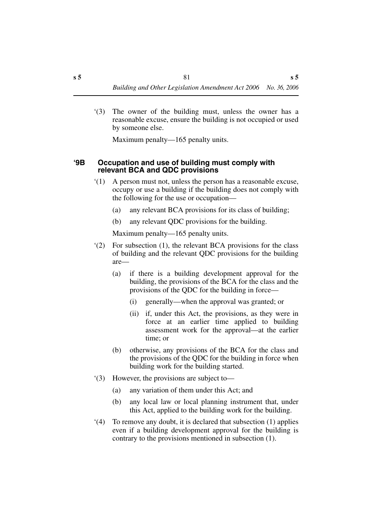'(3) The owner of the building must, unless the owner has a reasonable excuse, ensure the building is not occupied or used by someone else.

Maximum penalty—165 penalty units.

#### **'9B Occupation and use of building must comply with relevant BCA and QDC provisions**

- '(1) A person must not, unless the person has a reasonable excuse, occupy or use a building if the building does not comply with the following for the use or occupation—
	- (a) any relevant BCA provisions for its class of building;
	- (b) any relevant QDC provisions for the building.

Maximum penalty—165 penalty units.

- '(2) For subsection (1), the relevant BCA provisions for the class of building and the relevant QDC provisions for the building are—
	- (a) if there is a building development approval for the building, the provisions of the BCA for the class and the provisions of the QDC for the building in force—
		- (i) generally—when the approval was granted; or
		- (ii) if, under this Act, the provisions, as they were in force at an earlier time applied to building assessment work for the approval—at the earlier time; or
	- (b) otherwise, any provisions of the BCA for the class and the provisions of the QDC for the building in force when building work for the building started.
- '(3) However, the provisions are subject to—
	- (a) any variation of them under this Act; and
	- (b) any local law or local planning instrument that, under this Act, applied to the building work for the building.
- '(4) To remove any doubt, it is declared that subsection (1) applies even if a building development approval for the building is contrary to the provisions mentioned in subsection (1).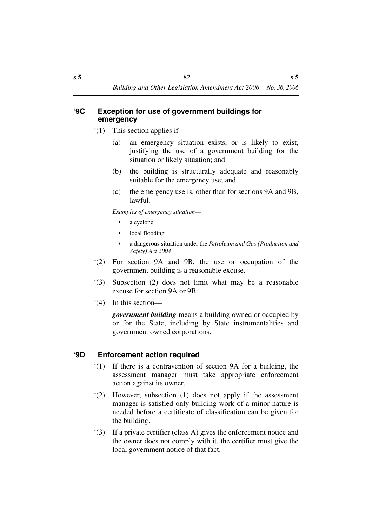### **'9C Exception for use of government buildings for emergency**

- '(1) This section applies if—
	- (a) an emergency situation exists, or is likely to exist, justifying the use of a government building for the situation or likely situation; and
	- (b) the building is structurally adequate and reasonably suitable for the emergency use; and
	- (c) the emergency use is, other than for sections 9A and 9B, lawful.

*Examples of emergency situation*—

- a cyclone
- local flooding
- a dangerous situation under the *Petroleum and Gas (Production and Safety) Act 2004*
- '(2) For section 9A and 9B, the use or occupation of the government building is a reasonable excuse.
- '(3) Subsection (2) does not limit what may be a reasonable excuse for section 9A or 9B.
- '(4) In this section—

*government building* means a building owned or occupied by or for the State, including by State instrumentalities and government owned corporations.

## **'9D Enforcement action required**

- '(1) If there is a contravention of section 9A for a building, the assessment manager must take appropriate enforcement action against its owner.
- '(2) However, subsection (1) does not apply if the assessment manager is satisfied only building work of a minor nature is needed before a certificate of classification can be given for the building.
- '(3) If a private certifier (class A) gives the enforcement notice and the owner does not comply with it, the certifier must give the local government notice of that fact.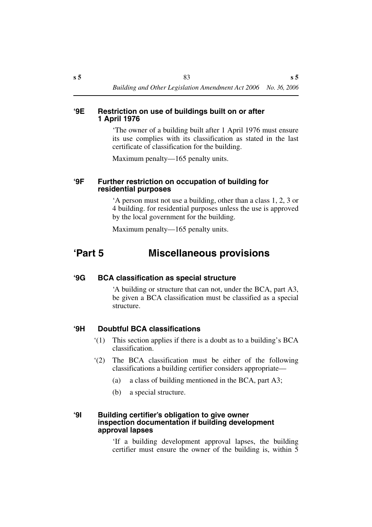#### **'9E Restriction on use of buildings built on or after 1 April 1976**

'The owner of a building built after 1 April 1976 must ensure its use complies with its classification as stated in the last certificate of classification for the building.

Maximum penalty—165 penalty units.

#### **'9F Further restriction on occupation of building for residential purposes**

'A person must not use a building, other than a class 1, 2, 3 or 4 building. for residential purposes unless the use is approved by the local government for the building.

Maximum penalty—165 penalty units.

## **'Part 5 Miscellaneous provisions**

#### **'9G BCA classification as special structure**

'A building or structure that can not, under the BCA, part A3, be given a BCA classification must be classified as a special structure.

## **'9H Doubtful BCA classifications**

- '(1) This section applies if there is a doubt as to a building's BCA classification.
- '(2) The BCA classification must be either of the following classifications a building certifier considers appropriate—
	- (a) a class of building mentioned in the BCA, part A3;
	- (b) a special structure.

#### **'9I Building certifier's obligation to give owner inspection documentation if building development approval lapses**

'If a building development approval lapses, the building certifier must ensure the owner of the building is, within 5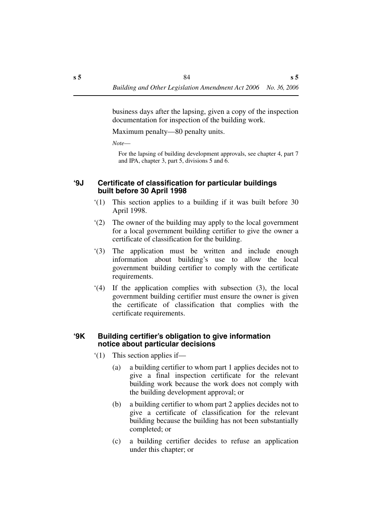business days after the lapsing, given a copy of the inspection documentation for inspection of the building work.

Maximum penalty—80 penalty units.

*Note*—

For the lapsing of building development approvals, see chapter 4, part 7 and IPA, chapter 3, part 5, divisions 5 and 6.

### **'9J Certificate of classification for particular buildings built before 30 April 1998**

- '(1) This section applies to a building if it was built before 30 April 1998.
- '(2) The owner of the building may apply to the local government for a local government building certifier to give the owner a certificate of classification for the building.
- '(3) The application must be written and include enough information about building's use to allow the local government building certifier to comply with the certificate requirements.
- '(4) If the application complies with subsection (3), the local government building certifier must ensure the owner is given the certificate of classification that complies with the certificate requirements.

## **'9K Building certifier's obligation to give information notice about particular decisions**

- '(1) This section applies if—
	- (a) a building certifier to whom part 1 applies decides not to give a final inspection certificate for the relevant building work because the work does not comply with the building development approval; or
	- (b) a building certifier to whom part 2 applies decides not to give a certificate of classification for the relevant building because the building has not been substantially completed; or
	- (c) a building certifier decides to refuse an application under this chapter; or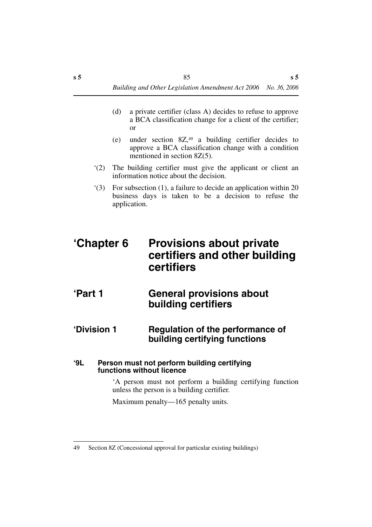- (d) a private certifier (class A) decides to refuse to approve a BCA classification change for a client of the certifier; or
- (e) under section  $8Z^{49}$  a building certifier decides to approve a BCA classification change with a condition mentioned in section 8Z(5).
- '(2) The building certifier must give the applicant or client an information notice about the decision.
- '(3) For subsection (1), a failure to decide an application within 20 business days is taken to be a decision to refuse the application.

# **'Chapter 6 Provisions about private certifiers and other building certifiers**

- **'Part 1 General provisions about building certifiers**
- **'Division 1 Regulation of the performance of building certifying functions**

### **'9L Person must not perform building certifying functions without licence**

'A person must not perform a building certifying function unless the person is a building certifier.

Maximum penalty—165 penalty units.

<sup>49</sup> Section 8Z (Concessional approval for particular existing buildings)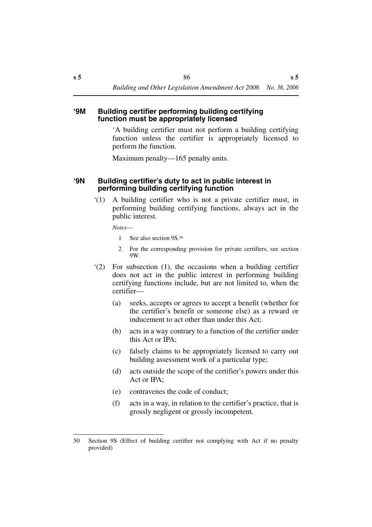#### **'9M Building certifier performing building certifying function must be appropriately licensed**

'A building certifier must not perform a building certifying function unless the certifier is appropriately licensed to perform the function.

Maximum penalty—165 penalty units.

## **'9N Building certifier's duty to act in public interest in performing building certifying function**

'(1) A building certifier who is not a private certifier must, in performing building certifying functions, always act in the public interest.

*Notes*—

- 1 See also section 9S.<sup>50</sup>
- 2 For the corresponding provision for private certifiers, see section 9W.
- '(2) For subsection (1), the occasions when a building certifier does not act in the public interest in performing building certifying functions include, but are not limited to, when the certifier—
	- (a) seeks, accepts or agrees to accept a benefit (whether for the certifier's benefit or someone else) as a reward or inducement to act other than under this Act;
	- (b) acts in a way contrary to a function of the certifier under this Act or IPA;
	- (c) falsely claims to be appropriately licensed to carry out building assessment work of a particular type;
	- (d) acts outside the scope of the certifier's powers under this Act or IPA;
	- (e) contravenes the code of conduct;
	- (f) acts in a way, in relation to the certifier's practice, that is grossly negligent or grossly incompetent.

<sup>50</sup> Section 9S (Effect of building certifier not complying with Act if no penalty provided)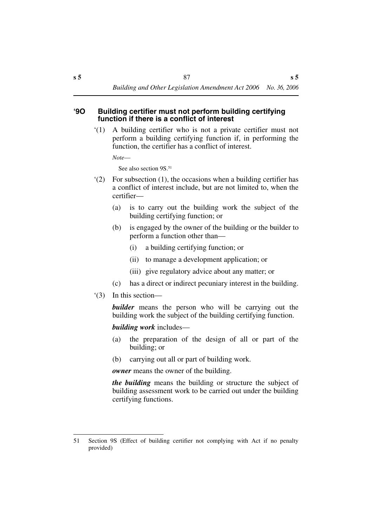#### **'9O Building certifier must not perform building certifying function if there is a conflict of interest**

'(1) A building certifier who is not a private certifier must not perform a building certifying function if, in performing the function, the certifier has a conflict of interest.

*Note*—

See also section 9S 51

- '(2) For subsection (1), the occasions when a building certifier has a conflict of interest include, but are not limited to, when the certifier—
	- (a) is to carry out the building work the subject of the building certifying function; or
	- (b) is engaged by the owner of the building or the builder to perform a function other than—
		- (i) a building certifying function; or
		- (ii) to manage a development application; or
		- (iii) give regulatory advice about any matter; or
	- (c) has a direct or indirect pecuniary interest in the building.
- '(3) In this section—

*builder* means the person who will be carrying out the building work the subject of the building certifying function.

*building work* includes—

- (a) the preparation of the design of all or part of the building; or
- (b) carrying out all or part of building work.

*owner* means the owner of the building.

*the building* means the building or structure the subject of building assessment work to be carried out under the building certifying functions.

<sup>51</sup> Section 9S (Effect of building certifier not complying with Act if no penalty provided)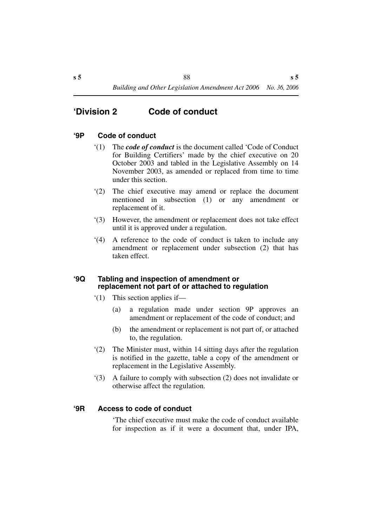## **'Division 2 Code of conduct**

### **'9P Code of conduct**

- '(1) The *code of conduct* is the document called 'Code of Conduct for Building Certifiers' made by the chief executive on 20 October 2003 and tabled in the Legislative Assembly on 14 November 2003, as amended or replaced from time to time under this section.
- '(2) The chief executive may amend or replace the document mentioned in subsection (1) or any amendment or replacement of it.
- '(3) However, the amendment or replacement does not take effect until it is approved under a regulation.
- '(4) A reference to the code of conduct is taken to include any amendment or replacement under subsection (2) that has taken effect.

#### **'9Q Tabling and inspection of amendment or replacement not part of or attached to regulation**

- '(1) This section applies if—
	- (a) a regulation made under section 9P approves an amendment or replacement of the code of conduct; and
	- (b) the amendment or replacement is not part of, or attached to, the regulation.
- '(2) The Minister must, within 14 sitting days after the regulation is notified in the gazette, table a copy of the amendment or replacement in the Legislative Assembly.
- '(3) A failure to comply with subsection (2) does not invalidate or otherwise affect the regulation.

#### **'9R Access to code of conduct**

'The chief executive must make the code of conduct available for inspection as if it were a document that, under IPA,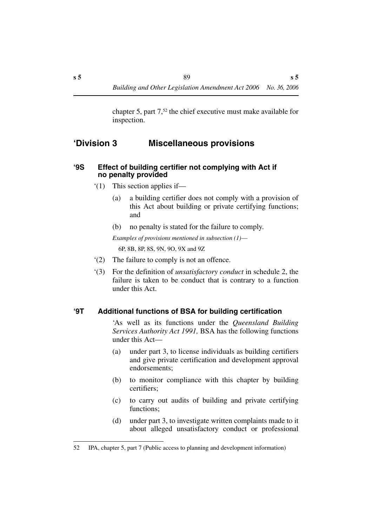chapter 5, part 7,52 the chief executive must make available for inspection.

## **'Division 3 Miscellaneous provisions**

#### **'9S Effect of building certifier not complying with Act if no penalty provided**

- '(1) This section applies if—
	- (a) a building certifier does not comply with a provision of this Act about building or private certifying functions; and
	- (b) no penalty is stated for the failure to comply.

*Examples of provisions mentioned in subsection (1)*— 6P, 8B, 8P, 8S, 9N, 9O, 9X and 9Z

- '(2) The failure to comply is not an offence.
- '(3) For the definition of *unsatisfactory conduct* in schedule 2, the failure is taken to be conduct that is contrary to a function under this Act.

## **'9T Additional functions of BSA for building certification**

'As well as its functions under the *Queensland Building Services Authority Act 1991,* BSA has the following functions under this Act—

- (a) under part 3, to license individuals as building certifiers and give private certification and development approval endorsements;
- (b) to monitor compliance with this chapter by building certifiers;
- (c) to carry out audits of building and private certifying functions;
- (d) under part 3, to investigate written complaints made to it about alleged unsatisfactory conduct or professional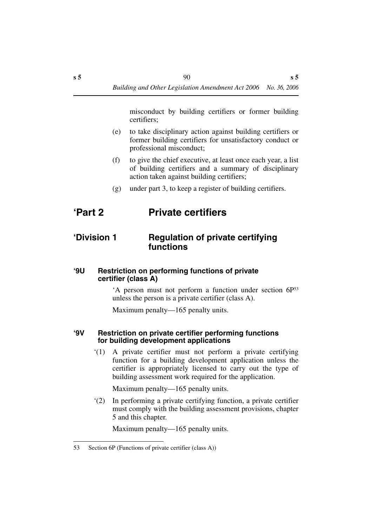misconduct by building certifiers or former building certifiers;

- (e) to take disciplinary action against building certifiers or former building certifiers for unsatisfactory conduct or professional misconduct;
- (f) to give the chief executive, at least once each year, a list of building certifiers and a summary of disciplinary action taken against building certifiers;
- (g) under part 3, to keep a register of building certifiers.

## **'Part 2 Private certifiers**

## **'Division 1 Regulation of private certifying functions**

#### **'9U Restriction on performing functions of private certifier (class A)**

'A person must not perform a function under section 6P53 unless the person is a private certifier (class A).

Maximum penalty—165 penalty units.

#### **'9V Restriction on private certifier performing functions for building development applications**

'(1) A private certifier must not perform a private certifying function for a building development application unless the certifier is appropriately licensed to carry out the type of building assessment work required for the application.

Maximum penalty—165 penalty units.

'(2) In performing a private certifying function, a private certifier must comply with the building assessment provisions, chapter 5 and this chapter.

Maximum penalty—165 penalty units.

<sup>53</sup> Section 6P (Functions of private certifier (class A))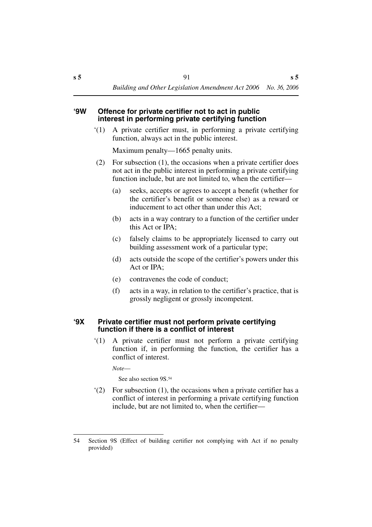#### **'9W Offence for private certifier not to act in public interest in performing private certifying function**

'(1) A private certifier must, in performing a private certifying function, always act in the public interest.

Maximum penalty—1665 penalty units.

- (2) For subsection (1), the occasions when a private certifier does not act in the public interest in performing a private certifying function include, but are not limited to, when the certifier—
	- (a) seeks, accepts or agrees to accept a benefit (whether for the certifier's benefit or someone else) as a reward or inducement to act other than under this Act;
	- (b) acts in a way contrary to a function of the certifier under this Act or IPA;
	- (c) falsely claims to be appropriately licensed to carry out building assessment work of a particular type;
	- (d) acts outside the scope of the certifier's powers under this Act or IPA;
	- (e) contravenes the code of conduct;
	- (f) acts in a way, in relation to the certifier's practice, that is grossly negligent or grossly incompetent.

#### **'9X Private certifier must not perform private certifying function if there is a conflict of interest**

'(1) A private certifier must not perform a private certifying function if, in performing the function, the certifier has a conflict of interest.

*Note*—

See also section 9S.54

'(2) For subsection (1), the occasions when a private certifier has a conflict of interest in performing a private certifying function include, but are not limited to, when the certifier—

<sup>54</sup> Section 9S (Effect of building certifier not complying with Act if no penalty provided)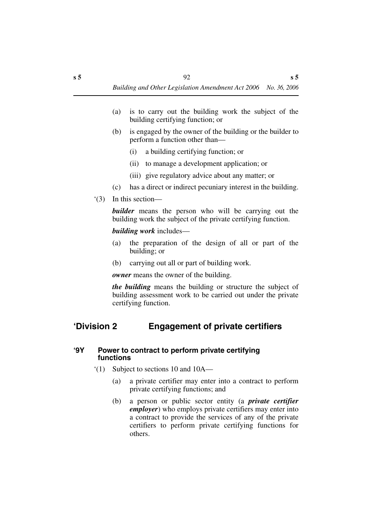- (a) is to carry out the building work the subject of the building certifying function; or
- (b) is engaged by the owner of the building or the builder to perform a function other than—
	- (i) a building certifying function; or
	- (ii) to manage a development application; or
	- (iii) give regulatory advice about any matter; or
- (c) has a direct or indirect pecuniary interest in the building.
- '(3) In this section—

*builder* means the person who will be carrying out the building work the subject of the private certifying function.

#### *building work* includes—

- (a) the preparation of the design of all or part of the building; or
- (b) carrying out all or part of building work.

*owner* means the owner of the building.

*the building* means the building or structure the subject of building assessment work to be carried out under the private certifying function.

## **'Division 2 Engagement of private certifiers**

#### **'9Y Power to contract to perform private certifying functions**

- '(1) Subject to sections 10 and 10A—
	- (a) a private certifier may enter into a contract to perform private certifying functions; and
	- (b) a person or public sector entity (a *private certifier employer*) who employs private certifiers may enter into a contract to provide the services of any of the private certifiers to perform private certifying functions for others.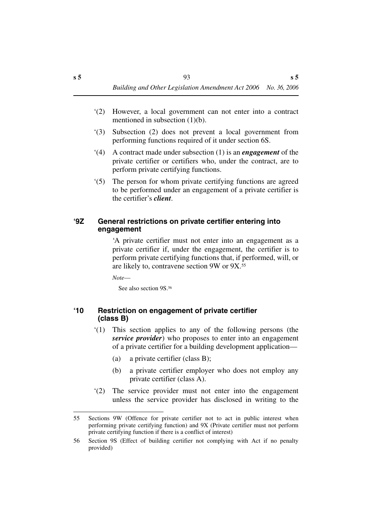- '(2) However, a local government can not enter into a contract mentioned in subsection (1)(b).
- '(3) Subsection (2) does not prevent a local government from performing functions required of it under section 6S.
- '(4) A contract made under subsection (1) is an *engagement* of the private certifier or certifiers who, under the contract, are to perform private certifying functions.
- '(5) The person for whom private certifying functions are agreed to be performed under an engagement of a private certifier is the certifier's *client*.

## **'9Z General restrictions on private certifier entering into engagement**

'A private certifier must not enter into an engagement as a private certifier if, under the engagement, the certifier is to perform private certifying functions that, if performed, will, or are likely to, contravene section 9W or 9X.55

*Note*—

See also section 9S.56

### **'10 Restriction on engagement of private certifier (class B)**

- '(1) This section applies to any of the following persons (the *service provider*) who proposes to enter into an engagement of a private certifier for a building development application—
	- (a) a private certifier (class B);
	- (b) a private certifier employer who does not employ any private certifier (class A).
- '(2) The service provider must not enter into the engagement unless the service provider has disclosed in writing to the

<sup>55</sup> Sections 9W (Offence for private certifier not to act in public interest when performing private certifying function) and 9X (Private certifier must not perform private certifying function if there is a conflict of interest)

<sup>56</sup> Section 9S (Effect of building certifier not complying with Act if no penalty provided)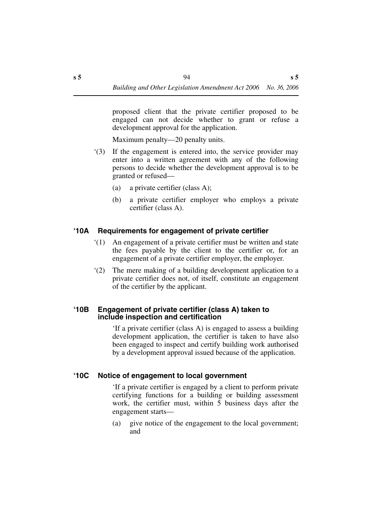proposed client that the private certifier proposed to be engaged can not decide whether to grant or refuse a development approval for the application.

Maximum penalty—20 penalty units.

- '(3) If the engagement is entered into, the service provider may enter into a written agreement with any of the following persons to decide whether the development approval is to be granted or refused—
	- (a) a private certifier (class A);
	- (b) a private certifier employer who employs a private certifier (class A).

## **'10A Requirements for engagement of private certifier**

- '(1) An engagement of a private certifier must be written and state the fees payable by the client to the certifier or, for an engagement of a private certifier employer, the employer.
- '(2) The mere making of a building development application to a private certifier does not, of itself, constitute an engagement of the certifier by the applicant.

#### **'10B Engagement of private certifier (class A) taken to include inspection and certification**

'If a private certifier (class A) is engaged to assess a building development application, the certifier is taken to have also been engaged to inspect and certify building work authorised by a development approval issued because of the application.

## **'10C Notice of engagement to local government**

'If a private certifier is engaged by a client to perform private certifying functions for a building or building assessment work, the certifier must, within 5 business days after the engagement starts—

(a) give notice of the engagement to the local government; and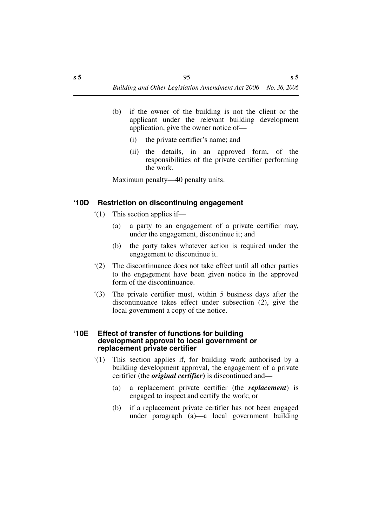- (b) if the owner of the building is not the client or the applicant under the relevant building development application, give the owner notice of—
	- (i) the private certifier's name; and
	- (ii) the details, in an approved form, of the responsibilities of the private certifier performing the work.

Maximum penalty—40 penalty units.

## **'10D Restriction on discontinuing engagement**

- '(1) This section applies if—
	- (a) a party to an engagement of a private certifier may, under the engagement, discontinue it; and
	- (b) the party takes whatever action is required under the engagement to discontinue it.
- '(2) The discontinuance does not take effect until all other parties to the engagement have been given notice in the approved form of the discontinuance.
- '(3) The private certifier must, within 5 business days after the discontinuance takes effect under subsection (2), give the local government a copy of the notice.

#### **'10E Effect of transfer of functions for building development approval to local government or replacement private certifier**

- '(1) This section applies if, for building work authorised by a building development approval, the engagement of a private certifier (the *original certifier***)** is discontinued and—
	- (a) a replacement private certifier (the *replacement*) is engaged to inspect and certify the work; or
	- (b) if a replacement private certifier has not been engaged under paragraph (a)—a local government building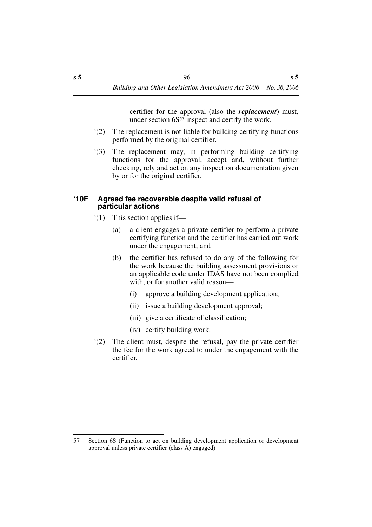certifier for the approval (also the *replacement*) must, under section  $6S^{57}$  inspect and certify the work.

- '(2) The replacement is not liable for building certifying functions performed by the original certifier.
- '(3) The replacement may, in performing building certifying functions for the approval, accept and, without further checking, rely and act on any inspection documentation given by or for the original certifier.

#### **'10F Agreed fee recoverable despite valid refusal of particular actions**

- '(1) This section applies if—
	- (a) a client engages a private certifier to perform a private certifying function and the certifier has carried out work under the engagement; and
	- (b) the certifier has refused to do any of the following for the work because the building assessment provisions or an applicable code under IDAS have not been complied with, or for another valid reason—
		- (i) approve a building development application;
		- (ii) issue a building development approval;
		- (iii) give a certificate of classification;
		- (iv) certify building work.
- '(2) The client must, despite the refusal, pay the private certifier the fee for the work agreed to under the engagement with the certifier.

<sup>57</sup> Section 6S (Function to act on building development application or development approval unless private certifier (class A) engaged)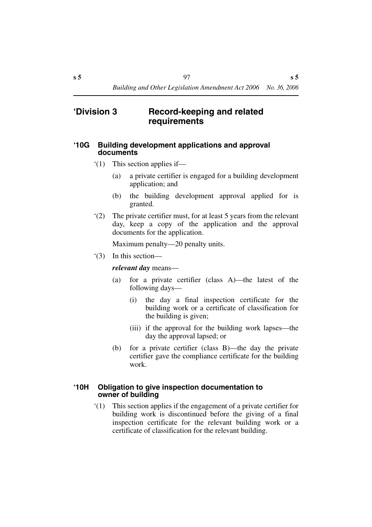## **'Division 3 Record-keeping and related requirements**

#### **'10G Building development applications and approval documents**

- '(1) This section applies if—
	- (a) a private certifier is engaged for a building development application; and
	- (b) the building development approval applied for is granted.
- '(2) The private certifier must, for at least 5 years from the relevant day, keep a copy of the application and the approval documents for the application.

Maximum penalty—20 penalty units.

'(3) In this section—

*relevant day* means—

- (a) for a private certifier (class A)—the latest of the following days—
	- (i) the day a final inspection certificate for the building work or a certificate of classification for the building is given;
	- (iii) if the approval for the building work lapses—the day the approval lapsed; or
- (b) for a private certifier (class B)—the day the private certifier gave the compliance certificate for the building work.

#### **'10H Obligation to give inspection documentation to owner of building**

'(1) This section applies if the engagement of a private certifier for building work is discontinued before the giving of a final inspection certificate for the relevant building work or a certificate of classification for the relevant building.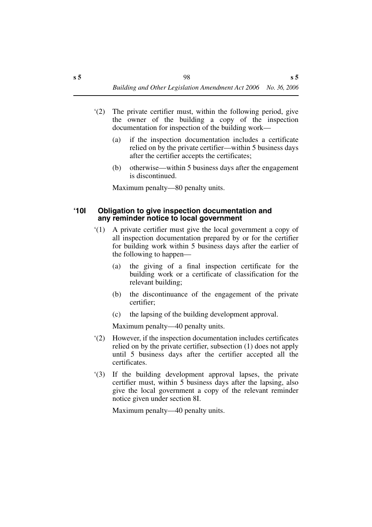- '(2) The private certifier must, within the following period, give the owner of the building a copy of the inspection documentation for inspection of the building work—
	- (a) if the inspection documentation includes a certificate relied on by the private certifier—within 5 business days after the certifier accepts the certificates;
	- (b) otherwise—within 5 business days after the engagement is discontinued.

Maximum penalty—80 penalty units.

#### **'10I Obligation to give inspection documentation and any reminder notice to local government**

- '(1) A private certifier must give the local government a copy of all inspection documentation prepared by or for the certifier for building work within 5 business days after the earlier of the following to happen—
	- (a) the giving of a final inspection certificate for the building work or a certificate of classification for the relevant building;
	- (b) the discontinuance of the engagement of the private certifier;
	- (c) the lapsing of the building development approval.

Maximum penalty—40 penalty units.

- '(2) However, if the inspection documentation includes certificates relied on by the private certifier, subsection (1) does not apply until 5 business days after the certifier accepted all the certificates.
- '(3) If the building development approval lapses, the private certifier must, within 5 business days after the lapsing, also give the local government a copy of the relevant reminder notice given under section 8I.

Maximum penalty—40 penalty units.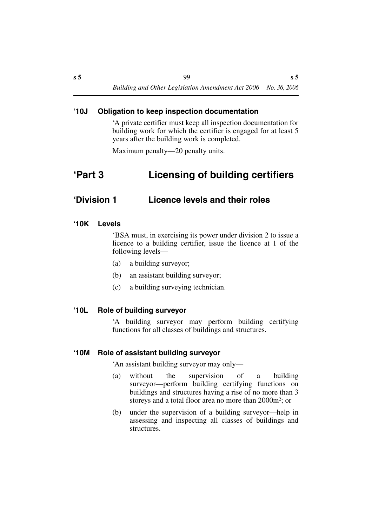### **'10J Obligation to keep inspection documentation**

'A private certifier must keep all inspection documentation for building work for which the certifier is engaged for at least 5 years after the building work is completed.

Maximum penalty—20 penalty units.

## **'Part 3 Licensing of building certifiers**

## **'Division 1 Licence levels and their roles**

#### **'10K Levels**

'BSA must, in exercising its power under division 2 to issue a licence to a building certifier, issue the licence at 1 of the following levels—

- (a) a building surveyor;
- (b) an assistant building surveyor;
- (c) a building surveying technician.

#### **'10L Role of building surveyor**

'A building surveyor may perform building certifying functions for all classes of buildings and structures.

#### **'10M Role of assistant building surveyor**

'An assistant building surveyor may only—

- (a) without the supervision of a building surveyor—perform building certifying functions on buildings and structures having a rise of no more than 3 storeys and a total floor area no more than 2000m2; or
- (b) under the supervision of a building surveyor—help in assessing and inspecting all classes of buildings and structures.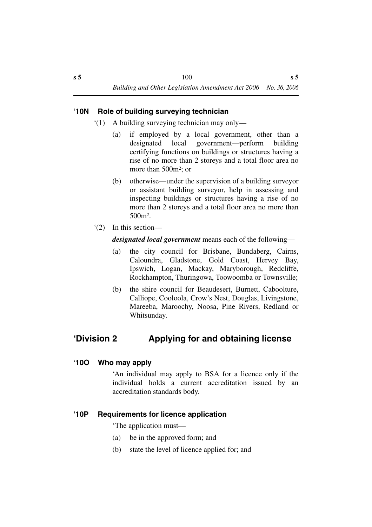## **'10N Role of building surveying technician**

- '(1) A building surveying technician may only—
	- (a) if employed by a local government, other than a designated local government—perform building certifying functions on buildings or structures having a rise of no more than 2 storeys and a total floor area no more than 500m<sup>2</sup>; or
	- (b) otherwise—under the supervision of a building surveyor or assistant building surveyor, help in assessing and inspecting buildings or structures having a rise of no more than 2 storeys and a total floor area no more than 500m2.
- '(2) In this section—

*designated local government* means each of the following—

- (a) the city council for Brisbane, Bundaberg, Cairns, Caloundra, Gladstone, Gold Coast, Hervey Bay, Ipswich, Logan, Mackay, Maryborough, Redcliffe, Rockhampton, Thuringowa, Toowoomba or Townsville;
- (b) the shire council for Beaudesert, Burnett, Caboolture, Calliope, Cooloola, Crow's Nest, Douglas, Livingstone, Mareeba, Maroochy, Noosa, Pine Rivers, Redland or Whitsunday.

## **'Division 2 Applying for and obtaining license**

## **'10O Who may apply**

'An individual may apply to BSA for a licence only if the individual holds a current accreditation issued by an accreditation standards body.

## **'10P Requirements for licence application**

'The application must—

- (a) be in the approved form; and
- (b) state the level of licence applied for; and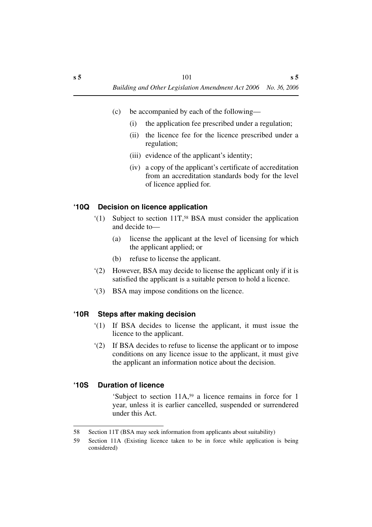- (c) be accompanied by each of the following—
	- (i) the application fee prescribed under a regulation;
	- (ii) the licence fee for the licence prescribed under a regulation;
	- (iii) evidence of the applicant's identity;
	- (iv) a copy of the applicant's certificate of accreditation from an accreditation standards body for the level of licence applied for.

## **'10Q Decision on licence application**

- '(1) Subject to section 11T,58 BSA must consider the application and decide to—
	- (a) license the applicant at the level of licensing for which the applicant applied; or
	- (b) refuse to license the applicant.
- '(2) However, BSA may decide to license the applicant only if it is satisfied the applicant is a suitable person to hold a licence.
- '(3) BSA may impose conditions on the licence.

## **'10R Steps after making decision**

- '(1) If BSA decides to license the applicant, it must issue the licence to the applicant.
- '(2) If BSA decides to refuse to license the applicant or to impose conditions on any licence issue to the applicant, it must give the applicant an information notice about the decision.

## **'10S Duration of licence**

'Subject to section 11A,59 a licence remains in force for 1 year, unless it is earlier cancelled, suspended or surrendered under this Act.

<sup>58</sup> Section 11T (BSA may seek information from applicants about suitability)

<sup>59</sup> Section 11A (Existing licence taken to be in force while application is being considered)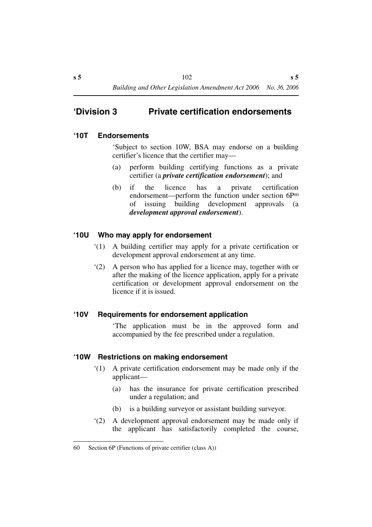## **'Division 3 Private certification endorsements**

## **'10T Endorsements**

'Subject to section 10W, BSA may endorse on a building certifier's licence that the certifier may—

- (a) perform building certifying functions as a private certifier (a *private certification endorsement*); and
- (b) if the licence has a private certification endorsement—perform the function under section 6P<sup>60</sup> of issuing building development approvals (a *development approval endorsement*).

### **'10U Who may apply for endorsement**

- '(1) A building certifier may apply for a private certification or development approval endorsement at any time.
- '(2) A person who has applied for a licence may, together with or after the making of the licence application, apply for a private certification or development approval endorsement on the licence if it is issued.

## **'10V Requirements for endorsement application**

'The application must be in the approved form and accompanied by the fee prescribed under a regulation.

#### **'10W Restrictions on making endorsement**

- '(1) A private certification endorsement may be made only if the applicant—
	- (a) has the insurance for private certification prescribed under a regulation; and
	- (b) is a building surveyor or assistant building surveyor.
- '(2) A development approval endorsement may be made only if the applicant has satisfactorily completed the course,

<sup>60</sup> Section 6P (Functions of private certifier (class A))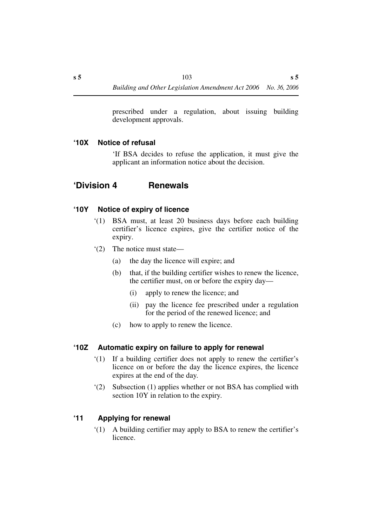prescribed under a regulation, about issuing building development approvals.

## **'10X Notice of refusal**

'If BSA decides to refuse the application, it must give the applicant an information notice about the decision.

## **'Division 4 Renewals**

## **'10Y Notice of expiry of licence**

- '(1) BSA must, at least 20 business days before each building certifier's licence expires, give the certifier notice of the expiry.
- '(2) The notice must state—
	- (a) the day the licence will expire; and
	- (b) that, if the building certifier wishes to renew the licence, the certifier must, on or before the expiry day—
		- (i) apply to renew the licence; and
		- (ii) pay the licence fee prescribed under a regulation for the period of the renewed licence; and
	- (c) how to apply to renew the licence.

## **'10Z Automatic expiry on failure to apply for renewal**

- '(1) If a building certifier does not apply to renew the certifier's licence on or before the day the licence expires, the licence expires at the end of the day.
- '(2) Subsection (1) applies whether or not BSA has complied with section 10Y in relation to the expiry.

## **'11 Applying for renewal**

'(1) A building certifier may apply to BSA to renew the certifier's licence.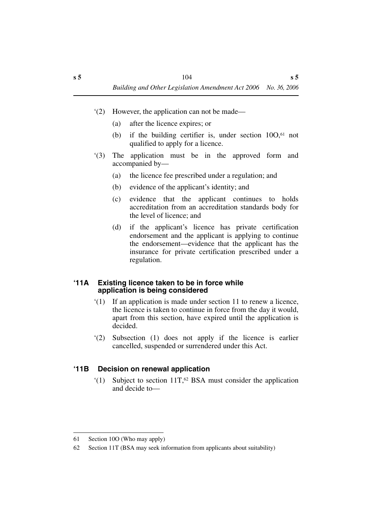- '(2) However, the application can not be made—
	- (a) after the licence expires; or
	- (b) if the building certifier is, under section 10O,61 not qualified to apply for a licence.
- '(3) The application must be in the approved form and accompanied by—
	- (a) the licence fee prescribed under a regulation; and
	- (b) evidence of the applicant's identity; and
	- (c) evidence that the applicant continues to holds accreditation from an accreditation standards body for the level of licence; and
	- (d) if the applicant's licence has private certification endorsement and the applicant is applying to continue the endorsement—evidence that the applicant has the insurance for private certification prescribed under a regulation.

### **'11A Existing licence taken to be in force while application is being considered**

- '(1) If an application is made under section 11 to renew a licence, the licence is taken to continue in force from the day it would, apart from this section, have expired until the application is decided.
- '(2) Subsection (1) does not apply if the licence is earlier cancelled, suspended or surrendered under this Act.

## **'11B Decision on renewal application**

 $(1)$  Subject to section 11T,<sup>62</sup> BSA must consider the application and decide to—

<sup>61</sup> Section 10O (Who may apply)

<sup>62</sup> Section 11T (BSA may seek information from applicants about suitability)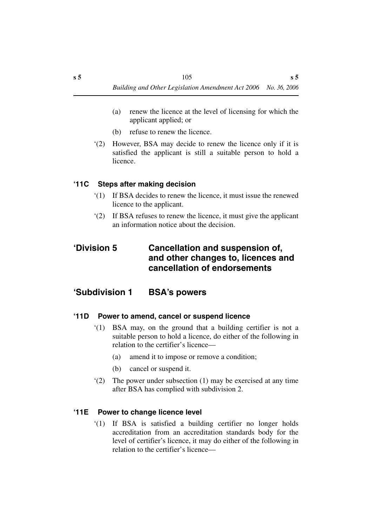- (a) renew the licence at the level of licensing for which the applicant applied; or
- (b) refuse to renew the licence.
- '(2) However, BSA may decide to renew the licence only if it is satisfied the applicant is still a suitable person to hold a licence.

## **'11C Steps after making decision**

- '(1) If BSA decides to renew the licence, it must issue the renewed licence to the applicant.
- '(2) If BSA refuses to renew the licence, it must give the applicant an information notice about the decision.

## **'Division 5 Cancellation and suspension of, and other changes to, licences and cancellation of endorsements**

## **'Subdivision 1 BSA's powers**

## **'11D Power to amend, cancel or suspend licence**

- '(1) BSA may, on the ground that a building certifier is not a suitable person to hold a licence, do either of the following in relation to the certifier's licence—
	- (a) amend it to impose or remove a condition;
	- (b) cancel or suspend it.
- '(2) The power under subsection (1) may be exercised at any time after BSA has complied with subdivision 2.

## **'11E Power to change licence level**

'(1) If BSA is satisfied a building certifier no longer holds accreditation from an accreditation standards body for the level of certifier's licence, it may do either of the following in relation to the certifier's licence—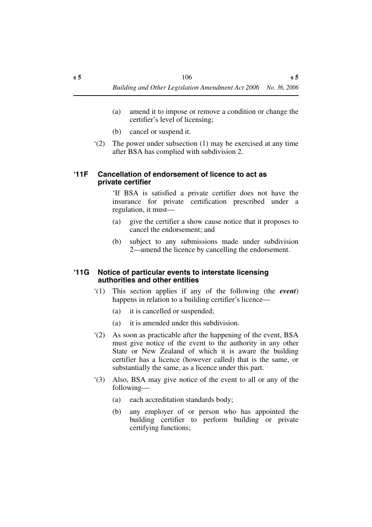- (a) amend it to impose or remove a condition or change the certifier's level of licensing;
- (b) cancel or suspend it.
- '(2) The power under subsection (1) may be exercised at any time after BSA has complied with subdivision 2.

#### **'11F Cancellation of endorsement of licence to act as private certifier**

'If BSA is satisfied a private certifier does not have the insurance for private certification prescribed under a regulation, it must—

- (a) give the certifier a show cause notice that it proposes to cancel the endorsement; and
- (b) subject to any submissions made under subdivision 2—amend the licence by cancelling the endorsement.

#### **'11G Notice of particular events to interstate licensing authorities and other entities**

- '(1) This section applies if any of the following (the *event*) happens in relation to a building certifier's licence—
	- (a) it is cancelled or suspended;
	- (a) it is amended under this subdivision.
- '(2) As soon as practicable after the happening of the event, BSA must give notice of the event to the authority in any other State or New Zealand of which it is aware the building certifier has a licence (however called) that is the same, or substantially the same, as a licence under this part.
- '(3) Also, BSA may give notice of the event to all or any of the following—
	- (a) each accreditation standards body;
	- (b) any employer of or person who has appointed the building certifier to perform building or private certifying functions;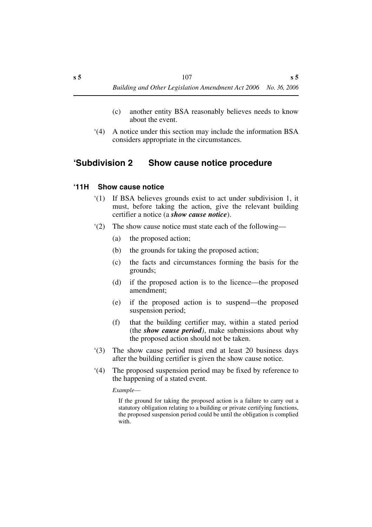- (c) another entity BSA reasonably believes needs to know about the event.
- '(4) A notice under this section may include the information BSA considers appropriate in the circumstances.

## **'Subdivision 2 Show cause notice procedure**

## **'11H Show cause notice**

- '(1) If BSA believes grounds exist to act under subdivision 1, it must, before taking the action, give the relevant building certifier a notice (a *show cause notice*).
- '(2) The show cause notice must state each of the following—
	- (a) the proposed action;
	- (b) the grounds for taking the proposed action;
	- (c) the facts and circumstances forming the basis for the grounds;
	- (d) if the proposed action is to the licence—the proposed amendment;
	- (e) if the proposed action is to suspend—the proposed suspension period;
	- (f) that the building certifier may, within a stated period (the *show cause period)*, make submissions about why the proposed action should not be taken.
- '(3) The show cause period must end at least 20 business days after the building certifier is given the show cause notice.
- '(4) The proposed suspension period may be fixed by reference to the happening of a stated event.

*Example*—

If the ground for taking the proposed action is a failure to carry out a statutory obligation relating to a building or private certifying functions, the proposed suspension period could be until the obligation is complied with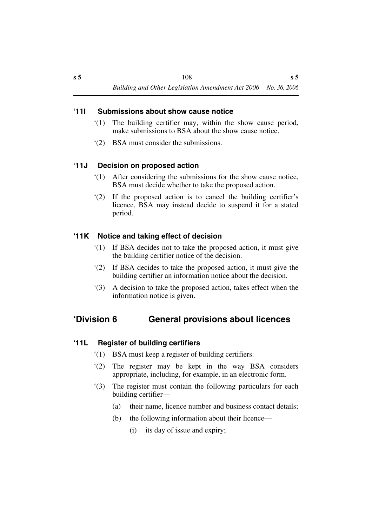## **'11I Submissions about show cause notice**

- '(1) The building certifier may, within the show cause period, make submissions to BSA about the show cause notice.
- '(2) BSA must consider the submissions.

## **'11J Decision on proposed action**

- '(1) After considering the submissions for the show cause notice, BSA must decide whether to take the proposed action.
- '(2) If the proposed action is to cancel the building certifier's licence, BSA may instead decide to suspend it for a stated period.

## **'11K Notice and taking effect of decision**

- '(1) If BSA decides not to take the proposed action, it must give the building certifier notice of the decision.
- '(2) If BSA decides to take the proposed action, it must give the building certifier an information notice about the decision.
- '(3) A decision to take the proposed action, takes effect when the information notice is given.

## **'Division 6 General provisions about licences**

#### **'11L Register of building certifiers**

- '(1) BSA must keep a register of building certifiers.
- '(2) The register may be kept in the way BSA considers appropriate, including, for example, in an electronic form.
- '(3) The register must contain the following particulars for each building certifier—
	- (a) their name, licence number and business contact details;
	- (b) the following information about their licence—
		- (i) its day of issue and expiry;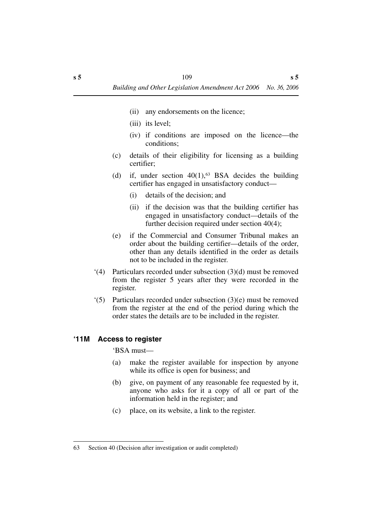- (ii) any endorsements on the licence;
- (iii) its level;
- (iv) if conditions are imposed on the licence—the conditions;
- (c) details of their eligibility for licensing as a building certifier;
- (d) if, under section  $40(1)$ ,<sup>63</sup> BSA decides the building certifier has engaged in unsatisfactory conduct—
	- (i) details of the decision; and
	- (ii) if the decision was that the building certifier has engaged in unsatisfactory conduct—details of the further decision required under section 40(4);
- (e) if the Commercial and Consumer Tribunal makes an order about the building certifier—details of the order, other than any details identified in the order as details not to be included in the register.
- '(4) Particulars recorded under subsection (3)(d) must be removed from the register 5 years after they were recorded in the register.
- '(5) Particulars recorded under subsection (3)(e) must be removed from the register at the end of the period during which the order states the details are to be included in the register.

#### **'11M Access to register**

#### 'BSA must—

- (a) make the register available for inspection by anyone while its office is open for business; and
- (b) give, on payment of any reasonable fee requested by it, anyone who asks for it a copy of all or part of the information held in the register; and
- (c) place, on its website, a link to the register.

<sup>63</sup> Section 40 (Decision after investigation or audit completed)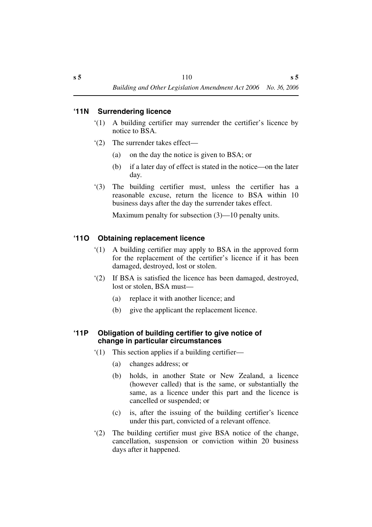## **'11N Surrendering licence**

- '(1) A building certifier may surrender the certifier's licence by notice to BSA.
- '(2) The surrender takes effect—
	- (a) on the day the notice is given to BSA; or
	- (b) if a later day of effect is stated in the notice—on the later day.
- '(3) The building certifier must, unless the certifier has a reasonable excuse, return the licence to BSA within 10 business days after the day the surrender takes effect.

Maximum penalty for subsection (3)—10 penalty units.

## **'11O Obtaining replacement licence**

- '(1) A building certifier may apply to BSA in the approved form for the replacement of the certifier's licence if it has been damaged, destroyed, lost or stolen.
- '(2) If BSA is satisfied the licence has been damaged, destroyed, lost or stolen, BSA must—
	- (a) replace it with another licence; and
	- (b) give the applicant the replacement licence.

## **'11P Obligation of building certifier to give notice of change in particular circumstances**

- '(1) This section applies if a building certifier—
	- (a) changes address; or
	- (b) holds, in another State or New Zealand, a licence (however called) that is the same, or substantially the same, as a licence under this part and the licence is cancelled or suspended; or
	- (c) is, after the issuing of the building certifier's licence under this part, convicted of a relevant offence.
- '(2) The building certifier must give BSA notice of the change, cancellation, suspension or conviction within 20 business days after it happened.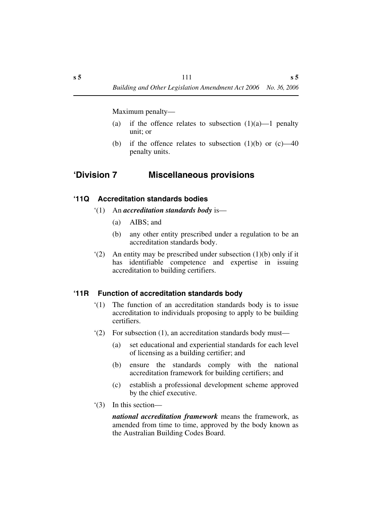Maximum penalty—

- (a) if the offence relates to subsection  $(1)(a)$ —1 penalty unit; or
- (b) if the offence relates to subsection  $(1)(b)$  or  $(c)$ —40 penalty units.

## **'Division 7 Miscellaneous provisions**

#### **'11Q Accreditation standards bodies**

- '(1) An *accreditation standards body* is—
	- (a) AIBS; and
	- (b) any other entity prescribed under a regulation to be an accreditation standards body.
- '(2) An entity may be prescribed under subsection (1)(b) only if it has identifiable competence and expertise in issuing accreditation to building certifiers.

## **'11R Function of accreditation standards body**

- '(1) The function of an accreditation standards body is to issue accreditation to individuals proposing to apply to be building certifiers.
- '(2) For subsection (1), an accreditation standards body must—
	- (a) set educational and experiential standards for each level of licensing as a building certifier; and
	- (b) ensure the standards comply with the national accreditation framework for building certifiers; and
	- (c) establish a professional development scheme approved by the chief executive.
- '(3) In this section—

*national accreditation framework* means the framework, as amended from time to time, approved by the body known as the Australian Building Codes Board.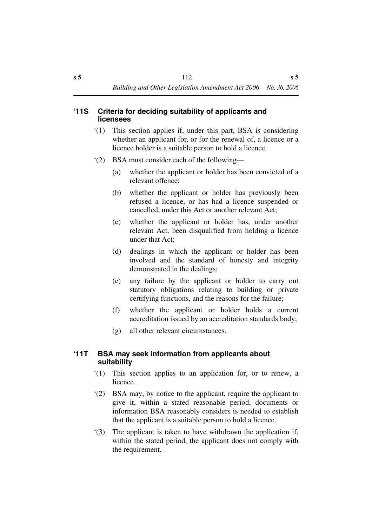## **'11S Criteria for deciding suitability of applicants and licensees**

- '(1) This section applies if, under this part, BSA is considering whether an applicant for, or for the renewal of, a licence or a licence holder is a suitable person to hold a licence.
- '(2) BSA must consider each of the following—
	- (a) whether the applicant or holder has been convicted of a relevant offence;
	- (b) whether the applicant or holder has previously been refused a licence, or has had a licence suspended or cancelled, under this Act or another relevant Act;
	- (c) whether the applicant or holder has, under another relevant Act, been disqualified from holding a licence under that Act;
	- (d) dealings in which the applicant or holder has been involved and the standard of honesty and integrity demonstrated in the dealings;
	- (e) any failure by the applicant or holder to carry out statutory obligations relating to building or private certifying functions, and the reasons for the failure;
	- (f) whether the applicant or holder holds a current accreditation issued by an accreditation standards body;
	- (g) all other relevant circumstances.

## **'11T BSA may seek information from applicants about suitability**

- '(1) This section applies to an application for, or to renew, a licence.
- '(2) BSA may, by notice to the applicant, require the applicant to give it, within a stated reasonable period, documents or information BSA reasonably considers is needed to establish that the applicant is a suitable person to hold a licence.
- '(3) The applicant is taken to have withdrawn the application if, within the stated period, the applicant does not comply with the requirement.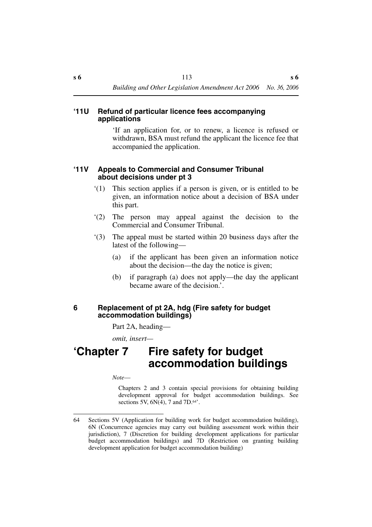#### **'11U Refund of particular licence fees accompanying applications**

'If an application for, or to renew, a licence is refused or withdrawn, BSA must refund the applicant the licence fee that accompanied the application.

#### **'11V Appeals to Commercial and Consumer Tribunal about decisions under pt 3**

- '(1) This section applies if a person is given, or is entitled to be given, an information notice about a decision of BSA under this part.
- '(2) The person may appeal against the decision to the Commercial and Consumer Tribunal.
- '(3) The appeal must be started within 20 business days after the latest of the following—
	- (a) if the applicant has been given an information notice about the decision—the day the notice is given;
	- (b) if paragraph (a) does not apply—the day the applicant became aware of the decision.'.

#### **6 Replacement of pt 2A, hdg (Fire safety for budget accommodation buildings)**

Part 2A, heading—

*omit, insert—*

# **'Chapter 7 Fire safety for budget accommodation buildings**

*Note*—

Chapters 2 and 3 contain special provisions for obtaining building development approval for budget accommodation buildings. See sections 5V,  $6N(4)$ , 7 and  $7D.64$ <sup>\*</sup>.

<sup>64</sup> Sections 5V (Application for building work for budget accommodation building), 6N (Concurrence agencies may carry out building assessment work within their jurisdiction), 7 (Discretion for building development applications for particular budget accommodation buildings) and 7D (Restriction on granting building development application for budget accommodation building)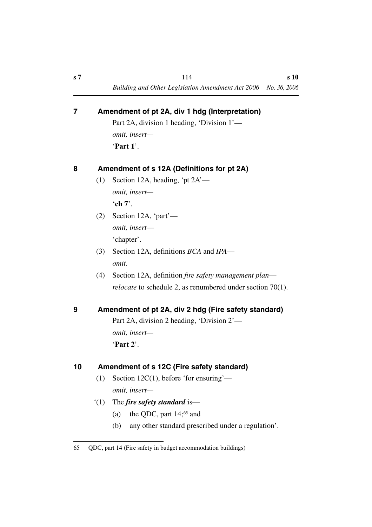|   | Part 2A, division 1 heading, 'Division 1'— |                                            |  |
|---|--------------------------------------------|--------------------------------------------|--|
|   |                                            | <i>omit, insert—</i>                       |  |
|   |                                            | 'Part 1'.                                  |  |
| 8 |                                            | Amendment of s 12A (Definitions for pt 2A) |  |
|   | (1)                                        | Section 12A, heading, 'pt $2A'$ —          |  |
|   |                                            | omit, insert-                              |  |
|   |                                            | 'ch $7$ '.                                 |  |
|   |                                            | $(2)$ Section 12A, 'part'—                 |  |
|   |                                            | omit, insert-                              |  |
|   |                                            | 'chapter'.                                 |  |
|   | (3)                                        | Section 12A, definitions BCA and IPA—      |  |
|   |                                            | omit.                                      |  |

**7 Amendment of pt 2A, div 1 hdg (Interpretation)**

(4) Section 12A, definition *fire safety management plan relocate* to schedule 2, as renumbered under section 70(1).

## **9 Amendment of pt 2A, div 2 hdg (Fire safety standard)**

Part 2A, division 2 heading, 'Division 2' *omit, insert—* '**Part 2**'.

## **10 Amendment of s 12C (Fire safety standard)**

- (1) Section 12C(1), before 'for ensuring' *omit, insert—*
- '(1) The *fire safety standard* is—
	- (a) the QDC, part  $14$ ;<sup>65</sup> and
	- (b) any other standard prescribed under a regulation'.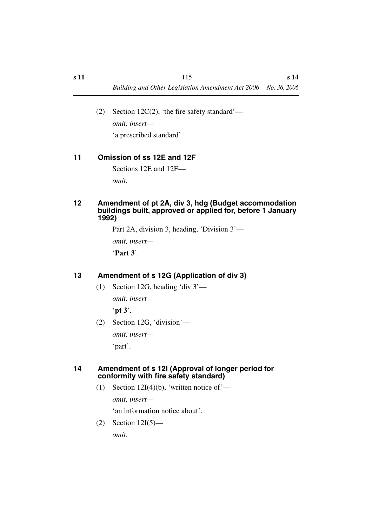(2) Section 12C(2), 'the fire safety standard' *omit, insert*— 'a prescribed standard'.

## **11 Omission of ss 12E and 12F**

Sections 12E and 12F—

*omit.*

#### **12 Amendment of pt 2A, div 3, hdg (Budget accommodation buildings built, approved or applied for, before 1 January 1992)**

Part 2A, division 3, heading, 'Division 3'—

*omit, insert—*

'**Part 3**'.

## **13 Amendment of s 12G (Application of div 3)**

(1) Section 12G, heading 'div 3'—

*omit, insert—*

'**pt 3**'.

(2) Section 12G, 'division' *omit, insert—*

'part'.

#### **14 Amendment of s 12I (Approval of longer period for conformity with fire safety standard)**

(1) Section 12I(4)(b), 'written notice of'—

*omit, insert—*

'an information notice about'.

(2) Section 12I(5) *omit*.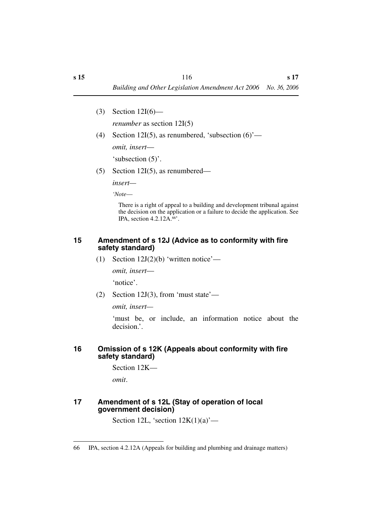(3) Section 12I(6)—

*renumber* as section 12I(5)

- (4) Section 12I(5), as renumbered, 'subsection  $(6)$ ' *omit, insert*— 'subsection (5)'.
- (5) Section 12I(5), as renumbered—

*insert—*

*'Note*—

There is a right of appeal to a building and development tribunal against the decision on the application or a failure to decide the application. See IPA, section 4.2.12A.66'.

#### **15 Amendment of s 12J (Advice as to conformity with fire safety standard)**

(1) Section  $12J(2)(b)$  'written notice'—

*omit, insert*—

'notice'.

(2) Section 12J(3), from 'must state'—

*omit, insert—*

'must be, or include, an information notice about the decision.'.

#### **16 Omission of s 12K (Appeals about conformity with fire safety standard)**

Section 12K—

*omit*.

#### **17 Amendment of s 12L (Stay of operation of local government decision)**

Section 12L, 'section  $12K(1)(a)$ '—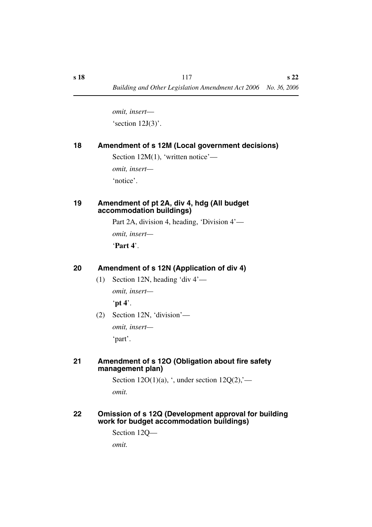*omit, insert*— 'section 12J(3)'.

## **18 Amendment of s 12M (Local government decisions)**

Section 12M(1), 'written notice' *omit, insert—* 'notice'.

#### **19 Amendment of pt 2A, div 4, hdg (All budget accommodation buildings)**

Part 2A, division 4, heading, 'Division 4'—

*omit, insert—*

'**Part 4**'.

## **20 Amendment of s 12N (Application of div 4)**

- (1) Section 12N, heading 'div 4' *omit, insert—* '**pt 4**'.
- (2) Section 12N, 'division' *omit, insert—*

'part'.

## **21 Amendment of s 12O (Obligation about fire safety management plan)**

Section  $12O(1)(a)$ , ', under section  $12Q(2)$ ,'*omit.*

#### **22 Omission of s 12Q (Development approval for building work for budget accommodation buildings)**

```
Section 12Q—
omit.
```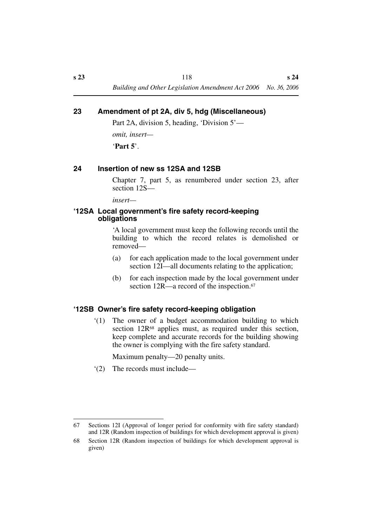#### **23 Amendment of pt 2A, div 5, hdg (Miscellaneous)**

Part 2A, division 5, heading, 'Division 5'—

*omit, insert—*

'**Part 5**'.

## **24 Insertion of new ss 12SA and 12SB**

Chapter 7, part 5, as renumbered under section 23, after section 12S—

*insert—*

#### **'12SA Local government's fire safety record-keeping obligations**

'A local government must keep the following records until the building to which the record relates is demolished or removed—

- (a) for each application made to the local government under section 12I—all documents relating to the application;
- (b) for each inspection made by the local government under section 12R—a record of the inspection.<sup>67</sup>

## **'12SB Owner's fire safety record-keeping obligation**

'(1) The owner of a budget accommodation building to which section 12R<sup>68</sup> applies must, as required under this section, keep complete and accurate records for the building showing the owner is complying with the fire safety standard.

Maximum penalty—20 penalty units.

'(2) The records must include—

<sup>67</sup> Sections 12I (Approval of longer period for conformity with fire safety standard) and 12R (Random inspection of buildings for which development approval is given)

<sup>68</sup> Section 12R (Random inspection of buildings for which development approval is given)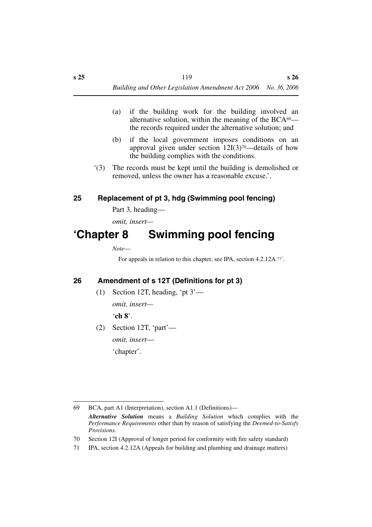- (a) if the building work for the building involved an alternative solution, within the meaning of the  $BCA<sup>69</sup>$  the records required under the alternative solution; and
- (b) if the local government imposes conditions on an approval given under section  $12I(3)^{70}$ —details of how the building complies with the conditions.
- '(3) The records must be kept until the building is demolished or removed, unless the owner has a reasonable excuse.'.

## **25 Replacement of pt 3, hdg (Swimming pool fencing)**

Part 3, heading—

*omit, insert—*

# **'Chapter 8 Swimming pool fencing**

*Note*—

For appeals in relation to this chapter, see IPA, section 4.2.12A.71'.

## **26 Amendment of s 12T (Definitions for pt 3)**

(1) Section 12T, heading, 'pt 3'—

*omit, insert—*

'**ch 8**'.

(2) Section 12T, 'part' *omit, insert*—

'chapter'.

<sup>69</sup> BCA, part A1 (Interpretation), section A1.1 (Definitions)— *Alternative Solution* means a *Building Solution* which complies with the *Performance Requirements* other than by reason of satisfying the *Deemed-to-Satisfy Provisions*.

<sup>70</sup> Section 12I (Approval of longer period for conformity with fire safety standard)

<sup>71</sup> IPA, section 4.2.12A (Appeals for building and plumbing and drainage matters)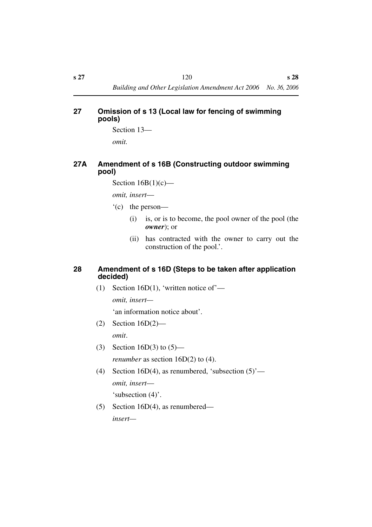## **27 Omission of s 13 (Local law for fencing of swimming pools)**

Section 13—

*omit.*

## **27A Amendment of s 16B (Constructing outdoor swimming pool)**

Section  $16B(1)(c)$ —

*omit, insert*—

- '(c) the person—
	- (i) is, or is to become, the pool owner of the pool (the *owner*); or
	- (ii) has contracted with the owner to carry out the construction of the pool.'.

#### **28 Amendment of s 16D (Steps to be taken after application decided)**

(1) Section 16D(1), 'written notice of'—

*omit, insert—*

'an information notice about'.

- (2) Section 16D(2) *omit*.
- (3) Section 16D(3) to (5) *renumber* as section 16D(2) to (4).
- (4) Section 16D(4), as renumbered, 'subsection  $(5)$ ' *omit, insert*— 'subsection (4)'.
- (5) Section 16D(4), as renumbered *insert—*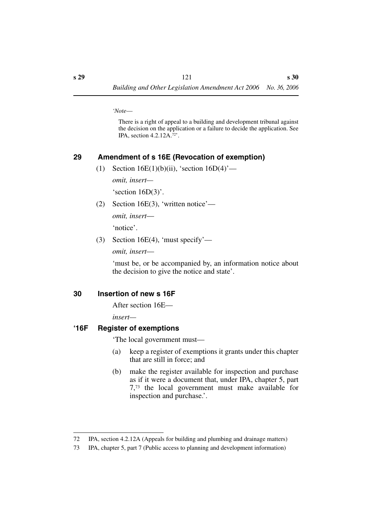*'Note*—

There is a right of appeal to a building and development tribunal against the decision on the application or a failure to decide the application. See IPA, section 4.2.12A.72'.

## **29 Amendment of s 16E (Revocation of exemption)**

(1) Section 16E(1)(b)(ii), 'section  $16D(4)$ '—

*omit, insert—*

'section 16D(3)'.

(2) Section 16E(3), 'written notice'—

*omit, insert*—

'notice'.

(3) Section 16E(4), 'must specify'—

*omit, insert*—

'must be, or be accompanied by, an information notice about the decision to give the notice and state'.

#### **30 Insertion of new s 16F**

After section 16E—

*insert—*

#### **'16F Register of exemptions**

'The local government must—

- (a) keep a register of exemptions it grants under this chapter that are still in force; and
- (b) make the register available for inspection and purchase as if it were a document that, under IPA, chapter 5, part 7,73 the local government must make available for inspection and purchase.'.

<sup>72</sup> IPA, section 4.2.12A (Appeals for building and plumbing and drainage matters)

<sup>73</sup> IPA, chapter 5, part 7 (Public access to planning and development information)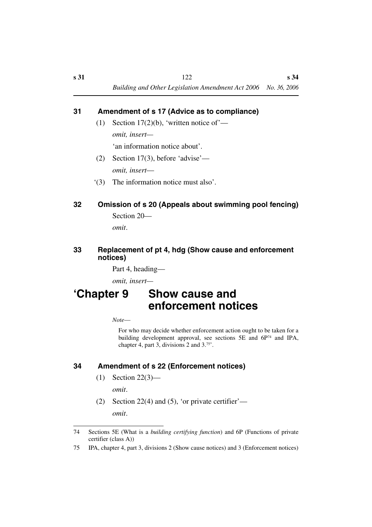## **31 Amendment of s 17 (Advice as to compliance)**

- (1) Section 17(2)(b), 'written notice of' *omit, insert—* 'an information notice about'.
- (2) Section 17(3), before 'advise' *omit, insert*—
- '(3) The information notice must also'.

# **32 Omission of s 20 (Appeals about swimming pool fencing)**

Section 20—

*omit*.

#### **33 Replacement of pt 4, hdg (Show cause and enforcement notices)**

Part 4, heading—

*omit, insert—*

# **'Chapter 9 Show cause and enforcement notices**

*Note*—

For who may decide whether enforcement action ought to be taken for a building development approval, see sections 5E and 6P74 and IPA, chapter 4, part 3, divisions 2 and 3.75'.

## **34 Amendment of s 22 (Enforcement notices)**

- (1) Section 22(3) *omit*.
- (2) Section 22(4) and (5), 'or private certifier' *omit*.

<sup>74</sup> Sections 5E (What is a *building certifying function*) and 6P (Functions of private certifier (class A))

<sup>75</sup> IPA, chapter 4, part 3, divisions 2 (Show cause notices) and 3 (Enforcement notices)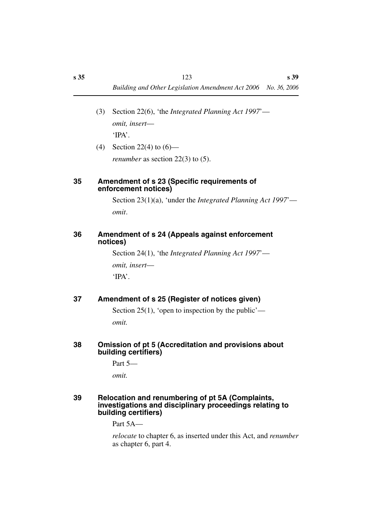- (3) Section 22(6), 'the *Integrated Planning Act 1997*' *omit, insert*— 'IPA'.
- (4) Section 22(4) to  $(6)$  *renumber* as section 22(3) to (5).

#### **35 Amendment of s 23 (Specific requirements of enforcement notices)**

Section 23(1)(a), 'under the *Integrated Planning Act 1997*' *omit*.

#### **36 Amendment of s 24 (Appeals against enforcement notices)**

Section 24(1), 'the *Integrated Planning Act 1997*' *omit, insert*— 'IPA'.

## **37 Amendment of s 25 (Register of notices given)**

Section 25(1), 'open to inspection by the public' *omit.*

#### **38 Omission of pt 5 (Accreditation and provisions about building certifiers)**

Part 5—

*omit.*

#### **39 Relocation and renumbering of pt 5A (Complaints, investigations and disciplinary proceedings relating to building certifiers)**

Part 5A—

*relocate* to chapter 6, as inserted under this Act, and *renumber* as chapter 6, part 4.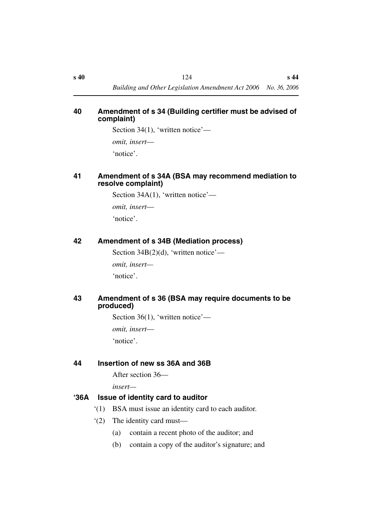#### **40 Amendment of s 34 (Building certifier must be advised of complaint)**

Section 34(1), 'written notice'—

*omit, insert*—

'notice'.

### **41 Amendment of s 34A (BSA may recommend mediation to resolve complaint)**

Section 34A(1), 'written notice'—

*omit, insert*—

'notice'.

## **42 Amendment of s 34B (Mediation process)**

Section  $34B(2)(d)$ , 'written notice'—

*omit, insert—*

'notice'.

## **43 Amendment of s 36 (BSA may require documents to be produced)**

Section 36(1), 'written notice' *omit, insert*— 'notice'.

# **44 Insertion of new ss 36A and 36B**

After section 36—

*insert—*

## **'36A Issue of identity card to auditor**

- '(1) BSA must issue an identity card to each auditor.
- '(2) The identity card must—
	- (a) contain a recent photo of the auditor; and
	- (b) contain a copy of the auditor's signature; and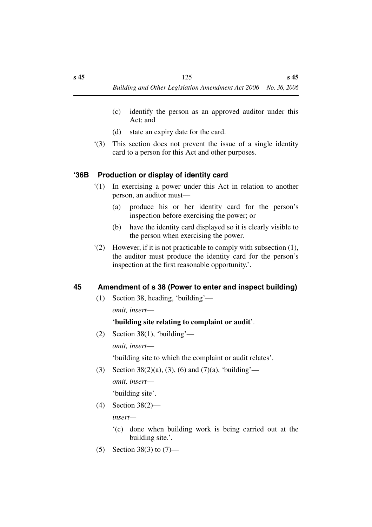- (c) identify the person as an approved auditor under this Act; and
- (d) state an expiry date for the card.
- '(3) This section does not prevent the issue of a single identity card to a person for this Act and other purposes.

#### **'36B Production or display of identity card**

- '(1) In exercising a power under this Act in relation to another person, an auditor must—
	- (a) produce his or her identity card for the person's inspection before exercising the power; or
	- (b) have the identity card displayed so it is clearly visible to the person when exercising the power.
- '(2) However, if it is not practicable to comply with subsection (1), the auditor must produce the identity card for the person's inspection at the first reasonable opportunity.'.

#### **45 Amendment of s 38 (Power to enter and inspect building)**

(1) Section 38, heading, 'building'—

*omit, insert*—

#### '**building site relating to complaint or audit**'.

(2) Section 38(1), 'building' *omit, insert*—

'building site to which the complaint or audit relates'.

(3) Section 38(2)(a), (3), (6) and (7)(a), 'building' *omit, insert*—

'building site'.

(4) Section 38(2)—

*insert—*

- '(c) done when building work is being carried out at the building site.'.
- (5) Section 38(3) to (7)—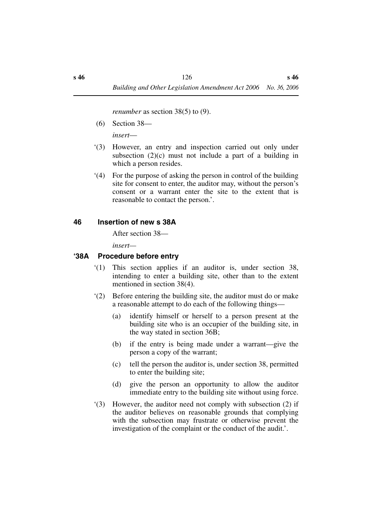*renumber* as section 38(5) to (9).

(6) Section 38—

*insert*—

- '(3) However, an entry and inspection carried out only under subsection  $(2)(c)$  must not include a part of a building in which a person resides.
- '(4) For the purpose of asking the person in control of the building site for consent to enter, the auditor may, without the person's consent or a warrant enter the site to the extent that is reasonable to contact the person.'.

#### **46 Insertion of new s 38A**

After section 38—

*insert—*

#### **'38A Procedure before entry**

- '(1) This section applies if an auditor is, under section 38, intending to enter a building site, other than to the extent mentioned in section 38(4).
- '(2) Before entering the building site, the auditor must do or make a reasonable attempt to do each of the following things—
	- (a) identify himself or herself to a person present at the building site who is an occupier of the building site, in the way stated in section 36B;
	- (b) if the entry is being made under a warrant—give the person a copy of the warrant;
	- (c) tell the person the auditor is, under section 38, permitted to enter the building site;
	- (d) give the person an opportunity to allow the auditor immediate entry to the building site without using force.
- '(3) However, the auditor need not comply with subsection (2) if the auditor believes on reasonable grounds that complying with the subsection may frustrate or otherwise prevent the investigation of the complaint or the conduct of the audit.'.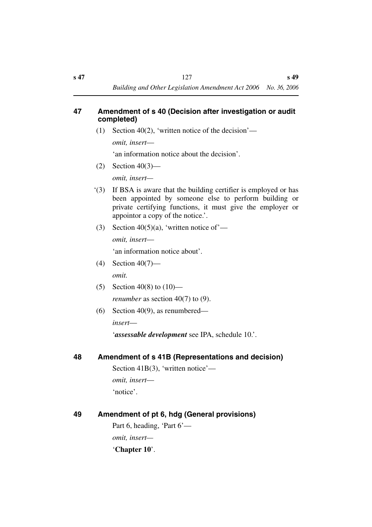#### **47 Amendment of s 40 (Decision after investigation or audit completed)**

(1) Section 40(2), 'written notice of the decision'—

*omit, insert*—

'an information notice about the decision'.

 $(2)$  Section 40(3)—

*omit, insert—*

- '(3) If BSA is aware that the building certifier is employed or has been appointed by someone else to perform building or private certifying functions, it must give the employer or appointor a copy of the notice.'.
- (3) Section 40(5)(a), 'written notice of' *omit, insert*—

'an information notice about'.

- (4) Section 40(7) *omit.*
- (5) Section 40(8) to  $(10)$  *renumber* as section 40(7) to (9).
- (6) Section 40(9), as renumbered *insert*—

'*assessable development* see IPA, schedule 10.'.

## **48 Amendment of s 41B (Representations and decision)**

Section 41B(3), 'written notice' *omit, insert*— 'notice'.

| 49 | Amendment of pt 6, hdg (General provisions) |  |  |
|----|---------------------------------------------|--|--|
|    | Part 6, heading, 'Part $6'$ —               |  |  |
|    | <i>omit, insert—</i>                        |  |  |

'**Chapter 10**'.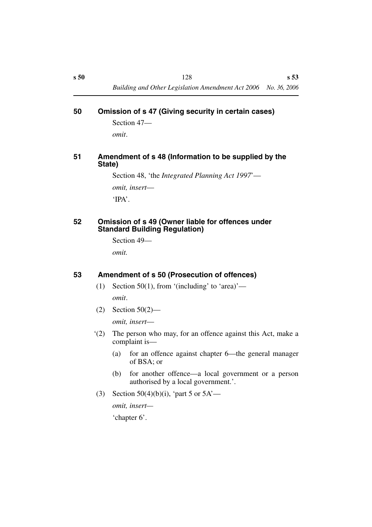#### **50 Omission of s 47 (Giving security in certain cases)**

Section 47 *omit*.

#### **51 Amendment of s 48 (Information to be supplied by the State)**

Section 48, 'the *Integrated Planning Act 1997*' *omit, insert*— 'IPA'.

#### **52 Omission of s 49 (Owner liable for offences under Standard Building Regulation)**

Section 49—

*omit.*

## **53 Amendment of s 50 (Prosecution of offences)**

(1) Section 50(1), from '(including' to 'area)'—

*omit*.

(2) Section 50(2)—

*omit, insert*—

- '(2) The person who may, for an offence against this Act, make a complaint is—
	- (a) for an offence against chapter 6—the general manager of BSA; or
	- (b) for another offence—a local government or a person authorised by a local government.'.
- (3) Section 50(4)(b)(i), 'part 5 or  $5A'$ —

*omit, insert—*

'chapter 6'.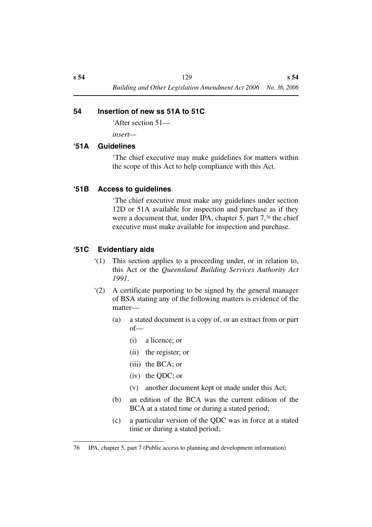## **54 Insertion of new ss 51A to 51C**

'After section 51—

*insert—*

#### **'51A Guidelines**

'The chief executive may make guidelines for matters within the scope of this Act to help compliance with this Act.

## **'51B Access to guidelines**

'The chief executive must make any guidelines under section 12D or 51A available for inspection and purchase as if they were a document that, under IPA, chapter 5, part 7,<sup>76</sup> the chief executive must make available for inspection and purchase.

## **'51C Evidentiary aids**

- '(1) This section applies to a proceeding under, or in relation to, this Act or the *Queensland Building Services Authority Act 1991*.
- '(2) A certificate purporting to be signed by the general manager of BSA stating any of the following matters is evidence of the matter—
	- (a) a stated document is a copy of, or an extract from or part of—
		- (i) a licence; or
		- (ii) the register; or
		- (iii) the BCA; or
		- (iv) the QDC; or
		- (v) another document kept or made under this Act;
	- (b) an edition of the BCA was the current edition of the BCA at a stated time or during a stated period;
	- (c) a particular version of the QDC was in force at a stated time or during a stated period;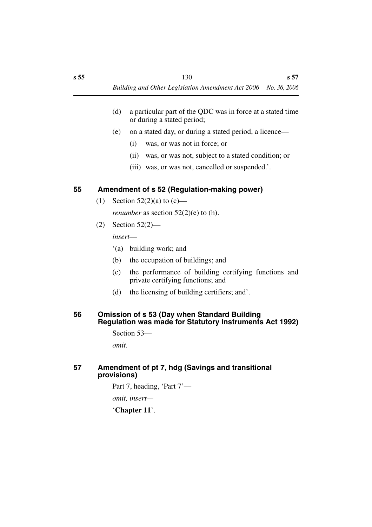- (d) a particular part of the QDC was in force at a stated time or during a stated period;
- (e) on a stated day, or during a stated period, a licence—
	- (i) was, or was not in force; or
	- (ii) was, or was not, subject to a stated condition; or
	- (iii) was, or was not, cancelled or suspended.'.

## **55 Amendment of s 52 (Regulation-making power)**

(1) Section  $52(2)(a)$  to  $(c)$ —

*renumber* as section 52(2)(e) to (h).

(2) Section 52(2)—

*insert*—

- '(a) building work; and
- (b) the occupation of buildings; and
- (c) the performance of building certifying functions and private certifying functions; and
- (d) the licensing of building certifiers; and'.

#### **56 Omission of s 53 (Day when Standard Building Regulation was made for Statutory Instruments Act 1992)**

Section 53—

*omit.*

## **57 Amendment of pt 7, hdg (Savings and transitional provisions)**

Part 7, heading, 'Part 7'—

*omit, insert—*

'**Chapter 11**'.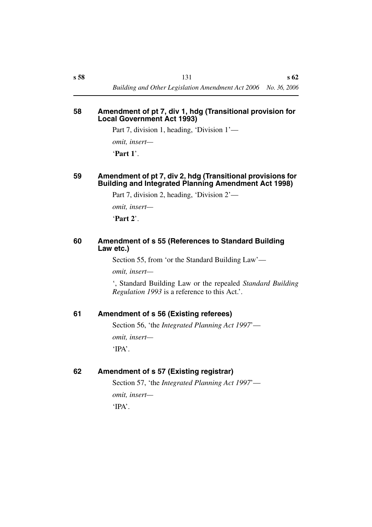#### **58 Amendment of pt 7, div 1, hdg (Transitional provision for Local Government Act 1993)**

Part 7, division 1, heading, 'Division 1'—

*omit, insert—*

'**Part 1**'.

#### **59 Amendment of pt 7, div 2, hdg (Transitional provisions for Building and Integrated Planning Amendment Act 1998)**

Part 7, division 2, heading, 'Division 2'—

*omit, insert—*

'**Part 2**'.

#### **60 Amendment of s 55 (References to Standard Building Law etc.)**

Section 55, from 'or the Standard Building Law'—

*omit, insert—*

', Standard Building Law or the repealed *Standard Building Regulation 1993* is a reference to this Act.'.

## **61 Amendment of s 56 (Existing referees)**

Section 56, 'the *Integrated Planning Act 1997*' *omit, insert—* 'IPA'.

#### **62 Amendment of s 57 (Existing registrar)**

Section 57, 'the *Integrated Planning Act 1997*' *omit, insert—* 'IPA'.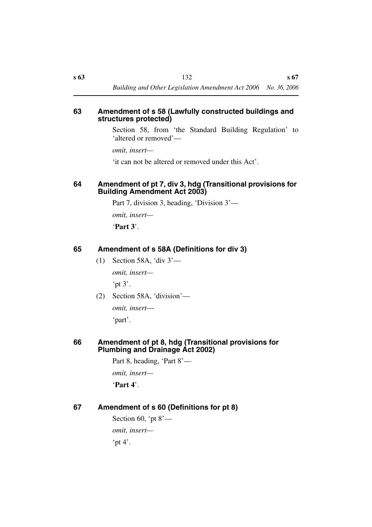#### **63 Amendment of s 58 (Lawfully constructed buildings and structures protected)**

Section 58, from 'the Standard Building Regulation' to 'altered or removed'—

*omit, insert—*

'it can not be altered or removed under this Act'.

### **64 Amendment of pt 7, div 3, hdg (Transitional provisions for Building Amendment Act 2003)**

Part 7, division 3, heading, 'Division 3'—

*omit, insert—*

'**Part 3**'.

## **65 Amendment of s 58A (Definitions for div 3)**

(1) Section 58A, 'div 3'—

*omit, insert—*

'pt  $3'$ .

(2) Section 58A, 'division'—

*omit, insert*— 'part'.

## **66 Amendment of pt 8, hdg (Transitional provisions for Plumbing and Drainage Act 2002)**

Part 8, heading, 'Part 8'—

*omit, insert—*

'**Part 4**'.

## **67 Amendment of s 60 (Definitions for pt 8)**

Section 60, 'pt  $8'$  *omit, insert—* 'pt  $4$ '.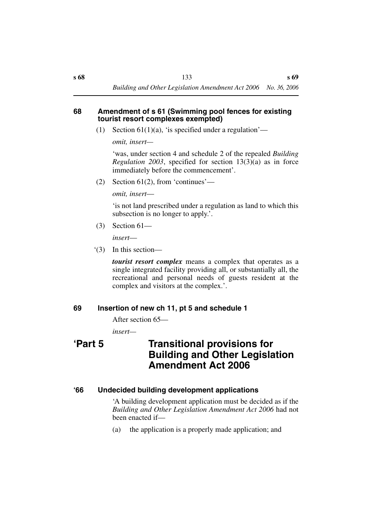#### **68 Amendment of s 61 (Swimming pool fences for existing tourist resort complexes exempted)**

(1) Section  $61(1)(a)$ , 'is specified under a regulation'—

*omit, insert—*

'was, under section 4 and schedule 2 of the repealed *Building Regulation 2003*, specified for section 13(3)(a) as in force immediately before the commencement'.

(2) Section 61(2), from 'continues'—

*omit, insert*—

'is not land prescribed under a regulation as land to which this subsection is no longer to apply.'.

(3) Section 61—

*insert*—

'(3) In this section—

*tourist resort complex* means a complex that operates as a single integrated facility providing all, or substantially all, the recreational and personal needs of guests resident at the complex and visitors at the complex.'.

#### **69 Insertion of new ch 11, pt 5 and schedule 1**

After section 65—

*insert—*

# **'Part 5 Transitional provisions for Building and Other Legislation Amendment Act 2006**

## **'66 Undecided building development applications**

'A building development application must be decided as if the *Building and Other Legislation Amendment Act 2006* had not been enacted if—

(a) the application is a properly made application; and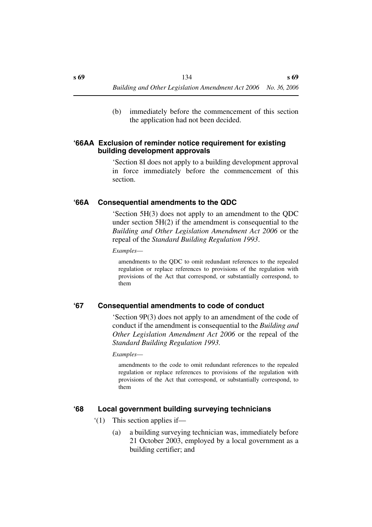(b) immediately before the commencement of this section the application had not been decided.

#### **'66AA Exclusion of reminder notice requirement for existing building development approvals**

'Section 8I does not apply to a building development approval in force immediately before the commencement of this section.

#### **'66A Consequential amendments to the QDC**

'Section 5H(3) does not apply to an amendment to the QDC under section 5H(2) if the amendment is consequential to the *Building and Other Legislation Amendment Act 2006* or the repeal of the *Standard Building Regulation 1993*.

*Examples*—

amendments to the QDC to omit redundant references to the repealed regulation or replace references to provisions of the regulation with provisions of the Act that correspond, or substantially correspond, to them

#### **'67 Consequential amendments to code of conduct**

'Section 9P(3) does not apply to an amendment of the code of conduct if the amendment is consequential to the *Building and Other Legislation Amendment Act 2006* or the repeal of the *Standard Building Regulation 1993.*

*Examples*—

amendments to the code to omit redundant references to the repealed regulation or replace references to provisions of the regulation with provisions of the Act that correspond, or substantially correspond, to them

#### **'68 Local government building surveying technicians**

- '(1) This section applies if—
	- (a) a building surveying technician was, immediately before 21 October 2003, employed by a local government as a building certifier; and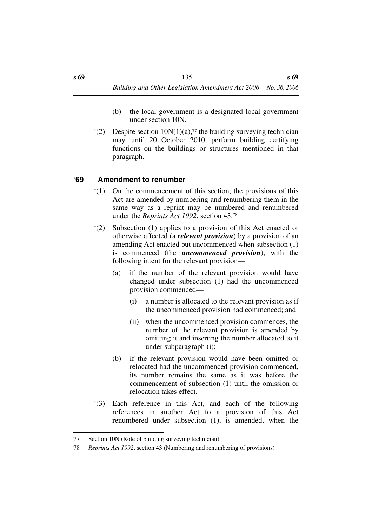- (b) the local government is a designated local government under section 10N.
- $(2)$  Despite section  $10N(1)(a)$ ,<sup>77</sup> the building surveying technician may, until 20 October 2010, perform building certifying functions on the buildings or structures mentioned in that paragraph.

## **'69 Amendment to renumber**

- '(1) On the commencement of this section, the provisions of this Act are amended by numbering and renumbering them in the same way as a reprint may be numbered and renumbered under the *Reprints Act 1992*, section 43.78
- '(2) Subsection (1) applies to a provision of this Act enacted or otherwise affected (a *relevant provision*) by a provision of an amending Act enacted but uncommenced when subsection (1) is commenced (the *uncommenced provision*), with the following intent for the relevant provision—
	- (a) if the number of the relevant provision would have changed under subsection (1) had the uncommenced provision commenced—
		- (i) a number is allocated to the relevant provision as if the uncommenced provision had commenced; and
		- (ii) when the uncommenced provision commences, the number of the relevant provision is amended by omitting it and inserting the number allocated to it under subparagraph (i);
	- (b) if the relevant provision would have been omitted or relocated had the uncommenced provision commenced, its number remains the same as it was before the commencement of subsection (1) until the omission or relocation takes effect.
- '(3) Each reference in this Act, and each of the following references in another Act to a provision of this Act renumbered under subsection (1), is amended, when the

<sup>77</sup> Section 10N (Role of building surveying technician)

<sup>78</sup> *Reprints Act 1992*, section 43 (Numbering and renumbering of provisions)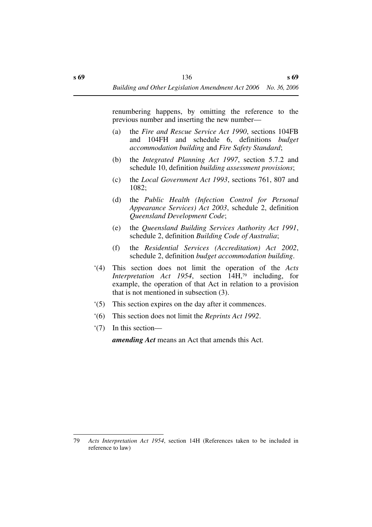renumbering happens, by omitting the reference to the previous number and inserting the new number—

- (a) the *Fire and Rescue Service Act 1990*, sections 104FB and 104FH and schedule 6, definitions *budget accommodation building* and *Fire Safety Standard*;
- (b) the *Integrated Planning Act 1997*, section 5.7.2 and schedule 10, definition *building assessment provisions*;
- (c) the *Local Government Act 1993*, sections 761, 807 and 1082;
- (d) the *Public Health (Infection Control for Personal Appearance Services) Act 2003*, schedule 2, definition *Queensland Development Code*;
- (e) the *Queensland Building Services Authority Act 1991*, schedule 2, definition *Building Code of Australia*;
- (f) the *Residential Services (Accreditation) Act 2002*, schedule 2, definition *budget accommodation building*.
- '(4) This section does not limit the operation of the *Acts Interpretation Act 1954*, section 14H,79 including, for example, the operation of that Act in relation to a provision that is not mentioned in subsection (3).
- '(5) This section expires on the day after it commences.
- '(6) This section does not limit the *Reprints Act 1992*.
- '(7) In this section—

*amending Act* means an Act that amends this Act.

<sup>79</sup> *Acts Interpretation Act 1954*, section 14H (References taken to be included in reference to law)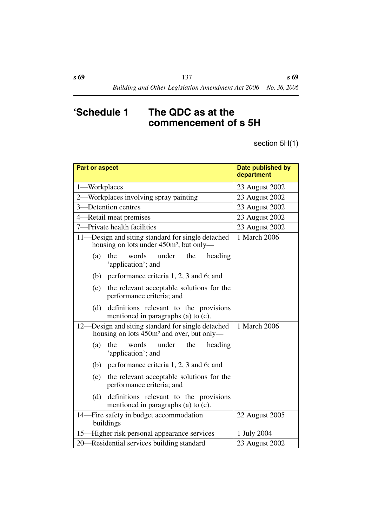# **'Schedule 1 The QDC as at the commencement of s 5H**

section 5H(1)

| <b>Part or aspect</b>                                                                                      | Date published by<br>department |
|------------------------------------------------------------------------------------------------------------|---------------------------------|
| -Workplaces<br>$1-$                                                                                        | 23 August 2002                  |
| -Workplaces involving spray painting<br>2.                                                                 | 23 August 2002                  |
| 3-Detention centres                                                                                        | 23 August 2002                  |
| -Retail meat premises<br>$4-$                                                                              | 23 August 2002                  |
| -Private health facilities<br>$7-$                                                                         | 23 August 2002                  |
| 11-Design and siting standard for single detached<br>housing on lots under 450m <sup>2</sup> , but only—   | 1 March 2006                    |
| words<br>under<br>(a)<br>the<br>the<br>heading<br>'application'; and                                       |                                 |
| performance criteria 1, 2, 3 and 6; and<br>(b)                                                             |                                 |
| the relevant acceptable solutions for the<br>(c)<br>performance criteria; and                              |                                 |
| definitions relevant to the provisions<br>(d)<br>mentioned in paragraphs (a) to (c).                       |                                 |
| 12—Design and siting standard for single detached<br>housing on lots 450m <sup>2</sup> and over, but only— | 1 March 2006                    |
| under<br>the<br>(a)<br>words<br>the<br>heading<br>'application'; and                                       |                                 |
| (b)<br>performance criteria 1, 2, 3 and 6; and                                                             |                                 |
| the relevant acceptable solutions for the<br>(c)<br>performance criteria; and                              |                                 |
| definitions relevant to the provisions<br>(d)<br>mentioned in paragraphs (a) to (c).                       |                                 |
| 14-Fire safety in budget accommodation<br>buildings                                                        | 22 August 2005                  |
| 15-Higher risk personal appearance services                                                                | 1 July 2004                     |
| 20—Residential services building standard                                                                  | 23 August 2002                  |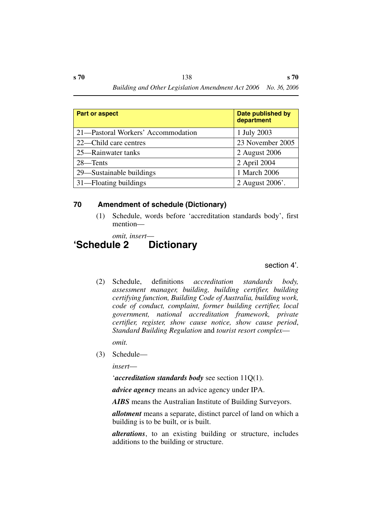| Part or aspect                     | <b>Date published by</b><br>department |
|------------------------------------|----------------------------------------|
| 21—Pastoral Workers' Accommodation | 1 July 2003                            |
| 22—Child care centres              | 23 November 2005                       |
| 25—Rainwater tanks                 | 2 August 2006                          |
| 28—Tents                           | 2 April 2004                           |
| 29—Sustainable buildings           | 1 March 2006                           |
| 31—Floating buildings              | 2 August 2006'.                        |

## **70 Amendment of schedule (Dictionary)**

(1) Schedule, words before 'accreditation standards body', first mention—

*omit, insert*—

## **'Schedule 2 Dictionary**

section 4'.

(2) Schedule, definitions *accreditation standards body, assessment manager, building, building certifier, building certifying function, Building Code of Australia, building work, code of conduct, complaint, former building certifier, local government, national accreditation framework, private certifier, register, show cause notice, show cause period*, *Standard Building Regulation* and *tourist resort complex*—

*omit.*

(3) Schedule—

*insert*—

'*accreditation standards body* see section 11Q(1).

*advice agency* means an advice agency under IPA.

*AIBS* means the Australian Institute of Building Surveyors.

*allotment* means a separate, distinct parcel of land on which a building is to be built, or is built.

*alterations*, to an existing building or structure, includes additions to the building or structure.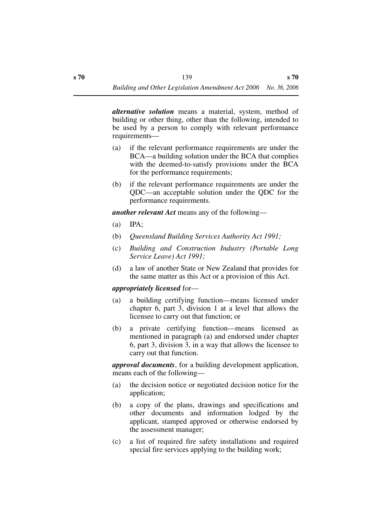*alternative solution* means a material, system, method of building or other thing, other than the following, intended to be used by a person to comply with relevant performance requirements—

- (a) if the relevant performance requirements are under the BCA—a building solution under the BCA that complies with the deemed-to-satisfy provisions under the BCA for the performance requirements;
- (b) if the relevant performance requirements are under the QDC—an acceptable solution under the QDC for the performance requirements.

*another relevant Act* means any of the following—

- (a) IPA;
- (b) *Queensland Building Services Authority Act 1991;*
- (c) *Building and Construction Industry (Portable Long Service Leave) Act 1991;*
- (d) a law of another State or New Zealand that provides for the same matter as this Act or a provision of this Act.

#### *appropriately licensed* for—

- (a) a building certifying function—means licensed under chapter 6, part 3, division 1 at a level that allows the licensee to carry out that function; or
- (b) a private certifying function—means licensed as mentioned in paragraph (a) and endorsed under chapter 6, part 3, division 3, in a way that allows the licensee to carry out that function.

*approval documents*, for a building development application, means each of the following—

- (a) the decision notice or negotiated decision notice for the application;
- (b) a copy of the plans, drawings and specifications and other documents and information lodged by the applicant, stamped approved or otherwise endorsed by the assessment manager;
- (c) a list of required fire safety installations and required special fire services applying to the building work;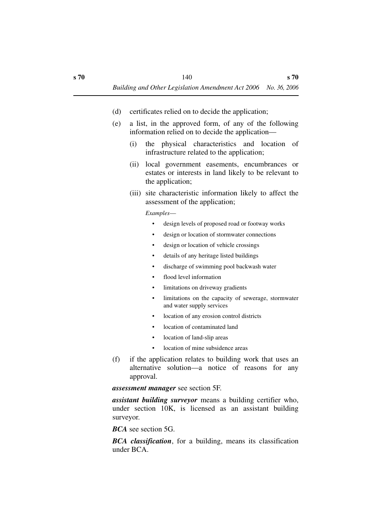- (d) certificates relied on to decide the application;
- (e) a list, in the approved form, of any of the following information relied on to decide the application—
	- (i) the physical characteristics and location of infrastructure related to the application;
	- (ii) local government easements, encumbrances or estates or interests in land likely to be relevant to the application;
	- (iii) site characteristic information likely to affect the assessment of the application;

*Examples*—

- design levels of proposed road or footway works
- design or location of stormwater connections
- design or location of vehicle crossings
- details of any heritage listed buildings
- discharge of swimming pool backwash water
- flood level information
- limitations on driveway gradients
- limitations on the capacity of sewerage, stormwater and water supply services
- location of any erosion control districts
- location of contaminated land
- location of land-slip areas
- location of mine subsidence areas
- (f) if the application relates to building work that uses an alternative solution—a notice of reasons for any approval.

*assessment manager* see section 5F.

*assistant building surveyor* means a building certifier who, under section 10K, is licensed as an assistant building surveyor.

*BCA* see section 5G.

*BCA classification*, for a building, means its classification under BCA.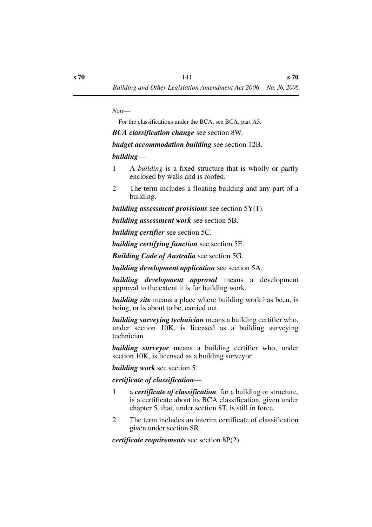*Note*—

For the classifications under the BCA, see BCA, part A3.

*BCA classification change* see section 8W.

*budget accommodation building* see section 12B.

### *building*—

- 1 A *building* is a fixed structure that is wholly or partly enclosed by walls and is roofed.
- 2 The term includes a floating building and any part of a building.

*building assessment provisions* see section 5Y(1).

*building assessment work* see section 5B.

*building certifier* see section 5C.

*building certifying function* see section 5E.

*Building Code of Australia* see section 5G.

*building development application* see section 5A.

*building development approval* means a development approval to the extent it is for building work.

*building site* means a place where building work has been, is being, or is about to be, carried out.

*building surveying technician* means a building certifier who, under section 10K, is licensed as a building surveying technician.

*building surveyor* means a building certifier who, under section 10K, is licensed as a building surveyor.

*building work* see section 5.

## *certificate of classification*—

- 1 a *certificate of classification,* for a building or structure, is a certificate about its BCA classification, given under chapter 5, that, under section 8T, is still in force.
- 2 The term includes an interim certificate of classification given under section 8R.

*certificate requirements* see section 8P(2).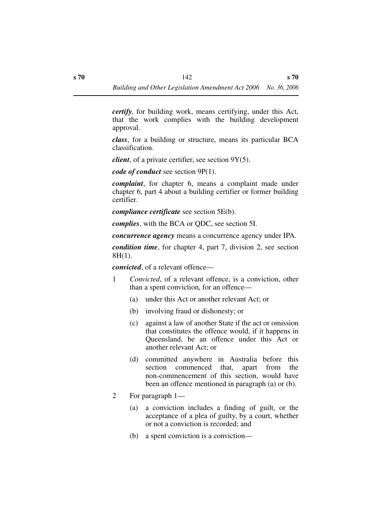*certify*, for building work, means certifying, under this Act, that the work complies with the building development approval.

*class*, for a building or structure, means its particular BCA classification.

*client*, of a private certifier, see section 9Y(5).

*code of conduct* see section 9P(1).

*complaint*, for chapter 6, means a complaint made under chapter 6, part 4 about a building certifier or former building certifier.

*compliance certificate* see section 5E(b).

*complies*, with the BCA or QDC, see section 5I.

*concurrence agency* means a concurrence agency under IPA.

*condition time*, for chapter 4, part 7, division 2, see section 8H(1).

*convicted*, of a relevant offence—

- 1 *Convicted*, of a relevant offence, is a conviction, other than a spent conviction, for an offence—
	- (a) under this Act or another relevant Act; or
	- (b) involving fraud or dishonesty; or
	- (c) against a law of another State if the act or omission that constitutes the offence would, if it happens in Queensland, be an offence under this Act or another relevant Act; or
	- (d) committed anywhere in Australia before this section commenced that, apart from the non-commencement of this section, would have been an offence mentioned in paragraph (a) or (b).
- 2 For paragraph 1—
	- (a) a conviction includes a finding of guilt, or the acceptance of a plea of guilty, by a court, whether or not a conviction is recorded; and
	- (b) a spent conviction is a conviction—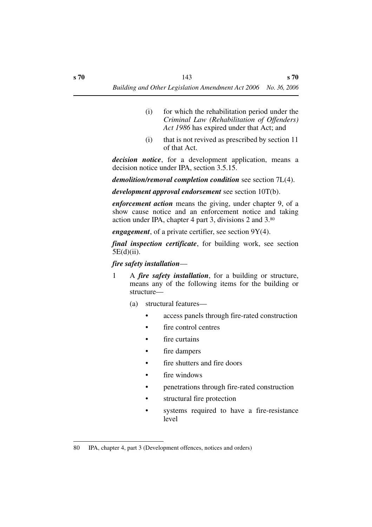- (i) for which the rehabilitation period under the *Criminal Law (Rehabilitation of Offenders) Act 1986* has expired under that Act; and
- (i) that is not revived as prescribed by section 11 of that Act.

*decision notice*, for a development application, means a decision notice under IPA, section 3.5.15.

*demolition/removal completion condition* see section 7L(4).

*development approval endorsement* see section 10T(b).

*enforcement action* means the giving, under chapter 9, of a show cause notice and an enforcement notice and taking action under IPA, chapter 4 part 3, divisions 2 and 3.80

*engagement*, of a private certifier, see section 9Y(4).

*final inspection certificate*, for building work, see section 5E(d)(ii).

### *fire safety installation*—

- 1 A *fire safety installation*, for a building or structure, means any of the following items for the building or structure—
	- (a) structural features—
		- access panels through fire-rated construction
		- fire control centres
		- fire curtains
		- fire dampers
		- fire shutters and fire doors
		- fire windows
		- penetrations through fire-rated construction
		- structural fire protection
		- systems required to have a fire-resistance level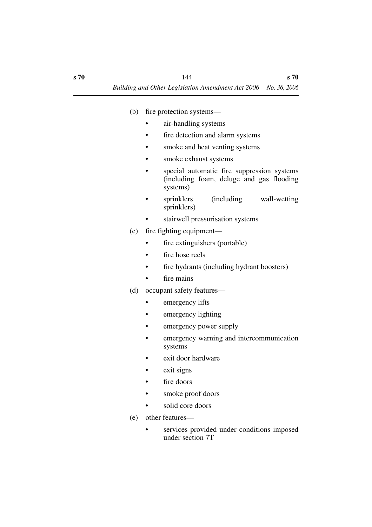- (b) fire protection systems
	- air-handling systems
	- fire detection and alarm systems
	- smoke and heat venting systems
	- smoke exhaust systems
	- special automatic fire suppression systems (including foam, deluge and gas flooding systems)
	- sprinklers (including wall-wetting sprinklers)
	- stairwell pressurisation systems
- (c) fire fighting equipment
	- fire extinguishers (portable)
	- fire hose reels
	- fire hydrants (including hydrant boosters)
	- fire mains
- (d) occupant safety features—
	- emergency lifts
	- emergency lighting
	- emergency power supply
	- emergency warning and intercommunication systems
	- exit door hardware
	- exit signs
	- fire doors
	- smoke proof doors
	- solid core doors
- (e) other features
	- services provided under conditions imposed under section 7T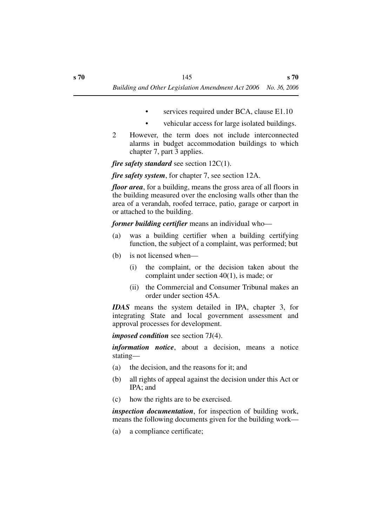- services required under BCA, clause E1.10
- vehicular access for large isolated buildings.
- 2 However, the term does not include interconnected alarms in budget accommodation buildings to which chapter 7, part 3 applies.

*fire safety standard* see section 12C(1).

*fire safety system*, for chapter 7, see section 12A.

*floor area*, for a building, means the gross area of all floors in the building measured over the enclosing walls other than the area of a verandah, roofed terrace, patio, garage or carport in or attached to the building.

*former building certifier* means an individual who—

- (a) was a building certifier when a building certifying function, the subject of a complaint, was performed; but
- (b) is not licensed when—
	- (i) the complaint, or the decision taken about the complaint under section 40(1), is made; or
	- (ii) the Commercial and Consumer Tribunal makes an order under section 45A.

*IDAS* means the system detailed in IPA, chapter 3, for integrating State and local government assessment and approval processes for development.

*imposed condition* see section 7J(4).

*information notice*, about a decision, means a notice stating—

- (a) the decision, and the reasons for it; and
- (b) all rights of appeal against the decision under this Act or IPA; and
- (c) how the rights are to be exercised.

*inspection documentation*, for inspection of building work, means the following documents given for the building work—

(a) a compliance certificate;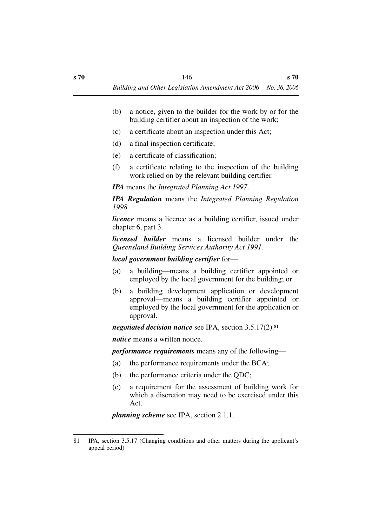- (b) a notice, given to the builder for the work by or for the building certifier about an inspection of the work;
- (c) a certificate about an inspection under this Act;
- (d) a final inspection certificate;
- (e) a certificate of classification;
- (f) a certificate relating to the inspection of the building work relied on by the relevant building certifier.

*IPA* means the *Integrated Planning Act 1997*.

*IPA Regulation* means the *Integrated Planning Regulation 1998.*

*licence* means a licence as a building certifier, issued under chapter 6, part 3.

*licensed builder* means a licensed builder under the *Queensland Building Services Authority Act 1991.*

*local government building certifier* for—

- (a) a building—means a building certifier appointed or employed by the local government for the building; or
- (b) a building development application or development approval—means a building certifier appointed or employed by the local government for the application or approval.

*negotiated decision notice* see IPA, section 3.5.17(2).81

*notice* means a written notice.

*performance requirements* means any of the following—

- (a) the performance requirements under the BCA;
- (b) the performance criteria under the QDC;
- (c) a requirement for the assessment of building work for which a discretion may need to be exercised under this Act.

*planning scheme* see IPA, section 2.1.1.

<sup>81</sup> IPA, section 3.5.17 (Changing conditions and other matters during the applicant's appeal period)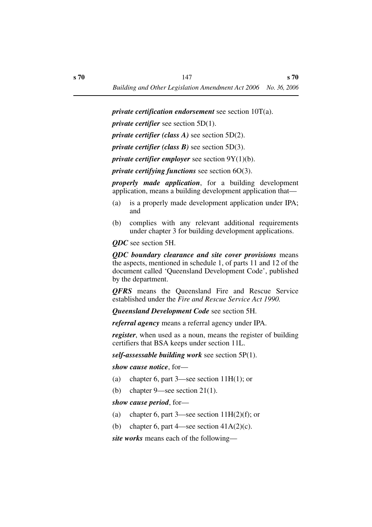*private certification endorsement* see section 10T(a).

*private certifier* see section 5D(1).

*private certifier (class A)* see section 5D(2).

*private certifier (class B)* see section 5D(3).

*private certifier employer* see section 9Y(1)(b).

*private certifying functions* see section 6O(3).

*properly made application*, for a building development application, means a building development application that—

- (a) is a properly made development application under IPA; and
- (b) complies with any relevant additional requirements under chapter 3 for building development applications.

*QDC* see section 5H.

*QDC boundary clearance and site cover provisions* means the aspects, mentioned in schedule 1, of parts 11 and 12 of the document called 'Queensland Development Code', published by the department.

*QFRS* means the Queensland Fire and Rescue Service established under the *Fire and Rescue Service Act 1990.*

*Queensland Development Code* see section 5H.

*referral agency* means a referral agency under IPA.

*register*, when used as a noun, means the register of building certifiers that BSA keeps under section 11L.

*self-assessable building work* see section 5P(1).

*show cause notice*, for—

- (a) chapter 6, part  $3$ —see section 11H(1); or
- (b) chapter 9—see section 21(1).

*show cause period*, for—

- (a) chapter 6, part 3—see section  $11H(2)(f)$ ; or
- (b) chapter 6, part 4—see section  $41A(2)(c)$ .

*site works* means each of the following—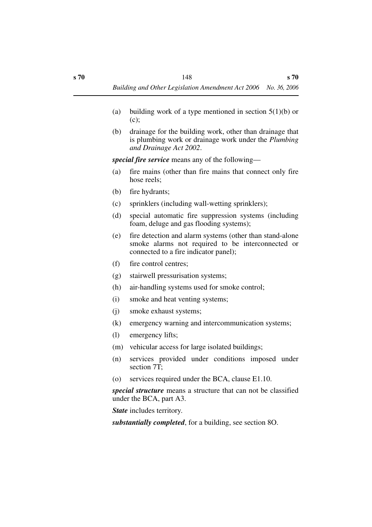- (a) building work of a type mentioned in section  $5(1)(b)$  or (c);
- (b) drainage for the building work, other than drainage that is plumbing work or drainage work under the *Plumbing and Drainage Act 2002*.

*special fire service* means any of the following—

- (a) fire mains (other than fire mains that connect only fire hose reels;
- (b) fire hydrants;
- (c) sprinklers (including wall-wetting sprinklers);
- (d) special automatic fire suppression systems (including foam, deluge and gas flooding systems);
- (e) fire detection and alarm systems (other than stand-alone smoke alarms not required to be interconnected or connected to a fire indicator panel);
- (f) fire control centres;
- (g) stairwell pressurisation systems;
- (h) air-handling systems used for smoke control;
- (i) smoke and heat venting systems;
- (j) smoke exhaust systems;
- (k) emergency warning and intercommunication systems;
- (l) emergency lifts;
- (m) vehicular access for large isolated buildings;
- (n) services provided under conditions imposed under section 7T;
- (o) services required under the BCA, clause E1.10.

*special structure* means a structure that can not be classified under the BCA, part A3.

*State* includes territory.

*substantially completed*, for a building, see section 8O.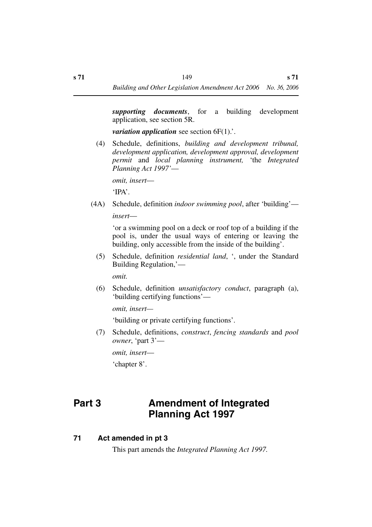*supporting documents*, for a building development application, see section 5R.

*variation application* see section 6F(1)...

(4) Schedule, definitions, *building and development tribunal, development application, development approval, development permit* and *local planning instrument,* 'the *Integrated Planning Act 1997'*—

*omit, insert*—

'IPA'.

(4A) Schedule, definition *indoor swimming pool*, after 'building' *insert*—

> 'or a swimming pool on a deck or roof top of a building if the pool is, under the usual ways of entering or leaving the building, only accessible from the inside of the building'.

(5) Schedule, definition *residential land*, ', under the Standard Building Regulation,'—

*omit.*

(6) Schedule, definition *unsatisfactory conduct*, paragraph (a), 'building certifying functions'—

*omit, insert—*

'building or private certifying functions'.

(7) Schedule, definitions, *construct*, *fencing standards* and *pool owner*, 'part 3'—

*omit, insert*—

'chapter 8'.

# **Part 3 Amendment of Integrated Planning Act 1997**

# **71 Act amended in pt 3**

This part amends the *Integrated Planning Act 1997.*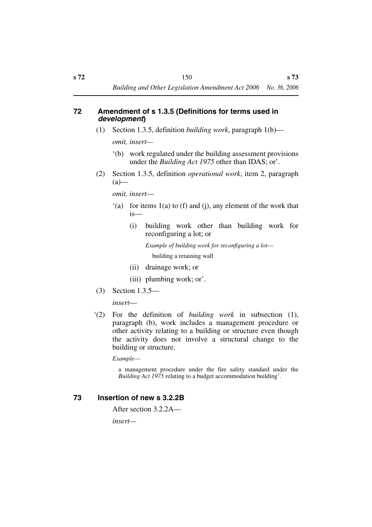#### **72 Amendment of s 1.3.5 (Definitions for terms used in**  *development***)**

- (1) Section 1.3.5, definition *building work*, paragraph 1(b) *omit, insert—*
	- '(b) work regulated under the building assessment provisions under the *Building Act 1975* other than IDAS; or'.
- (2) Section 1.3.5, definition *operational work*, item 2, paragraph  $(a)$ —

*omit, insert*—

- '(a) for items 1(a) to (f) and (j), any element of the work that is—
	- (i) building work other than building work for reconfiguring a lot; or

*Example of building work for reconfiguring a lot* building a retaining wall

- (ii) drainage work; or
- (iii) plumbing work; or'.
- (3) Section 1.3.5—

*insert*—

'(2) For the definition of *building work* in subsection (1), paragraph (b), work includes a management procedure or other activity relating to a building or structure even though the activity does not involve a structural change to the building or structure.

*Example*—

a management procedure under the fire safety standard under the *Building Act 1975* relating to a budget accommodation building'.

### **73 Insertion of new s 3.2.2B**

After section 3.2.2A—

*insert—*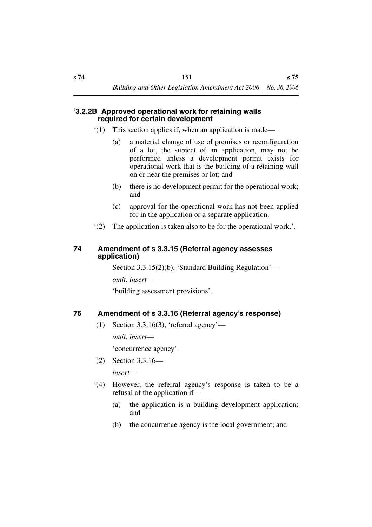### **'3.2.2B Approved operational work for retaining walls required for certain development**

- '(1) This section applies if, when an application is made—
	- (a) a material change of use of premises or reconfiguration of a lot, the subject of an application, may not be performed unless a development permit exists for operational work that is the building of a retaining wall on or near the premises or lot; and
	- (b) there is no development permit for the operational work; and
	- (c) approval for the operational work has not been applied for in the application or a separate application.
- '(2) The application is taken also to be for the operational work.'.

### **74 Amendment of s 3.3.15 (Referral agency assesses application)**

Section 3.3.15(2)(b), 'Standard Building Regulation'—

*omit, insert—*

'building assessment provisions'.

## **75 Amendment of s 3.3.16 (Referral agency's response)**

 $(1)$  Section 3.3.16(3), 'referral agency' *omit, insert*— 'concurrence agency'.

(2) Section 3.3.16—

*insert—*

- '(4) However, the referral agency's response is taken to be a refusal of the application if—
	- (a) the application is a building development application; and
	- (b) the concurrence agency is the local government; and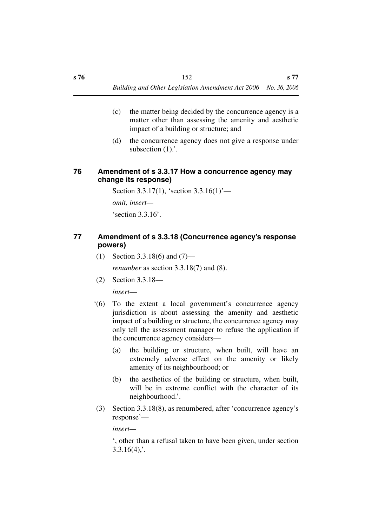- (c) the matter being decided by the concurrence agency is a matter other than assessing the amenity and aesthetic impact of a building or structure; and
- (d) the concurrence agency does not give a response under subsection  $(1)$ .

### **76 Amendment of s 3.3.17 How a concurrence agency may change its response)**

Section 3.3.17(1), 'section 3.3.16(1)'—

*omit, insert—*

'section 3.3.16'.

## **77 Amendment of s 3.3.18 (Concurrence agency's response powers)**

(1) Section 3.3.18(6) and (7)—

*renumber* as section 3.3.18(7) and (8).

(2) Section 3.3.18—

*insert*—

- '(6) To the extent a local government's concurrence agency jurisdiction is about assessing the amenity and aesthetic impact of a building or structure, the concurrence agency may only tell the assessment manager to refuse the application if the concurrence agency considers—
	- (a) the building or structure, when built, will have an extremely adverse effect on the amenity or likely amenity of its neighbourhood; or
	- (b) the aesthetics of the building or structure, when built, will be in extreme conflict with the character of its neighbourhood.'.
- (3) Section 3.3.18(8), as renumbered, after 'concurrence agency's response'—

*insert—*

', other than a refusal taken to have been given, under section  $3.3.16(4)$ ;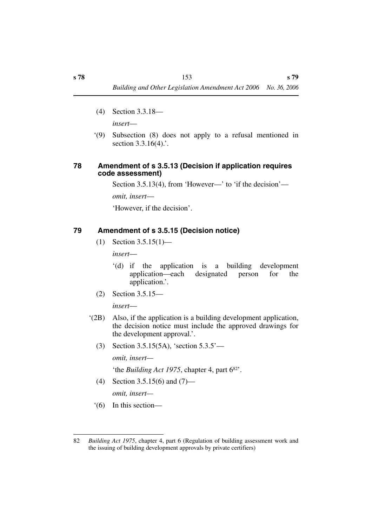- (4) Section 3.3.18 *insert*—
- '(9) Subsection (8) does not apply to a refusal mentioned in section 3.3.16(4).'.

### **78 Amendment of s 3.5.13 (Decision if application requires code assessment)**

Section 3.5.13(4), from 'However—' to 'if the decision'—

*omit, insert*—

'However, if the decision'.

## **79 Amendment of s 3.5.15 (Decision notice)**

(1) Section 3.5.15(1)—

*insert*—

- '(d) if the application is a building development application—each designated person for the application.'.
- (2) Section 3.5.15—

*insert*—

- '(2B) Also, if the application is a building development application, the decision notice must include the approved drawings for the development approval.'.
	- (3) Section 3.5.15(5A), 'section 5.3.5'—

*omit, insert—*

'the *Building Act 1975*, chapter 4, part 682'.

- (4) Section 3.5.15(6) and (7) *omit, insert—*
- '(6) In this section—

<sup>82</sup> *Building Act 1975*, chapter 4, part 6 (Regulation of building assessment work and the issuing of building development approvals by private certifiers)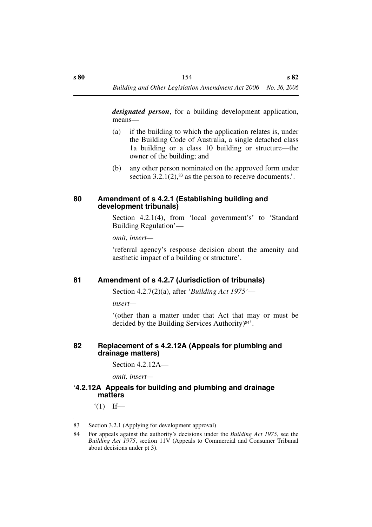*designated person*, for a building development application, means—

- (a) if the building to which the application relates is, under the Building Code of Australia, a single detached class 1a building or a class 10 building or structure—the owner of the building; and
- (b) any other person nominated on the approved form under section  $3.2.1(2)$ ,  $83$  as the person to receive documents.'.

#### **80 Amendment of s 4.2.1 (Establishing building and development tribunals)**

Section 4.2.1(4), from 'local government's' to 'Standard Building Regulation'—

*omit, insert—*

'referral agency's response decision about the amenity and aesthetic impact of a building or structure'.

### **81 Amendment of s 4.2.7 (Jurisdiction of tribunals)**

Section 4.2.7(2)(a), after '*Building Act 1975'*—

*insert—*

'(other than a matter under that Act that may or must be decided by the Building Services Authority)84'.

### **82 Replacement of s 4.2.12A (Appeals for plumbing and drainage matters)**

Section 4.2.12A—

*omit, insert—*

### **'4.2.12A Appeals for building and plumbing and drainage matters**

 $'(1)$  If—

<sup>83</sup> Section 3.2.1 (Applying for development approval)

<sup>84</sup> For appeals against the authority's decisions under the *Building Act 1975*, see the *Building Act 1975*, section 11V (Appeals to Commercial and Consumer Tribunal about decisions under pt 3).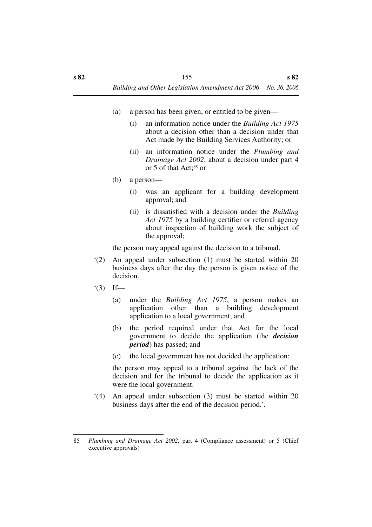- (a) a person has been given, or entitled to be given—
	- (i) an information notice under the *Building Act 1975* about a decision other than a decision under that Act made by the Building Services Authority; or
	- (ii) an information notice under the *Plumbing and Drainage Act 2002*, about a decision under part 4 or 5 of that Act;85 or
- (b) a person—
	- (i) was an applicant for a building development approval; and
	- (ii) is dissatisfied with a decision under the *Building Act 1975* by a building certifier or referral agency about inspection of building work the subject of the approval;

the person may appeal against the decision to a tribunal.

- '(2) An appeal under subsection (1) must be started within 20 business days after the day the person is given notice of the decision.
- $'(3)$  If—
	- (a) under the *Building Act 1975*, a person makes an application other than a building development application to a local government; and
	- (b) the period required under that Act for the local government to decide the application (the *decision period*) has passed; and
	- (c) the local government has not decided the application;

the person may appeal to a tribunal against the lack of the decision and for the tribunal to decide the application as it were the local government.

'(4) An appeal under subsection (3) must be started within 20 business days after the end of the decision period.'.

<sup>85</sup> *Plumbing and Drainage Act 2002*, part 4 (Compliance assessment) or 5 (Chief executive approvals)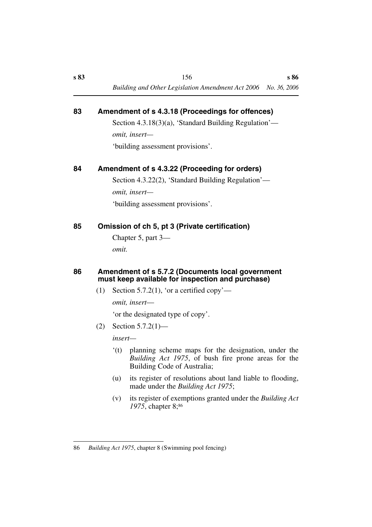## **83 Amendment of s 4.3.18 (Proceedings for offences)**

Section 4.3.18(3)(a), 'Standard Building Regulation' *omit, insert—* 'building assessment provisions'.

**84 Amendment of s 4.3.22 (Proceeding for orders)**

Section 4.3.22(2), 'Standard Building Regulation' *omit, insert—*

'building assessment provisions'.

## **85 Omission of ch 5, pt 3 (Private certification)**

Chapter 5, part 3—

*omit.*

### **86 Amendment of s 5.7.2 (Documents local government must keep available for inspection and purchase)**

(1) Section 5.7.2(1), 'or a certified copy'—

*omit, insert*—

'or the designated type of copy'.

(2) Section 5.7.2(1)—

*insert—*

- '(t) planning scheme maps for the designation, under the *Building Act 1975*, of bush fire prone areas for the Building Code of Australia;
- (u) its register of resolutions about land liable to flooding, made under the *Building Act 1975*;
- (v) its register of exemptions granted under the *Building Act* 1975, chapter 8;<sup>86</sup>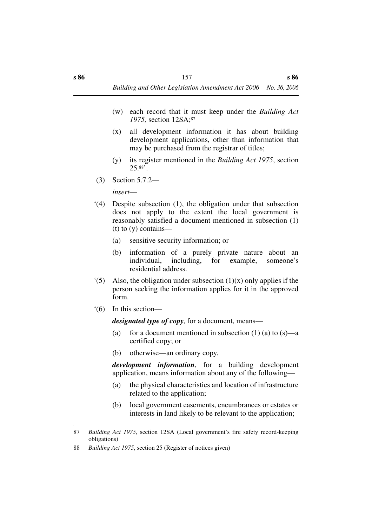- (w) each record that it must keep under the *Building Act 1975,* section 12SA;87
- (x) all development information it has about building development applications, other than information that may be purchased from the registrar of titles;
- (y) its register mentioned in the *Building Act 1975*, section  $25.88$ '.
- (3) Section 5.7.2—

*insert*—

- '(4) Despite subsection (1), the obligation under that subsection does not apply to the extent the local government is reasonably satisfied a document mentioned in subsection (1)  $(t)$  to  $(y)$  contains—
	- (a) sensitive security information; or
	- (b) information of a purely private nature about an individual, including, for example, someone's residential address.
- $(5)$  Also, the obligation under subsection  $(1)(x)$  only applies if the person seeking the information applies for it in the approved form.
- '(6) In this section—

*designated type of copy*, for a document, means—

- (a) for a document mentioned in subsection  $(1)$  (a) to  $(s)$ —a certified copy; or
- (b) otherwise—an ordinary copy.

*development information*, for a building development application, means information about any of the following—

- (a) the physical characteristics and location of infrastructure related to the application;
- (b) local government easements, encumbrances or estates or interests in land likely to be relevant to the application;

<sup>87</sup> *Building Act 1975*, section 12SA (Local government's fire safety record-keeping obligations)

<sup>88</sup> *Building Act 1975*, section 25 (Register of notices given)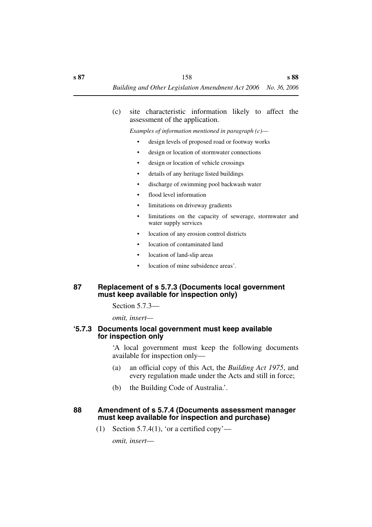#### (c) site characteristic information likely to affect the assessment of the application.

*Examples of information mentioned in paragraph (c)*—

- design levels of proposed road or footway works
- design or location of stormwater connections
- design or location of vehicle crossings
- details of any heritage listed buildings
- discharge of swimming pool backwash water
- flood level information
- limitations on driveway gradients
- limitations on the capacity of sewerage, stormwater and water supply services
- location of any erosion control districts
- location of contaminated land
- location of land-slip areas
- location of mine subsidence areas'.

### **87 Replacement of s 5.7.3 (Documents local government must keep available for inspection only)**

Section 5.7.3—

*omit, insert—*

### **'5.7.3 Documents local government must keep available for inspection only**

'A local government must keep the following documents available for inspection only—

- (a) an official copy of this Act, the *Building Act 1975*, and every regulation made under the Acts and still in force;
- (b) the Building Code of Australia.'.

### **88 Amendment of s 5.7.4 (Documents assessment manager must keep available for inspection and purchase)**

(1) Section 5.7.4(1), 'or a certified copy'—

*omit, insert*—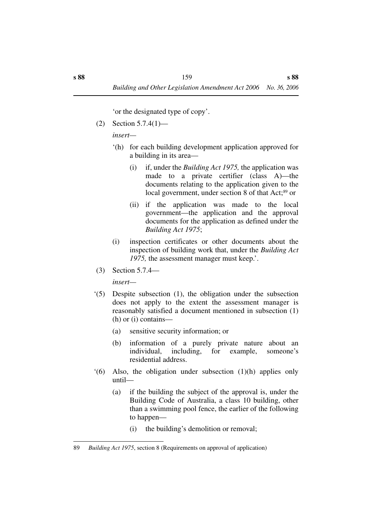'or the designated type of copy'.

(2) Section 5.7.4(1)—

*insert—*

- '(h) for each building development application approved for a building in its area—
	- (i) if, under the *Building Act 1975,* the application was made to a private certifier (class A)—the documents relating to the application given to the local government, under section 8 of that Act;<sup>89</sup> or
	- (ii) if the application was made to the local government—the application and the approval documents for the application as defined under the *Building Act 1975*;
- (i) inspection certificates or other documents about the inspection of building work that, under the *Building Act* 1975, the assessment manager must keep.'.
- (3) Section 5.7.4—

*insert—*

- '(5) Despite subsection (1), the obligation under the subsection does not apply to the extent the assessment manager is reasonably satisfied a document mentioned in subsection (1) (h) or (i) contains—
	- (a) sensitive security information; or
	- (b) information of a purely private nature about an individual, including, for example, someone's residential address.
- '(6) Also, the obligation under subsection (1)(h) applies only until—
	- (a) if the building the subject of the approval is, under the Building Code of Australia, a class 10 building, other than a swimming pool fence, the earlier of the following to happen—
		- (i) the building's demolition or removal;

<sup>89</sup> *Building Act 1975*, section 8 (Requirements on approval of application)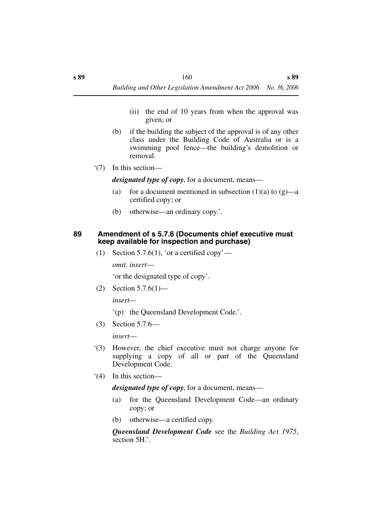- (ii) the end of 10 years from when the approval was given; or
- (b) if the building the subject of the approval is of any other class under the Building Code of Australia or is a swimming pool fence—the building's demolition or removal.
- '(7) In this section—

*designated type of copy*, for a document, means—

- (a) for a document mentioned in subsection  $(1)(a)$  to  $(g)$ —a certified copy; or
- (b) otherwise—an ordinary copy.'.

#### **89 Amendment of s 5.7.6 (Documents chief executive must keep available for inspection and purchase)**

(1) Section 5.7.6(1), 'or a certified copy'—

*omit, insert*—

'or the designated type of copy'.

(2) Section 5.7.6(1)—

*insert—*

- '(p) the Queensland Development Code.'.
- (3) Section 5.7.6—

*insert*—

- '(3) However, the chief executive must not charge anyone for supplying a copy of all or part of the Queensland Development Code.
- '(4) In this section—

### *designated type of copy*, for a document, means—

- (a) for the Queensland Development Code—an ordinary copy; or
- (b) otherwise—a certified copy.

*Queensland Development Code* see the *Building Act 1975*, section 5H.'.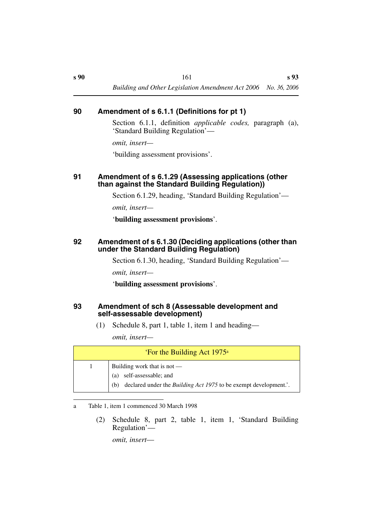### **90 Amendment of s 6.1.1 (Definitions for pt 1)**

Section 6.1.1, definition *applicable codes,* paragraph (a), 'Standard Building Regulation'—

*omit, insert—*

'building assessment provisions'.

### **91 Amendment of s 6.1.29 (Assessing applications (other than against the Standard Building Regulation))**

Section 6.1.29, heading, 'Standard Building Regulation'—

*omit, insert—*

'**building assessment provisions**'.

### **92 Amendment of s 6.1.30 (Deciding applications (other than under the Standard Building Regulation)**

Section 6.1.30, heading, 'Standard Building Regulation'—

*omit, insert—*

'**building assessment provisions**'.

### **93 Amendment of sch 8 (Assessable development and self-assessable development)**

(1) Schedule 8, part 1, table 1, item 1 and heading—

*omit, insert—*

| 'For the Building Act $1975^{\circ}$ |                                                                                                                                                |
|--------------------------------------|------------------------------------------------------------------------------------------------------------------------------------------------|
|                                      | Building work that is not $-$<br>self-assessable; and<br>(a)<br>declared under the <i>Building Act 1975</i> to be exempt development.'.<br>(b) |

### a Table 1, item 1 commenced 30 March 1998

(2) Schedule 8, part 2, table 1, item 1, 'Standard Building Regulation'—

*omit, insert*—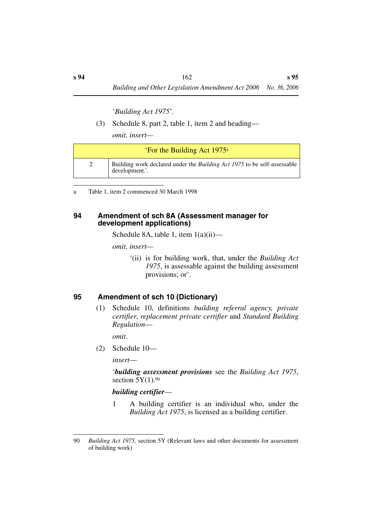'*Building Act 1975*'.

(3) Schedule 8, part 2, table 1, item 2 and heading—

*omit, insert—*

| 'For the Building Act 1975 <sup>a</sup> |                                                                                                |
|-----------------------------------------|------------------------------------------------------------------------------------------------|
|                                         | Building work declared under the <i>Building Act 1975</i> to be self-assessable development.'. |

a Table 1, item 2 commenced 30 March 1998

### **94 Amendment of sch 8A (Assessment manager for development applications)**

Schedule 8A, table 1, item  $1(a)(ii)$ —

*omit, insert—*

'(ii) is for building work, that, under the *Building Act 1975*, is assessable against the building assessment provisions; or'.

## **95 Amendment of sch 10 (Dictionary)**

(1) Schedule 10, definitions *building referral agency, private certifier*, *replacement private certifier* and *Standard Building Regulation*—

*omit*.

(2) Schedule 10—

*insert*—

'*building assessment provisions* see the *Building Act 1975*, section  $5Y(1)$ .<sup>90</sup>

## *building certifier*—

1 A building certifier is an individual who, under the *Building Act 1975*, is licensed as a building certifier.

<sup>90</sup> *Building Act 1975,* section 5Y (Relevant laws and other documents for assessment of building work)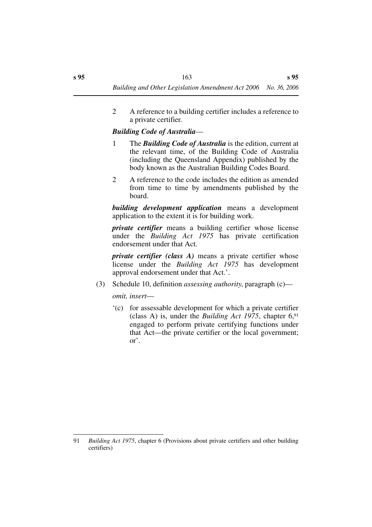2 A reference to a building certifier includes a reference to a private certifier.

### *Building Code of Australia*—

- 1 The *Building Code of Australia* is the edition, current at the relevant time, of the Building Code of Australia (including the Queensland Appendix) published by the body known as the Australian Building Codes Board.
- 2 A reference to the code includes the edition as amended from time to time by amendments published by the board.

*building development application* means a development application to the extent it is for building work.

*private certifier* means a building certifier whose license under the *Building Act 1975* has private certification endorsement under that Act.

*private certifier (class A)* means a private certifier whose license under the *Building Act 1975* has development approval endorsement under that Act.'.

(3) Schedule 10, definition *assessing authority*, paragraph (c)—

*omit, insert*—

'(c) for assessable development for which a private certifier (class A) is, under the *Building Act 1975*, chapter  $6<sup>91</sup>$ engaged to perform private certifying functions under that Act—the private certifier or the local government; or'.

<sup>91</sup> *Building Act 1975*, chapter 6 (Provisions about private certifiers and other building certifiers)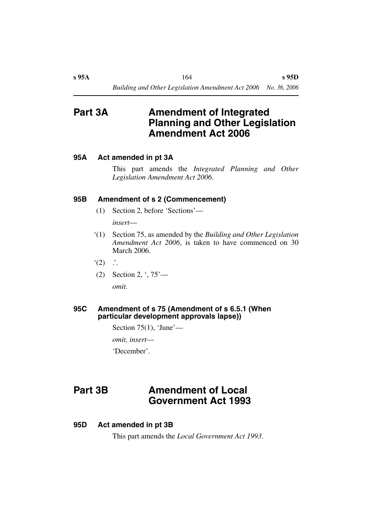# **Part 3A Amendment of Integrated Planning and Other Legislation Amendment Act 2006**

### **95A Act amended in pt 3A**

This part amends the *Integrated Planning and Other Legislation Amendment Act 2006*.

### **95B Amendment of s 2 (Commencement)**

(1) Section 2, before 'Sections'—

*insert*—

- '(1) Section 75, as amended by the *Building and Other Legislation Amendment Act 2006*, is taken to have commenced on 30 March 2006.
- $\dot{ }$  (2)  $\dot{ }$  .
- (2) Section 2, ', 75' *omit.*

#### **95C Amendment of s 75 (Amendment of s 6.5.1 (When particular development approvals lapse))**

Section  $75(1)$ , 'June'—

*omit, insert*—

'December'.

# **Part 3B Amendment of Local Government Act 1993**

### **95D Act amended in pt 3B**

This part amends the *Local Government Act 1993*.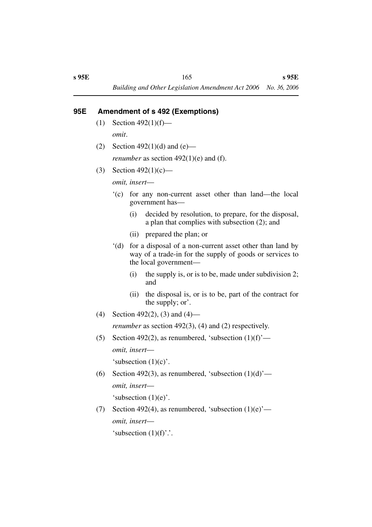## **95E Amendment of s 492 (Exemptions)**

- $(1)$  Section 492 $(1)(f)$  *omit*.
- (2) Section 492(1)(d) and (e) *renumber* as section 492(1)(e) and (f).
- (3) Section  $492(1)(c)$ —

*omit, insert*—

- '(c) for any non-current asset other than land—the local government has—
	- (i) decided by resolution, to prepare, for the disposal, a plan that complies with subsection (2); and
	- (ii) prepared the plan; or
- '(d) for a disposal of a non-current asset other than land by way of a trade-in for the supply of goods or services to the local government—
	- (i) the supply is, or is to be, made under subdivision 2; and
	- (ii) the disposal is, or is to be, part of the contract for the supply; or'.
- (4) Section 492(2), (3) and (4)—

*renumber* as section 492(3), (4) and (2) respectively.

- (5) Section 492(2), as renumbered, 'subsection  $(1)(f)$ ' *omit, insert*— 'subsection  $(1)(c)$ '.
- (6) Section 492(3), as renumbered, 'subsection  $(1)(d)$ ' *omit, insert*— 'subsection (1)(e)'.
- (7) Section 492(4), as renumbered, 'subsection  $(1)(e)$ ' *omit, insert*— 'subsection  $(1)(f)$ '.'.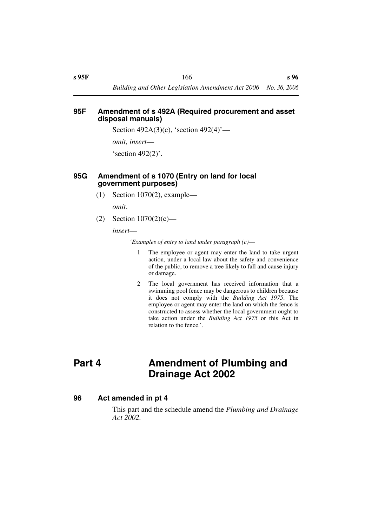#### **95F Amendment of s 492A (Required procurement and asset disposal manuals)**

Section 492A(3)(c), 'section 492(4)'—

*omit, insert*—

'section 492(2)'.

### **95G Amendment of s 1070 (Entry on land for local government purposes)**

(1) Section 1070(2), example—

*omit*.

(2) Section  $1070(2)(c)$ —

*insert*—

*'Examples of entry to land under paragraph (c)*—

- 1 The employee or agent may enter the land to take urgent action, under a local law about the safety and convenience of the public, to remove a tree likely to fall and cause injury or damage.
- 2 The local government has received information that a swimming pool fence may be dangerous to children because it does not comply with the *Building Act 1975*. The employee or agent may enter the land on which the fence is constructed to assess whether the local government ought to take action under the *Building Act 1975* or this Act in relation to the fence'.

# **Part 4 Amendment of Plumbing and Drainage Act 2002**

### **96 Act amended in pt 4**

This part and the schedule amend the *Plumbing and Drainage Act 2002.*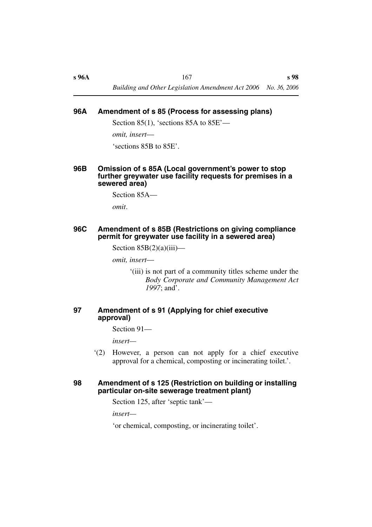### **96A Amendment of s 85 (Process for assessing plans)**

Section 85(1), 'sections 85A to  $85E'$ —

*omit, insert*—

'sections 85B to 85E'.

### **96B Omission of s 85A (Local government's power to stop further greywater use facility requests for premises in a sewered area)**

Section 85A—

*omit*.

### **96C Amendment of s 85B (Restrictions on giving compliance permit for greywater use facility in a sewered area)**

Section  $85B(2)(a)(iii)$ —

*omit, insert*—

'(iii) is not part of a community titles scheme under the *Body Corporate and Community Management Act 1997*; and'.

### **97 Amendment of s 91 (Applying for chief executive approval)**

Section 91—

*insert—*

'(2) However, a person can not apply for a chief executive approval for a chemical, composting or incinerating toilet.'.

### **98 Amendment of s 125 (Restriction on building or installing particular on-site sewerage treatment plant)**

Section 125, after 'septic tank'—

*insert—*

'or chemical, composting, or incinerating toilet'.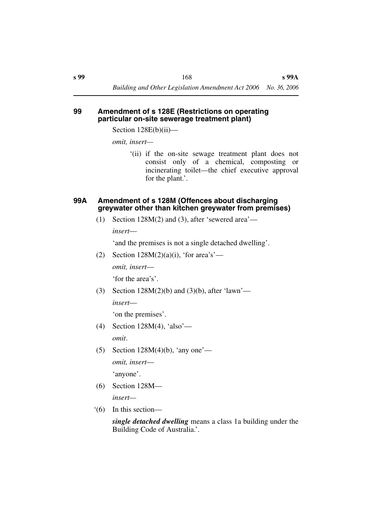#### **99 Amendment of s 128E (Restrictions on operating particular on-site sewerage treatment plant)**

Section 128E(b)(ii)—

*omit, insert—*

'(ii) if the on-site sewage treatment plant does not consist only of a chemical, composting or incinerating toilet—the chief executive approval for the plant.'.

### **99A Amendment of s 128M (Offences about discharging greywater other than kitchen greywater from premises)**

(1) Section 128M(2) and (3), after 'sewered area'—

*insert*—

'and the premises is not a single detached dwelling'.

- (2) Section  $128M(2)(a)(i)$ , 'for area's' *omit, insert*— 'for the area's'.
- (3) Section  $128M(2)(b)$  and  $(3)(b)$ , after 'lawn' *insert*—

'on the premises'.

- (4) Section 128M(4), 'also' *omit*.
- (5) Section  $128M(4)(b)$ , 'any one' *omit, insert*— 'anyone'.
- (6) Section 128M *insert—*
- '(6) In this section—

*single detached dwelling* means a class 1a building under the Building Code of Australia.'.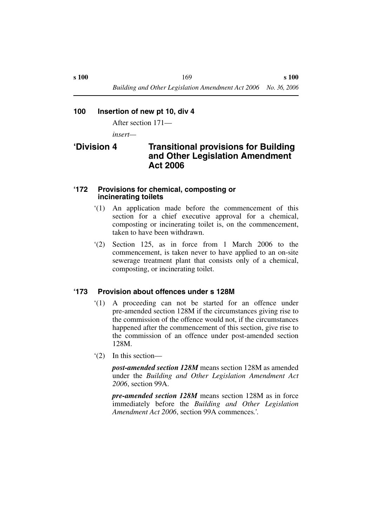### **100 Insertion of new pt 10, div 4**

After section 171—

*insert—*

# **'Division 4 Transitional provisions for Building and Other Legislation Amendment Act 2006**

### **'172 Provisions for chemical, composting or incinerating toilets**

- '(1) An application made before the commencement of this section for a chief executive approval for a chemical, composting or incinerating toilet is, on the commencement, taken to have been withdrawn.
- '(2) Section 125, as in force from 1 March 2006 to the commencement, is taken never to have applied to an on-site sewerage treatment plant that consists only of a chemical, composting, or incinerating toilet.

### **'173 Provision about offences under s 128M**

- '(1) A proceeding can not be started for an offence under pre-amended section 128M if the circumstances giving rise to the commission of the offence would not, if the circumstances happened after the commencement of this section, give rise to the commission of an offence under post-amended section 128M.
- '(2) In this section—

*post-amended section 128M* means section 128M as amended under the *Building and Other Legislation Amendment Act 2006*, section 99A.

*pre-amended section 128M* means section 128M as in force immediately before the *Building and Other Legislation Amendment Act 2006*, section 99A commences*.'.*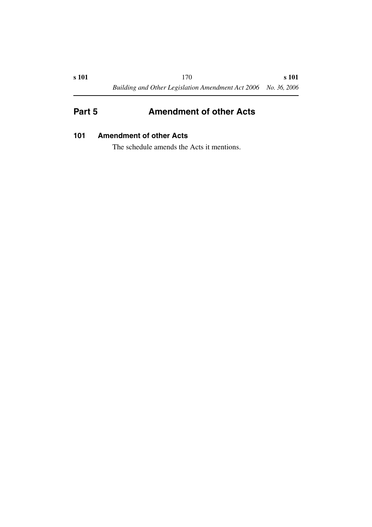# **Part 5** Amendment of other Acts

## **101 Amendment of other Acts**

The schedule amends the Acts it mentions.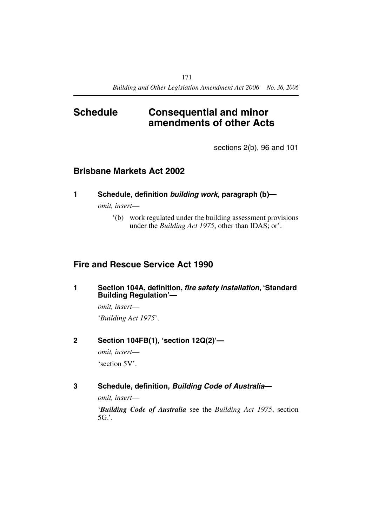# **Schedule Consequential and minor amendments of other Acts**

sections 2(b), 96 and 101

# **Brisbane Markets Act 2002**

**1 Schedule, definition** *building work,* **paragraph (b)—**

*omit, insert*—

'(b) work regulated under the building assessment provisions under the *Building Act 1975*, other than IDAS; or'.

# **Fire and Rescue Service Act 1990**

**1 Section 104A, definition,** *fire safety installation***, 'Standard Building Regulation'—**

> *omit, insert*— '*Building Act 1975*'.

**2 Section 104FB(1), 'section 12Q(2)'—**

*omit, insert*—

'section 5V'.

**3 Schedule, definition,** *Building Code of Australia***—**

*omit, insert*—

'*Building Code of Australia* see the *Building Act 1975*, section  $5G$ .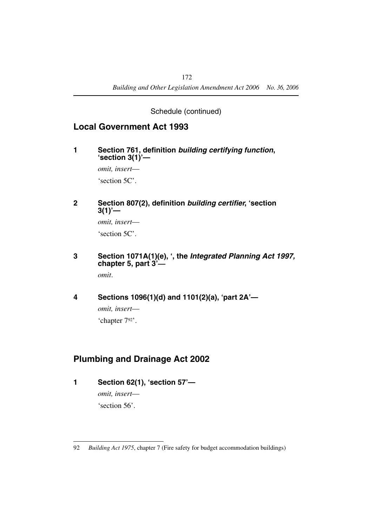## Schedule (continued)

# **Local Government Act 1993**

**1 Section 761, definition** *building certifying function***, 'section 3(1)'—**

> *omit, insert*— 'section 5C'.

**2 Section 807(2), definition** *building certifier***, 'section 3(1)'—**

> *omit, insert*— 'section 5C'.

**3 Section 1071A(1)(e), ', the** *Integrated Planning Act 1997,*  **chapter 5, part 3'—**

*omit*.

**4 Sections 1096(1)(d) and 1101(2)(a), 'part 2A'—**

*omit, insert*— 'chapter 792'.

# **Plumbing and Drainage Act 2002**

**1 Section 62(1), 'section 57'—**

*omit, insert*— 'section 56'.

<sup>92</sup> *Building Act 1975*, chapter 7 (Fire safety for budget accommodation buildings)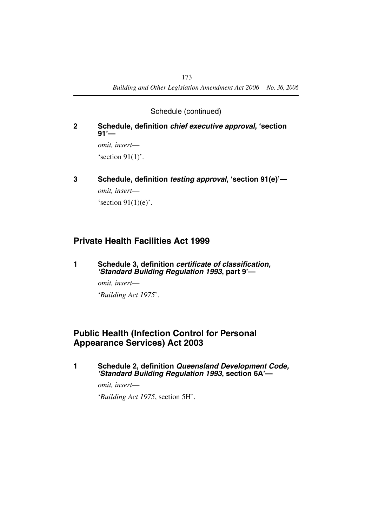Schedule (continued)

### **2 Schedule, definition** *chief executive approval***, 'section 91'—**

*omit, insert*— 's ection  $91(1)$ '.

**3 Schedule, definition** *testing approval***, 'section 91(e)'—**

*omit, insert*—

's ection  $91(1)(e)$ '.

# **Private Health Facilities Act 1999**

**1 Schedule 3, definition** *certificate of classification, 'Standard Building Regulation 1993***, part 9'—**

*omit, insert*—

'*Building Act 1975*'.

# **Public Health (Infection Control for Personal Appearance Services) Act 2003**

**1 Schedule 2, definition** *Queensland Development Code, 'Standard Building Regulation 1993***, section 6A'—**

*omit, insert*—

'*Building Act 1975*, section 5H'.